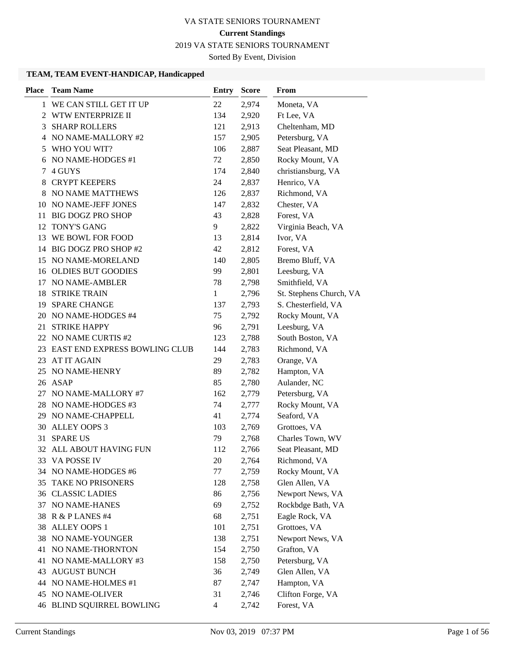# 2019 VA STATE SENIORS TOURNAMENT

Sorted By Event, Division

# **TEAM, TEAM EVENT-HANDICAP, Handicapped**

| <b>Team Name</b><br><b>Place</b><br>From<br>Entry<br><b>Score</b> |                         |
|-------------------------------------------------------------------|-------------------------|
| 1 WE CAN STILL GET IT UP<br>22<br>2,974                           | Moneta, VA              |
| 2 WTW ENTERPRIZE II<br>134<br>2,920                               | Ft Lee, VA              |
| <b>SHARP ROLLERS</b><br>121<br>2,913<br>3                         | Cheltenham, MD          |
| 4 NO NAME-MALLORY #2<br>2,905<br>157                              | Petersburg, VA          |
| 5 WHO YOU WIT?<br>106<br>2,887                                    | Seat Pleasant, MD       |
| 6 NO NAME-HODGES #1<br>72<br>2,850                                | Rocky Mount, VA         |
| 4 GUYS<br>2,840<br>174<br>7                                       | christiansburg, VA      |
| <b>CRYPT KEEPERS</b><br>24<br>2,837<br>8                          | Henrico, VA             |
| NO NAME MATTHEWS<br>126<br>2,837<br>8                             | Richmond, VA            |
| 10 NO NAME-JEFF JONES<br>147<br>2,832                             | Chester, VA             |
| <b>BIG DOGZ PRO SHOP</b><br>43<br>2,828<br>11                     | Forest, VA              |
| TONY'S GANG<br>9<br>2,822<br>12                                   | Virginia Beach, VA      |
| Ivor, VA<br>WE BOWL FOR FOOD<br>2,814<br>13<br>13                 |                         |
| BIG DOGZ PRO SHOP #2<br>42<br>2,812<br>14                         | Forest, VA              |
| NO NAME-MORELAND<br>140<br>2,805<br>15                            | Bremo Bluff, VA         |
| 16 OLDIES BUT GOODIES<br>99<br>2,801                              | Leesburg, VA            |
| NO NAME-AMBLER<br>78<br>2,798<br>17                               | Smithfield, VA          |
| <b>STRIKE TRAIN</b><br>1<br>2,796<br>18                           | St. Stephens Church, VA |
| 19 SPARE CHANGE<br>137<br>2,793                                   | S. Chesterfield, VA     |
| 20 NO NAME-HODGES #4<br>75<br>2,792                               | Rocky Mount, VA         |
| <b>STRIKE HAPPY</b><br>21<br>96<br>2,791                          | Leesburg, VA            |
| 22 NO NAME CURTIS #2<br>123<br>2,788                              | South Boston, VA        |
| 23 EAST END EXPRESS BOWLING CLUB<br>144<br>2,783                  | Richmond, VA            |
| AT IT AGAIN<br>29<br>23.<br>2,783                                 | Orange, VA              |
| NO NAME-HENRY<br>89<br>25<br>2,782                                | Hampton, VA             |
| 26 ASAP<br>85<br>2,780                                            | Aulander, NC            |
| 27 NO NAME-MALLORY #7<br>162<br>2,779                             | Petersburg, VA          |
| 28 NO NAME-HODGES #3<br>74<br>2,777                               | Rocky Mount, VA         |
| 29 NO NAME-CHAPPELL<br>41<br>2,774                                | Seaford, VA             |
| 30 ALLEY OOPS 3<br>103<br>2,769                                   | Grottoes, VA            |
| 31<br><b>SPARE US</b><br>79<br>2,768                              | Charles Town, WV        |
| ALL ABOUT HAVING FUN<br>2,766<br>32<br>112                        | Seat Pleasant, MD       |
| 33 VA POSSE IV<br>20<br>2,764                                     | Richmond, VA            |
| 34 NO NAME-HODGES #6<br>77<br>2,759                               | Rocky Mount, VA         |
| 35 TAKE NO PRISONERS<br>128<br>2,758                              | Glen Allen, VA          |
| <b>36 CLASSIC LADIES</b><br>86<br>2,756                           | Newport News, VA        |
| 69<br>NO NAME-HANES<br>2,752<br>37                                | Rockbdge Bath, VA       |
| R & P LANES #4<br>68<br>2,751<br>38                               | Eagle Rock, VA          |
| 38 ALLEY OOPS 1<br>101<br>2,751                                   | Grottoes, VA            |
| 38 NO NAME-YOUNGER<br>138<br>2,751                                | Newport News, VA        |
| 41 NO NAME-THORNTON<br>154<br>2,750                               | Grafton, VA             |
| NO NAME-MALLORY #3<br>158<br>2,750<br>41                          | Petersburg, VA          |
| <b>43 AUGUST BUNCH</b><br>36<br>2,749                             | Glen Allen, VA          |
| 87<br>44 NO NAME-HOLMES #1<br>2,747                               | Hampton, VA             |
| <b>45 NO NAME-OLIVER</b><br>31<br>2,746                           | Clifton Forge, VA       |
| <b>46 BLIND SQUIRREL BOWLING</b><br>$\overline{4}$<br>2,742       | Forest, VA              |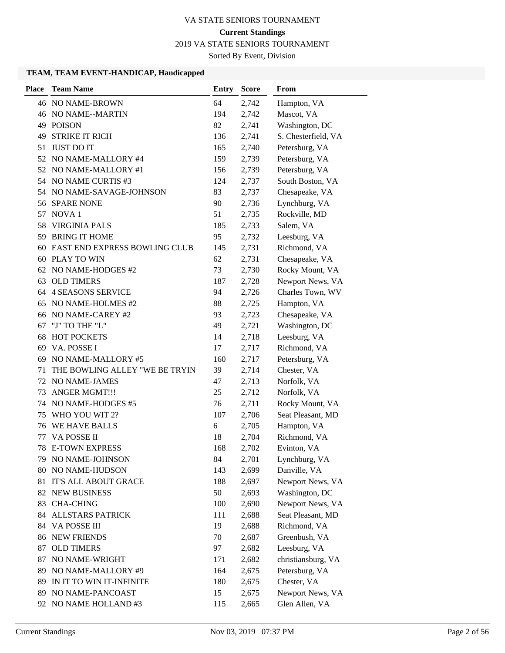2019 VA STATE SENIORS TOURNAMENT

Sorted By Event, Division

#### **TEAM, TEAM EVENT-HANDICAP, Handicapped**

| <b>Place</b> | <b>Team Name</b>                     | <b>Entry</b> | <b>Score</b> | From                |
|--------------|--------------------------------------|--------------|--------------|---------------------|
|              | 46 NO NAME-BROWN                     | 64           | 2,742        | Hampton, VA         |
|              | 46 NO NAME--MARTIN                   | 194          | 2,742        | Mascot, VA          |
| 49           | <b>POISON</b>                        | 82           | 2,741        | Washington, DC      |
| 49           | <b>STRIKE IT RICH</b>                | 136          | 2,741        | S. Chesterfield, VA |
| 51           | <b>JUST DO IT</b>                    | 165          | 2,740        | Petersburg, VA      |
| 52           | NO NAME-MALLORY #4                   | 159          | 2,739        | Petersburg, VA      |
| 52           | NO NAME-MALLORY #1                   | 156          | 2,739        | Petersburg, VA      |
|              | 54 NO NAME CURTIS #3                 | 124          | 2,737        | South Boston, VA    |
|              | 54 NO NAME-SAVAGE-JOHNSON            | 83           | 2,737        | Chesapeake, VA      |
| 56           | <b>SPARE NONE</b>                    | 90           | 2,736        | Lynchburg, VA       |
| 57           | NOVA <sub>1</sub>                    | 51           | 2,735        | Rockville, MD       |
| 58           | <b>VIRGINIA PALS</b>                 | 185          | 2,733        | Salem, VA           |
| 59           | <b>BRING IT HOME</b>                 | 95           | 2,732        | Leesburg, VA        |
| 60           | <b>EAST END EXPRESS BOWLING CLUB</b> | 145          | 2,731        | Richmond, VA        |
| 60           | PLAY TO WIN                          | 62           | 2,731        | Chesapeake, VA      |
| 62           | NO NAME-HODGES #2                    | 73           | 2,730        | Rocky Mount, VA     |
| 63           | <b>OLD TIMERS</b>                    | 187          | 2,728        | Newport News, VA    |
|              | 64 4 SEASONS SERVICE                 | 94           | 2,726        | Charles Town, WV    |
| 65           | NO NAME-HOLMES #2                    | 88           | 2,725        | Hampton, VA         |
| 66           | NO NAME-CAREY #2                     | 93           | 2,723        | Chesapeake, VA      |
| 67           | "J" TO THE "L"                       | 49           | 2,721        | Washington, DC      |
| 68           | <b>HOT POCKETS</b>                   | 14           | 2,718        | Leesburg, VA        |
| 69           | VA. POSSE I                          | 17           | 2,717        | Richmond, VA        |
| 69           | NO NAME-MALLORY #5                   | 160          | 2,717        | Petersburg, VA      |
| 71           | THE BOWLING ALLEY "WE BE TRYIN       | 39           | 2,714        | Chester, VA         |
| 72           | NO NAME-JAMES                        | 47           | 2,713        | Norfolk, VA         |
| 73           | <b>ANGER MGMT!!!</b>                 | 25           | 2,712        | Norfolk, VA         |
| 74           | NO NAME-HODGES #5                    | 76           | 2,711        | Rocky Mount, VA     |
| 75           | WHO YOU WIT 2?                       | 107          | 2,706        | Seat Pleasant, MD   |
| 76           | WE HAVE BALLS                        | 6            | 2,705        | Hampton, VA         |
| 77           | VA POSSE II                          | 18           | 2,704        | Richmond, VA        |
| 78           | <b>E-TOWN EXPRESS</b>                | 168          | 2,702        | Evinton, VA         |
|              | 79 NO NAME-JOHNSON                   | 84           | 2,701        | Lynchburg, VA       |
| 80           | NO NAME-HUDSON                       | 143          | 2,699        | Danville, VA        |
| 81           | IT'S ALL ABOUT GRACE                 | 188          | 2,697        | Newport News, VA    |
| 82           | <b>NEW BUSINESS</b>                  | 50           | 2,693        | Washington, DC      |
| 83           | <b>CHA-CHING</b>                     | 100          | 2,690        | Newport News, VA    |
| 84           | ALLSTARS PATRICK                     | 111          | 2,688        | Seat Pleasant, MD   |
| 84           | VA POSSE III                         | 19           | 2,688        | Richmond, VA        |
| 86           | <b>NEW FRIENDS</b>                   | 70           | 2,687        | Greenbush, VA       |
| 87           | <b>OLD TIMERS</b>                    | 97           | 2,682        | Leesburg, VA        |
| 87           | NO NAME-WRIGHT                       | 171          | 2,682        | christiansburg, VA  |
| 89           | NO NAME-MALLORY #9                   | 164          | 2,675        | Petersburg, VA      |
| 89           | IN IT TO WIN IT-INFINITE             | 180          | 2,675        | Chester, VA         |
| 89           | NO NAME-PANCOAST                     | 15           | 2,675        | Newport News, VA    |
|              | 92 NO NAME HOLLAND #3                | 115          | 2,665        | Glen Allen, VA      |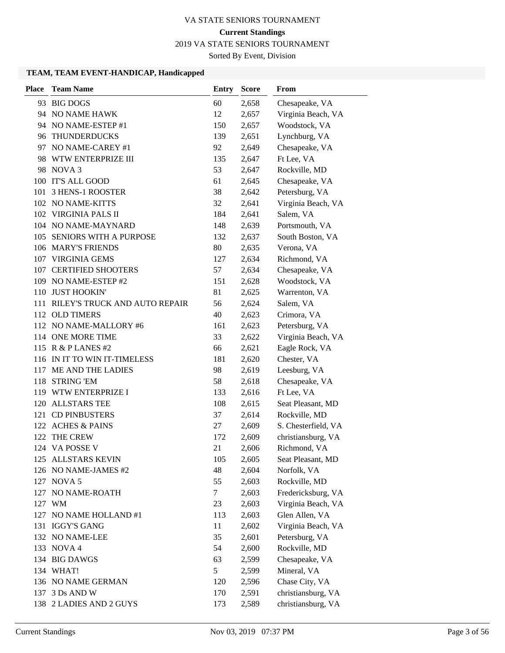2019 VA STATE SENIORS TOURNAMENT

Sorted By Event, Division

#### **TEAM, TEAM EVENT-HANDICAP, Handicapped**

| <b>Place</b> | <b>Team Name</b>                  | <b>Entry</b> | <b>Score</b> | From                |
|--------------|-----------------------------------|--------------|--------------|---------------------|
|              | 93 BIG DOGS                       | 60           | 2,658        | Chesapeake, VA      |
|              | 94 NO NAME HAWK                   | 12           | 2,657        | Virginia Beach, VA  |
|              | 94 NO NAME-ESTEP #1               | 150          | 2,657        | Woodstock, VA       |
|              | 96 THUNDERDUCKS                   | 139          | 2,651        | Lynchburg, VA       |
|              | 97 NO NAME-CAREY #1               | 92           | 2,649        | Chesapeake, VA      |
| 98.          | WTW ENTERPRIZE III                | 135          | 2,647        | Ft Lee, VA          |
|              | 98 NOVA 3                         | 53           | 2,647        | Rockville, MD       |
|              | 100 IT'S ALL GOOD                 | 61           | 2,645        | Chesapeake, VA      |
|              | 101 3 HENS-1 ROOSTER              | 38           | 2,642        | Petersburg, VA      |
|              | 102 NO NAME-KITTS                 | 32           | 2,641        | Virginia Beach, VA  |
|              | 102 VIRGINIA PALS II              | 184          | 2,641        | Salem, VA           |
|              | 104 NO NAME-MAYNARD               | 148          | 2,639        | Portsmouth, VA      |
|              | 105 SENIORS WITH A PURPOSE        | 132          | 2,637        | South Boston, VA    |
|              | 106 MARY'S FRIENDS                | 80           | 2,635        | Verona, VA          |
|              | 107 VIRGINIA GEMS                 | 127          | 2,634        | Richmond, VA        |
|              | 107 CERTIFIED SHOOTERS            | 57           | 2,634        | Chesapeake, VA      |
|              | 109 NO NAME-ESTEP #2              | 151          | 2,628        | Woodstock, VA       |
|              | 110 JUST HOOKIN'                  | 81           | 2,625        | Warrenton, VA       |
|              | 111 RILEY'S TRUCK AND AUTO REPAIR | 56           | 2,624        | Salem, VA           |
|              | 112 OLD TIMERS                    | 40           | 2,623        | Crimora, VA         |
|              | 112 NO NAME-MALLORY #6            | 161          | 2,623        | Petersburg, VA      |
|              | 114 ONE MORE TIME                 | 33           | 2,622        | Virginia Beach, VA  |
|              | 115 R & P LANES #2                | 66           | 2,621        | Eagle Rock, VA      |
|              | 116 IN IT TO WIN IT-TIMELESS      | 181          | 2,620        | Chester, VA         |
| 117          | ME AND THE LADIES                 | 98           | 2,619        | Leesburg, VA        |
|              | 118 STRING 'EM                    | 58           | 2,618        | Chesapeake, VA      |
|              | 119 WTW ENTERPRIZE I              | 133          | 2,616        | Ft Lee, VA          |
| 120          | <b>ALLSTARS TEE</b>               | 108          | 2,615        | Seat Pleasant, MD   |
|              | 121 CD PINBUSTERS                 | 37           | 2,614        | Rockville, MD       |
|              | 122 ACHES & PAINS                 | 27           | 2,609        | S. Chesterfield, VA |
|              | 122 THE CREW                      | 172          | 2,609        | christiansburg, VA  |
|              | 124 VA POSSE V                    | 21           | 2,606        | Richmond, VA        |
|              | 125 ALLSTARS KEVIN                | 105          | 2,605        | Seat Pleasant, MD   |
|              | 126 NO NAME-JAMES #2              | 48           | 2,604        | Norfolk, VA         |
|              | 127 NOVA 5                        | 55           | 2,603        | Rockville, MD       |
|              | 127 NO NAME-ROATH                 | $\tau$       | 2,603        | Fredericksburg, VA  |
|              | 127 WM                            | 23           | 2,603        | Virginia Beach, VA  |
| 127          | NO NAME HOLLAND #1                | 113          | 2,603        | Glen Allen, VA      |
|              | 131 IGGY'S GANG                   | 11           | 2,602        | Virginia Beach, VA  |
|              | 132 NO NAME-LEE                   | 35           | 2,601        | Petersburg, VA      |
|              | 133 NOVA 4                        | 54           | 2,600        | Rockville, MD       |
|              | 134 BIG DAWGS                     | 63           | 2,599        | Chesapeake, VA      |
|              | 134 WHAT!                         | 5            | 2,599        | Mineral, VA         |
|              | 136 NO NAME GERMAN                | 120          | 2,596        | Chase City, VA      |
|              | 137 3 Ds AND W                    | 170          | 2,591        | christiansburg, VA  |
|              | 138 2 LADIES AND 2 GUYS           | 173          | 2,589        | christiansburg, VA  |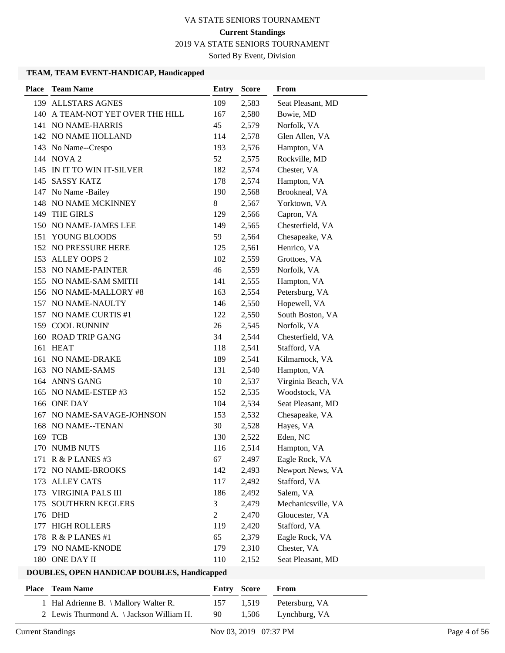2019 VA STATE SENIORS TOURNAMENT

Sorted By Event, Division

# **TEAM, TEAM EVENT-HANDICAP, Handicapped**

| <b>Place</b> | <b>Team Name</b>             | <b>Entry</b>   | <b>Score</b> | From               |
|--------------|------------------------------|----------------|--------------|--------------------|
| 139          | <b>ALLSTARS AGNES</b>        | 109            | 2,583        | Seat Pleasant, MD  |
| 140          | A TEAM-NOT YET OVER THE HILL | 167            | 2,580        | Bowie, MD          |
| 141          | NO NAME-HARRIS               | 45             | 2,579        | Norfolk, VA        |
|              | 142 NO NAME HOLLAND          | 114            | 2,578        | Glen Allen, VA     |
|              | 143 No Name--Crespo          | 193            | 2,576        | Hampton, VA        |
|              | 144 NOVA 2                   | 52             | 2,575        | Rockville, MD      |
|              | 145 IN IT TO WIN IT-SILVER   | 182            | 2,574        | Chester, VA        |
|              | 145 SASSY KATZ               | 178            | 2,574        | Hampton, VA        |
|              | 147 No Name -Bailey          | 190            | 2,568        | Brookneal, VA      |
| 148          | NO NAME MCKINNEY             | 8              | 2,567        | Yorktown, VA       |
|              | 149 THE GIRLS                | 129            | 2,566        | Capron, VA         |
| 150          | NO NAME-JAMES LEE            | 149            | 2,565        | Chesterfield, VA   |
| 151          | YOUNG BLOODS                 | 59             | 2,564        | Chesapeake, VA     |
|              | 152 NO PRESSURE HERE         | 125            | 2,561        | Henrico, VA        |
|              | 153 ALLEY OOPS 2             | 102            | 2,559        | Grottoes, VA       |
| 153          | NO NAME-PAINTER              | 46             | 2,559        | Norfolk, VA        |
|              | 155 NO NAME-SAM SMITH        | 141            | 2,555        | Hampton, VA        |
|              | 156 NO NAME-MALLORY #8       | 163            | 2,554        | Petersburg, VA     |
|              | 157 NO NAME-NAULTY           | 146            | 2,550        | Hopewell, VA       |
| 157          | NO NAME CURTIS #1            | 122            | 2,550        | South Boston, VA   |
|              | 159 COOL RUNNIN'             | 26             | 2,545        | Norfolk, VA        |
| 160          | <b>ROAD TRIP GANG</b>        | 34             | 2,544        | Chesterfield, VA   |
| 161          | <b>HEAT</b>                  | 118            | 2,541        | Stafford, VA       |
| 161          | NO NAME-DRAKE                | 189            | 2,541        | Kilmarnock, VA     |
|              | 163 NO NAME-SAMS             | 131            | 2,540        | Hampton, VA        |
|              | 164 ANN'S GANG               | 10             | 2,537        | Virginia Beach, VA |
|              | 165 NO NAME-ESTEP #3         | 152            | 2,535        | Woodstock, VA      |
|              | 166 ONE DAY                  | 104            | 2,534        | Seat Pleasant, MD  |
| 167          | NO NAME-SAVAGE-JOHNSON       | 153            | 2,532        | Chesapeake, VA     |
| 168          | NO NAME--TENAN               | 30             | 2,528        | Hayes, VA          |
|              | 169 TCB                      | 130            | 2,522        | Eden, NC           |
| 170          | <b>NUMB NUTS</b>             | 116            | 2,514        | Hampton, VA        |
|              | 171 R & P LANES #3           | 67             | 2,497        | Eagle Rock, VA     |
| 172          | NO NAME-BROOKS               | 142            | 2,493        | Newport News, VA   |
| 173          | <b>ALLEY CATS</b>            | 117            | 2,492        | Stafford, VA       |
| 173          | <b>VIRGINIA PALS III</b>     | 186            | 2,492        | Salem, VA          |
| 175          | <b>SOUTHERN KEGLERS</b>      | 3              | 2,479        | Mechanicsville, VA |
|              | 176 DHD                      | $\overline{c}$ | 2,470        | Gloucester, VA     |
|              | 177 HIGH ROLLERS             | 119            | 2,420        | Stafford, VA       |
| 178          | R & P LANES #1               | 65             | 2,379        | Eagle Rock, VA     |
|              | 179 NO NAME-KNODE            | 179            | 2,310        | Chester, VA        |
|              | 180 ONE DAY II               | 110            | 2,152        | Seat Pleasant, MD  |

| <b>Place – Team Name</b>                 |      | <b>Entry Score</b> | <b>From</b>              |
|------------------------------------------|------|--------------------|--------------------------|
| 1 Hal Adrienne B. \ Mallory Walter R.    |      |                    | 157 1.519 Petersburg, VA |
| 2 Lewis Thurmond A. \ Jackson William H. | -90- |                    | 1,506 Lynchburg, VA      |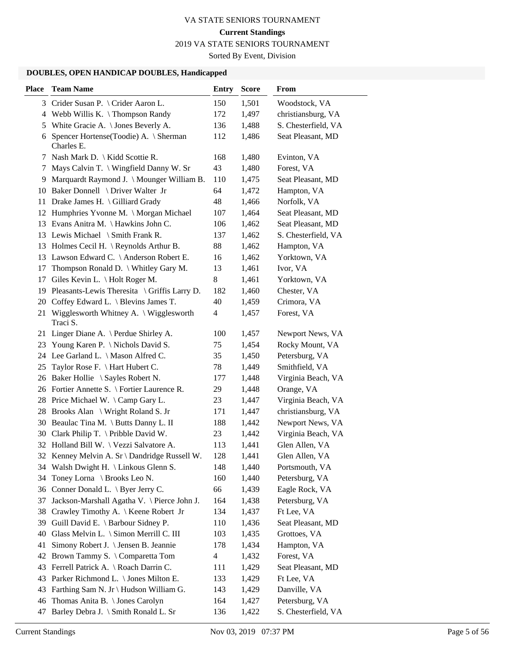2019 VA STATE SENIORS TOURNAMENT

Sorted By Event, Division

| <b>Place</b> | <b>Team Name</b>                                      | <b>Entry</b>   | <b>Score</b> | From                |
|--------------|-------------------------------------------------------|----------------|--------------|---------------------|
|              | 3 Crider Susan P. \ Crider Aaron L.                   | 150            | 1,501        | Woodstock, VA       |
| 4            | Webb Willis K. $\{$ Thompson Randy                    | 172            | 1,497        | christiansburg, VA  |
| 5            | White Gracie A. \ Jones Beverly A.                    | 136            | 1,488        | S. Chesterfield, VA |
| 6            | Spencer Hortense(Toodie) A. \ Sherman<br>Charles E.   | 112            | 1,486        | Seat Pleasant, MD   |
| 7            | Nash Mark D.   Kidd Scottie R.                        | 168            | 1,480        | Evinton, VA         |
| 7            | Mays Calvin T. \ Wingfield Danny W. Sr                | 43             | 1,480        | Forest, VA          |
|              | 9 Marquardt Raymond J. \ Mounger William B.           | 110            | 1,475        | Seat Pleasant, MD   |
|              | 10 Baker Donnell \ Driver Walter Jr                   | 64             | 1,472        | Hampton, VA         |
|              | 11 Drake James H. \Gilliard Grady                     | 48             | 1,466        | Norfolk, VA         |
|              | 12 Humphries Yvonne M. \ Morgan Michael               | 107            | 1,464        | Seat Pleasant, MD   |
|              | 13 Evans Anitra M. \ Hawkins John C.                  | 106            | 1,462        | Seat Pleasant, MD   |
|              | 13 Lewis Michael \ Smith Frank R.                     | 137            | 1,462        | S. Chesterfield, VA |
|              | 13 Holmes Cecil H. \ Reynolds Arthur B.               | 88             | 1,462        | Hampton, VA         |
|              | 13 Lawson Edward C. \ Anderson Robert E.              | 16             | 1,462        | Yorktown, VA        |
| 17           | Thompson Ronald D. \ Whitley Gary M.                  | 13             | 1,461        | Ivor, VA            |
| 17           | Giles Kevin L. \ Holt Roger M.                        | 8              | 1,461        | Yorktown, VA        |
|              | 19 Pleasants-Lewis Theresita \ Griffis Larry D.       | 182            | 1,460        | Chester, VA         |
|              | 20 Coffey Edward L. \ Blevins James T.                | 40             | 1,459        | Crimora, VA         |
|              | 21 Wigglesworth Whitney A. \ Wigglesworth<br>Traci S. | 4              | 1,457        | Forest, VA          |
|              | 21 Linger Diane A. \ Perdue Shirley A.                | 100            | 1,457        | Newport News, VA    |
| 23           | Young Karen P. \ Nichols David S.                     | 75             | 1,454        | Rocky Mount, VA     |
|              | 24 Lee Garland L. \ Mason Alfred C.                   | 35             | 1,450        | Petersburg, VA      |
| 25           | Taylor Rose F. \ Hart Hubert C.                       | 78             | 1,449        | Smithfield, VA      |
|              | 26 Baker Hollie \ Sayles Robert N.                    | 177            | 1,448        | Virginia Beach, VA  |
|              | 26 Fortier Annette S. \ Fortier Laurence R.           | 29             | 1,448        | Orange, VA          |
|              | 28 Price Michael W. \Camp Gary L.                     | 23             | 1,447        | Virginia Beach, VA  |
|              | 28 Brooks Alan \ Wright Roland S. Jr                  | 171            | 1,447        | christiansburg, VA  |
|              | 30 Beaulac Tina M. \ Butts Danny L. II                | 188            | 1,442        | Newport News, VA    |
|              | 30 Clark Philip T. \ Pribble David W.                 | 23             | 1,442        | Virginia Beach, VA  |
|              | 32 Holland Bill W. \ Vezzi Salvatore A.               | 113            | 1,441        | Glen Allen, VA      |
|              | 32 Kenney Melvin A. Sr \ Dandridge Russell W.         | 128            | 1,441        | Glen Allen, VA      |
| 34           | Walsh Dwight H. \ Linkous Glenn S.                    | 148            | 1,440        | Portsmouth, VA      |
| 34           | Toney Lorna \ Brooks Leo N.                           | 160            | 1,440        | Petersburg, VA      |
| 36           | Conner Donald L. \ Byer Jerry C.                      | 66             | 1,439        | Eagle Rock, VA      |
| 37           | Jackson-Marshall Agatha V. \ Pierce John J.           | 164            | 1,438        | Petersburg, VA      |
| 38           | Crawley Timothy A. \ Keene Robert Jr                  | 134            | 1,437        | Ft Lee, VA          |
| 39           | Guill David E. \ Barbour Sidney P.                    | 110            | 1,436        | Seat Pleasant, MD   |
| 40           | Glass Melvin L. \ Simon Merrill C. III                | 103            | 1,435        | Grottoes, VA        |
| 41           | Simony Robert J. \ Jensen B. Jeannie                  | 178            | 1,434        | Hampton, VA         |
| 42           | Brown Tammy S. \ Comparetta Tom                       | $\overline{4}$ | 1,432        | Forest, VA          |
| 43           | Ferrell Patrick A. \ Roach Darrin C.                  | 111            | 1,429        | Seat Pleasant, MD   |
| 43           | Parker Richmond L. \ Jones Milton E.                  | 133            | 1,429        | Ft Lee, VA          |
| 43           | Farthing Sam N. Jr \ Hudson William G.                | 143            | 1,429        | Danville, VA        |
| 46           | Thomas Anita B. \ Jones Carolyn                       | 164            | 1,427        | Petersburg, VA      |
| 47           | Barley Debra J. \ Smith Ronald L. Sr                  | 136            | 1,422        | S. Chesterfield, VA |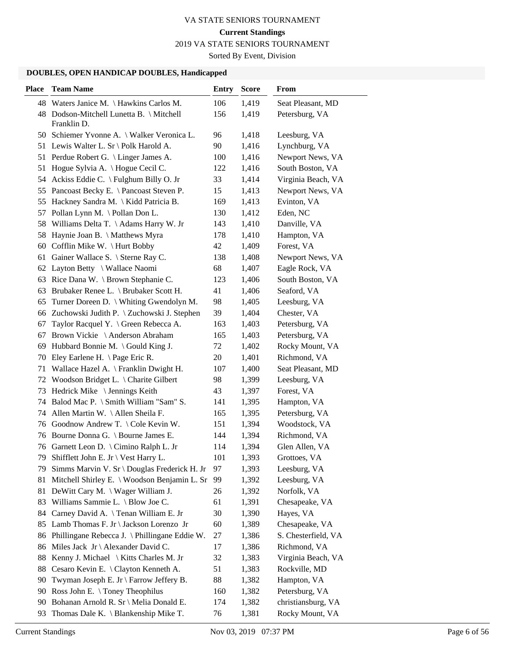2019 VA STATE SENIORS TOURNAMENT

Sorted By Event, Division

| 48 Waters Janice M. \ Hawkins Carlos M.<br>106<br>1,419<br>Seat Pleasant, MD<br>156<br>48 Dodson-Mitchell Lunetta B. \ Mitchell<br>1,419<br>Petersburg, VA<br>Franklin D.<br>50 Schiemer Yvonne A. \ Walker Veronica L.<br>96<br>1,418<br>Leesburg, VA<br>1,416<br>51 Lewis Walter L. Sr \ Polk Harold A.<br>90<br>Lynchburg, VA<br>51 Perdue Robert G. \ Linger James A.<br>100<br>1,416<br>Newport News, VA<br>Hogue Sylvia A. \Hogue Cecil C.<br>122<br>1,416<br>South Boston, VA<br>51<br>54 Ackiss Eddie C. \ Fulghum Billy O. Jr<br>33<br>1,414<br>Virginia Beach, VA<br>55 Pancoast Becky E. \ Pancoast Steven P.<br>15<br>1,413<br>Newport News, VA<br>Evinton, VA<br>Hackney Sandra M.   Kidd Patricia B.<br>169<br>1,413<br>55<br>Eden, NC<br>Pollan Lynn M. \Pollan Don L.<br>130<br>1,412<br>57<br>58 Williams Delta T. \Adams Harry W. Jr<br>143<br>1,410<br>Danville, VA<br>Haynie Joan B. \ Matthews Myra<br>178<br>1,410<br>Hampton, VA<br>58<br>Forest, VA<br>Cofflin Mike W. \ Hurt Bobby<br>42<br>1,409<br>60<br>Gainer Wallace S. \ Sterne Ray C.<br>138<br>1,408<br>Newport News, VA<br>61<br>68<br>62 Layton Betty \ Wallace Naomi<br>1,407<br>Eagle Rock, VA<br>63 Rice Dana W. \ Brown Stephanie C.<br>123<br>1,406<br>South Boston, VA<br>Brubaker Renee L. \ Brubaker Scott H.<br>41<br>1,406<br>Seaford, VA<br>63<br>98<br>Turner Doreen D. \ Whiting Gwendolyn M.<br>1,405<br>Leesburg, VA<br>65<br>66 Zuchowski Judith P. \ Zuchowski J. Stephen<br>39<br>1,404<br>Chester, VA<br>Taylor Racquel Y. \ Green Rebecca A.<br>163<br>1,403<br>Petersburg, VA<br>67<br>Brown Vickie \ Anderson Abraham<br>165<br>1,403<br>Petersburg, VA<br>67<br>69 Hubbard Bonnie M. \ Gould King J.<br>72<br>1,402<br>Rocky Mount, VA<br>70 Eley Earlene H. \Page Eric R.<br>20<br>1,401<br>Richmond, VA<br>Wallace Hazel A. \ Franklin Dwight H.<br>107<br>1,400<br>Seat Pleasant, MD<br>71<br>Woodson Bridget L. \ Charite Gilbert<br>98<br>Leesburg, VA<br>72<br>1,399<br>Hedrick Mike \ Jennings Keith<br>43<br>1,397<br>Forest, VA<br>73<br>Balod Mac P. \ Smith William "Sam" S.<br>141<br>1,395<br>Hampton, VA<br>74<br>Allen Martin W. \Allen Sheila F.<br>1,395<br>Petersburg, VA<br>74<br>165<br>76 Goodnow Andrew T. \ Cole Kevin W.<br>151<br>1,394<br>Woodstock, VA<br>76 Bourne Donna G. \ Bourne James E.<br>144<br>1,394<br>Richmond, VA<br>76 Garnett Leon D. \ Cimino Ralph L. Jr<br>114<br>1,394<br>Glen Allen, VA<br>1,393<br>Shifflett John E. Jr \ Vest Harry L.<br>101<br>Grottoes, VA<br>79.<br>Simms Marvin V. Sr \ Douglas Frederick H. Jr<br>97<br>1,393<br>Leesburg, VA<br>79<br>Mitchell Shirley E. \ Woodson Benjamin L. Sr<br>99<br>1,392<br>Leesburg, VA<br>81<br>DeWitt Cary M. \ Wager William J.<br>1,392<br>Norfolk, VA<br>81<br>26<br>Williams Sammie L. \ Blow Joe C.<br>61<br>1,391<br>Chesapeake, VA<br>83<br>Carney David A. \Tenan William E. Jr<br>Hayes, VA<br>30<br>1,390<br>84<br>60<br>Lamb Thomas F. Jr \ Jackson Lorenzo Jr<br>1,389<br>Chesapeake, VA<br>85<br>Phillingane Rebecca J. \ Phillingane Eddie W.<br>27<br>1,386<br>S. Chesterfield, VA<br>86<br>Miles Jack Jr \ Alexander David C.<br>17<br>1,386<br>Richmond, VA<br>86<br>Kenny J. Michael \ Kitts Charles M. Jr<br>Virginia Beach, VA<br>32<br>1,383<br>88<br>Cesaro Kevin E. \ Clayton Kenneth A.<br>51<br>Rockville, MD<br>88<br>1,383<br>Twyman Joseph E. Jr \ Farrow Jeffery B.<br>88<br>1,382<br>Hampton, VA<br>90<br>Ross John E. \Toney Theophilus<br>1,382<br>Petersburg, VA<br>90<br>160<br>Bohanan Arnold R. Sr \ Melia Donald E.<br>christiansburg, VA<br>1,382<br>174<br>90 | <b>Place</b> | <b>Team Name</b>                     | <b>Entry</b> | <b>Score</b> | From            |
|--------------------------------------------------------------------------------------------------------------------------------------------------------------------------------------------------------------------------------------------------------------------------------------------------------------------------------------------------------------------------------------------------------------------------------------------------------------------------------------------------------------------------------------------------------------------------------------------------------------------------------------------------------------------------------------------------------------------------------------------------------------------------------------------------------------------------------------------------------------------------------------------------------------------------------------------------------------------------------------------------------------------------------------------------------------------------------------------------------------------------------------------------------------------------------------------------------------------------------------------------------------------------------------------------------------------------------------------------------------------------------------------------------------------------------------------------------------------------------------------------------------------------------------------------------------------------------------------------------------------------------------------------------------------------------------------------------------------------------------------------------------------------------------------------------------------------------------------------------------------------------------------------------------------------------------------------------------------------------------------------------------------------------------------------------------------------------------------------------------------------------------------------------------------------------------------------------------------------------------------------------------------------------------------------------------------------------------------------------------------------------------------------------------------------------------------------------------------------------------------------------------------------------------------------------------------------------------------------------------------------------------------------------------------------------------------------------------------------------------------------------------------------------------------------------------------------------------------------------------------------------------------------------------------------------------------------------------------------------------------------------------------------------------------------------------------------------------------------------------------------------------------------------------------------------------------------------------------------------------------------------------------------------------------------------------------------------------------------------------------------------------------------------------------------------------------------------------------------------------------------------------------------------------------------------------------------------------------------------------------|--------------|--------------------------------------|--------------|--------------|-----------------|
|                                                                                                                                                                                                                                                                                                                                                                                                                                                                                                                                                                                                                                                                                                                                                                                                                                                                                                                                                                                                                                                                                                                                                                                                                                                                                                                                                                                                                                                                                                                                                                                                                                                                                                                                                                                                                                                                                                                                                                                                                                                                                                                                                                                                                                                                                                                                                                                                                                                                                                                                                                                                                                                                                                                                                                                                                                                                                                                                                                                                                                                                                                                                                                                                                                                                                                                                                                                                                                                                                                                                                                                                                    |              |                                      |              |              |                 |
|                                                                                                                                                                                                                                                                                                                                                                                                                                                                                                                                                                                                                                                                                                                                                                                                                                                                                                                                                                                                                                                                                                                                                                                                                                                                                                                                                                                                                                                                                                                                                                                                                                                                                                                                                                                                                                                                                                                                                                                                                                                                                                                                                                                                                                                                                                                                                                                                                                                                                                                                                                                                                                                                                                                                                                                                                                                                                                                                                                                                                                                                                                                                                                                                                                                                                                                                                                                                                                                                                                                                                                                                                    |              |                                      |              |              |                 |
|                                                                                                                                                                                                                                                                                                                                                                                                                                                                                                                                                                                                                                                                                                                                                                                                                                                                                                                                                                                                                                                                                                                                                                                                                                                                                                                                                                                                                                                                                                                                                                                                                                                                                                                                                                                                                                                                                                                                                                                                                                                                                                                                                                                                                                                                                                                                                                                                                                                                                                                                                                                                                                                                                                                                                                                                                                                                                                                                                                                                                                                                                                                                                                                                                                                                                                                                                                                                                                                                                                                                                                                                                    |              |                                      |              |              |                 |
|                                                                                                                                                                                                                                                                                                                                                                                                                                                                                                                                                                                                                                                                                                                                                                                                                                                                                                                                                                                                                                                                                                                                                                                                                                                                                                                                                                                                                                                                                                                                                                                                                                                                                                                                                                                                                                                                                                                                                                                                                                                                                                                                                                                                                                                                                                                                                                                                                                                                                                                                                                                                                                                                                                                                                                                                                                                                                                                                                                                                                                                                                                                                                                                                                                                                                                                                                                                                                                                                                                                                                                                                                    |              |                                      |              |              |                 |
|                                                                                                                                                                                                                                                                                                                                                                                                                                                                                                                                                                                                                                                                                                                                                                                                                                                                                                                                                                                                                                                                                                                                                                                                                                                                                                                                                                                                                                                                                                                                                                                                                                                                                                                                                                                                                                                                                                                                                                                                                                                                                                                                                                                                                                                                                                                                                                                                                                                                                                                                                                                                                                                                                                                                                                                                                                                                                                                                                                                                                                                                                                                                                                                                                                                                                                                                                                                                                                                                                                                                                                                                                    |              |                                      |              |              |                 |
|                                                                                                                                                                                                                                                                                                                                                                                                                                                                                                                                                                                                                                                                                                                                                                                                                                                                                                                                                                                                                                                                                                                                                                                                                                                                                                                                                                                                                                                                                                                                                                                                                                                                                                                                                                                                                                                                                                                                                                                                                                                                                                                                                                                                                                                                                                                                                                                                                                                                                                                                                                                                                                                                                                                                                                                                                                                                                                                                                                                                                                                                                                                                                                                                                                                                                                                                                                                                                                                                                                                                                                                                                    |              |                                      |              |              |                 |
|                                                                                                                                                                                                                                                                                                                                                                                                                                                                                                                                                                                                                                                                                                                                                                                                                                                                                                                                                                                                                                                                                                                                                                                                                                                                                                                                                                                                                                                                                                                                                                                                                                                                                                                                                                                                                                                                                                                                                                                                                                                                                                                                                                                                                                                                                                                                                                                                                                                                                                                                                                                                                                                                                                                                                                                                                                                                                                                                                                                                                                                                                                                                                                                                                                                                                                                                                                                                                                                                                                                                                                                                                    |              |                                      |              |              |                 |
|                                                                                                                                                                                                                                                                                                                                                                                                                                                                                                                                                                                                                                                                                                                                                                                                                                                                                                                                                                                                                                                                                                                                                                                                                                                                                                                                                                                                                                                                                                                                                                                                                                                                                                                                                                                                                                                                                                                                                                                                                                                                                                                                                                                                                                                                                                                                                                                                                                                                                                                                                                                                                                                                                                                                                                                                                                                                                                                                                                                                                                                                                                                                                                                                                                                                                                                                                                                                                                                                                                                                                                                                                    |              |                                      |              |              |                 |
|                                                                                                                                                                                                                                                                                                                                                                                                                                                                                                                                                                                                                                                                                                                                                                                                                                                                                                                                                                                                                                                                                                                                                                                                                                                                                                                                                                                                                                                                                                                                                                                                                                                                                                                                                                                                                                                                                                                                                                                                                                                                                                                                                                                                                                                                                                                                                                                                                                                                                                                                                                                                                                                                                                                                                                                                                                                                                                                                                                                                                                                                                                                                                                                                                                                                                                                                                                                                                                                                                                                                                                                                                    |              |                                      |              |              |                 |
|                                                                                                                                                                                                                                                                                                                                                                                                                                                                                                                                                                                                                                                                                                                                                                                                                                                                                                                                                                                                                                                                                                                                                                                                                                                                                                                                                                                                                                                                                                                                                                                                                                                                                                                                                                                                                                                                                                                                                                                                                                                                                                                                                                                                                                                                                                                                                                                                                                                                                                                                                                                                                                                                                                                                                                                                                                                                                                                                                                                                                                                                                                                                                                                                                                                                                                                                                                                                                                                                                                                                                                                                                    |              |                                      |              |              |                 |
|                                                                                                                                                                                                                                                                                                                                                                                                                                                                                                                                                                                                                                                                                                                                                                                                                                                                                                                                                                                                                                                                                                                                                                                                                                                                                                                                                                                                                                                                                                                                                                                                                                                                                                                                                                                                                                                                                                                                                                                                                                                                                                                                                                                                                                                                                                                                                                                                                                                                                                                                                                                                                                                                                                                                                                                                                                                                                                                                                                                                                                                                                                                                                                                                                                                                                                                                                                                                                                                                                                                                                                                                                    |              |                                      |              |              |                 |
|                                                                                                                                                                                                                                                                                                                                                                                                                                                                                                                                                                                                                                                                                                                                                                                                                                                                                                                                                                                                                                                                                                                                                                                                                                                                                                                                                                                                                                                                                                                                                                                                                                                                                                                                                                                                                                                                                                                                                                                                                                                                                                                                                                                                                                                                                                                                                                                                                                                                                                                                                                                                                                                                                                                                                                                                                                                                                                                                                                                                                                                                                                                                                                                                                                                                                                                                                                                                                                                                                                                                                                                                                    |              |                                      |              |              |                 |
|                                                                                                                                                                                                                                                                                                                                                                                                                                                                                                                                                                                                                                                                                                                                                                                                                                                                                                                                                                                                                                                                                                                                                                                                                                                                                                                                                                                                                                                                                                                                                                                                                                                                                                                                                                                                                                                                                                                                                                                                                                                                                                                                                                                                                                                                                                                                                                                                                                                                                                                                                                                                                                                                                                                                                                                                                                                                                                                                                                                                                                                                                                                                                                                                                                                                                                                                                                                                                                                                                                                                                                                                                    |              |                                      |              |              |                 |
|                                                                                                                                                                                                                                                                                                                                                                                                                                                                                                                                                                                                                                                                                                                                                                                                                                                                                                                                                                                                                                                                                                                                                                                                                                                                                                                                                                                                                                                                                                                                                                                                                                                                                                                                                                                                                                                                                                                                                                                                                                                                                                                                                                                                                                                                                                                                                                                                                                                                                                                                                                                                                                                                                                                                                                                                                                                                                                                                                                                                                                                                                                                                                                                                                                                                                                                                                                                                                                                                                                                                                                                                                    |              |                                      |              |              |                 |
|                                                                                                                                                                                                                                                                                                                                                                                                                                                                                                                                                                                                                                                                                                                                                                                                                                                                                                                                                                                                                                                                                                                                                                                                                                                                                                                                                                                                                                                                                                                                                                                                                                                                                                                                                                                                                                                                                                                                                                                                                                                                                                                                                                                                                                                                                                                                                                                                                                                                                                                                                                                                                                                                                                                                                                                                                                                                                                                                                                                                                                                                                                                                                                                                                                                                                                                                                                                                                                                                                                                                                                                                                    |              |                                      |              |              |                 |
|                                                                                                                                                                                                                                                                                                                                                                                                                                                                                                                                                                                                                                                                                                                                                                                                                                                                                                                                                                                                                                                                                                                                                                                                                                                                                                                                                                                                                                                                                                                                                                                                                                                                                                                                                                                                                                                                                                                                                                                                                                                                                                                                                                                                                                                                                                                                                                                                                                                                                                                                                                                                                                                                                                                                                                                                                                                                                                                                                                                                                                                                                                                                                                                                                                                                                                                                                                                                                                                                                                                                                                                                                    |              |                                      |              |              |                 |
|                                                                                                                                                                                                                                                                                                                                                                                                                                                                                                                                                                                                                                                                                                                                                                                                                                                                                                                                                                                                                                                                                                                                                                                                                                                                                                                                                                                                                                                                                                                                                                                                                                                                                                                                                                                                                                                                                                                                                                                                                                                                                                                                                                                                                                                                                                                                                                                                                                                                                                                                                                                                                                                                                                                                                                                                                                                                                                                                                                                                                                                                                                                                                                                                                                                                                                                                                                                                                                                                                                                                                                                                                    |              |                                      |              |              |                 |
|                                                                                                                                                                                                                                                                                                                                                                                                                                                                                                                                                                                                                                                                                                                                                                                                                                                                                                                                                                                                                                                                                                                                                                                                                                                                                                                                                                                                                                                                                                                                                                                                                                                                                                                                                                                                                                                                                                                                                                                                                                                                                                                                                                                                                                                                                                                                                                                                                                                                                                                                                                                                                                                                                                                                                                                                                                                                                                                                                                                                                                                                                                                                                                                                                                                                                                                                                                                                                                                                                                                                                                                                                    |              |                                      |              |              |                 |
|                                                                                                                                                                                                                                                                                                                                                                                                                                                                                                                                                                                                                                                                                                                                                                                                                                                                                                                                                                                                                                                                                                                                                                                                                                                                                                                                                                                                                                                                                                                                                                                                                                                                                                                                                                                                                                                                                                                                                                                                                                                                                                                                                                                                                                                                                                                                                                                                                                                                                                                                                                                                                                                                                                                                                                                                                                                                                                                                                                                                                                                                                                                                                                                                                                                                                                                                                                                                                                                                                                                                                                                                                    |              |                                      |              |              |                 |
|                                                                                                                                                                                                                                                                                                                                                                                                                                                                                                                                                                                                                                                                                                                                                                                                                                                                                                                                                                                                                                                                                                                                                                                                                                                                                                                                                                                                                                                                                                                                                                                                                                                                                                                                                                                                                                                                                                                                                                                                                                                                                                                                                                                                                                                                                                                                                                                                                                                                                                                                                                                                                                                                                                                                                                                                                                                                                                                                                                                                                                                                                                                                                                                                                                                                                                                                                                                                                                                                                                                                                                                                                    |              |                                      |              |              |                 |
|                                                                                                                                                                                                                                                                                                                                                                                                                                                                                                                                                                                                                                                                                                                                                                                                                                                                                                                                                                                                                                                                                                                                                                                                                                                                                                                                                                                                                                                                                                                                                                                                                                                                                                                                                                                                                                                                                                                                                                                                                                                                                                                                                                                                                                                                                                                                                                                                                                                                                                                                                                                                                                                                                                                                                                                                                                                                                                                                                                                                                                                                                                                                                                                                                                                                                                                                                                                                                                                                                                                                                                                                                    |              |                                      |              |              |                 |
|                                                                                                                                                                                                                                                                                                                                                                                                                                                                                                                                                                                                                                                                                                                                                                                                                                                                                                                                                                                                                                                                                                                                                                                                                                                                                                                                                                                                                                                                                                                                                                                                                                                                                                                                                                                                                                                                                                                                                                                                                                                                                                                                                                                                                                                                                                                                                                                                                                                                                                                                                                                                                                                                                                                                                                                                                                                                                                                                                                                                                                                                                                                                                                                                                                                                                                                                                                                                                                                                                                                                                                                                                    |              |                                      |              |              |                 |
|                                                                                                                                                                                                                                                                                                                                                                                                                                                                                                                                                                                                                                                                                                                                                                                                                                                                                                                                                                                                                                                                                                                                                                                                                                                                                                                                                                                                                                                                                                                                                                                                                                                                                                                                                                                                                                                                                                                                                                                                                                                                                                                                                                                                                                                                                                                                                                                                                                                                                                                                                                                                                                                                                                                                                                                                                                                                                                                                                                                                                                                                                                                                                                                                                                                                                                                                                                                                                                                                                                                                                                                                                    |              |                                      |              |              |                 |
|                                                                                                                                                                                                                                                                                                                                                                                                                                                                                                                                                                                                                                                                                                                                                                                                                                                                                                                                                                                                                                                                                                                                                                                                                                                                                                                                                                                                                                                                                                                                                                                                                                                                                                                                                                                                                                                                                                                                                                                                                                                                                                                                                                                                                                                                                                                                                                                                                                                                                                                                                                                                                                                                                                                                                                                                                                                                                                                                                                                                                                                                                                                                                                                                                                                                                                                                                                                                                                                                                                                                                                                                                    |              |                                      |              |              |                 |
|                                                                                                                                                                                                                                                                                                                                                                                                                                                                                                                                                                                                                                                                                                                                                                                                                                                                                                                                                                                                                                                                                                                                                                                                                                                                                                                                                                                                                                                                                                                                                                                                                                                                                                                                                                                                                                                                                                                                                                                                                                                                                                                                                                                                                                                                                                                                                                                                                                                                                                                                                                                                                                                                                                                                                                                                                                                                                                                                                                                                                                                                                                                                                                                                                                                                                                                                                                                                                                                                                                                                                                                                                    |              |                                      |              |              |                 |
|                                                                                                                                                                                                                                                                                                                                                                                                                                                                                                                                                                                                                                                                                                                                                                                                                                                                                                                                                                                                                                                                                                                                                                                                                                                                                                                                                                                                                                                                                                                                                                                                                                                                                                                                                                                                                                                                                                                                                                                                                                                                                                                                                                                                                                                                                                                                                                                                                                                                                                                                                                                                                                                                                                                                                                                                                                                                                                                                                                                                                                                                                                                                                                                                                                                                                                                                                                                                                                                                                                                                                                                                                    |              |                                      |              |              |                 |
|                                                                                                                                                                                                                                                                                                                                                                                                                                                                                                                                                                                                                                                                                                                                                                                                                                                                                                                                                                                                                                                                                                                                                                                                                                                                                                                                                                                                                                                                                                                                                                                                                                                                                                                                                                                                                                                                                                                                                                                                                                                                                                                                                                                                                                                                                                                                                                                                                                                                                                                                                                                                                                                                                                                                                                                                                                                                                                                                                                                                                                                                                                                                                                                                                                                                                                                                                                                                                                                                                                                                                                                                                    |              |                                      |              |              |                 |
|                                                                                                                                                                                                                                                                                                                                                                                                                                                                                                                                                                                                                                                                                                                                                                                                                                                                                                                                                                                                                                                                                                                                                                                                                                                                                                                                                                                                                                                                                                                                                                                                                                                                                                                                                                                                                                                                                                                                                                                                                                                                                                                                                                                                                                                                                                                                                                                                                                                                                                                                                                                                                                                                                                                                                                                                                                                                                                                                                                                                                                                                                                                                                                                                                                                                                                                                                                                                                                                                                                                                                                                                                    |              |                                      |              |              |                 |
|                                                                                                                                                                                                                                                                                                                                                                                                                                                                                                                                                                                                                                                                                                                                                                                                                                                                                                                                                                                                                                                                                                                                                                                                                                                                                                                                                                                                                                                                                                                                                                                                                                                                                                                                                                                                                                                                                                                                                                                                                                                                                                                                                                                                                                                                                                                                                                                                                                                                                                                                                                                                                                                                                                                                                                                                                                                                                                                                                                                                                                                                                                                                                                                                                                                                                                                                                                                                                                                                                                                                                                                                                    |              |                                      |              |              |                 |
|                                                                                                                                                                                                                                                                                                                                                                                                                                                                                                                                                                                                                                                                                                                                                                                                                                                                                                                                                                                                                                                                                                                                                                                                                                                                                                                                                                                                                                                                                                                                                                                                                                                                                                                                                                                                                                                                                                                                                                                                                                                                                                                                                                                                                                                                                                                                                                                                                                                                                                                                                                                                                                                                                                                                                                                                                                                                                                                                                                                                                                                                                                                                                                                                                                                                                                                                                                                                                                                                                                                                                                                                                    |              |                                      |              |              |                 |
|                                                                                                                                                                                                                                                                                                                                                                                                                                                                                                                                                                                                                                                                                                                                                                                                                                                                                                                                                                                                                                                                                                                                                                                                                                                                                                                                                                                                                                                                                                                                                                                                                                                                                                                                                                                                                                                                                                                                                                                                                                                                                                                                                                                                                                                                                                                                                                                                                                                                                                                                                                                                                                                                                                                                                                                                                                                                                                                                                                                                                                                                                                                                                                                                                                                                                                                                                                                                                                                                                                                                                                                                                    |              |                                      |              |              |                 |
|                                                                                                                                                                                                                                                                                                                                                                                                                                                                                                                                                                                                                                                                                                                                                                                                                                                                                                                                                                                                                                                                                                                                                                                                                                                                                                                                                                                                                                                                                                                                                                                                                                                                                                                                                                                                                                                                                                                                                                                                                                                                                                                                                                                                                                                                                                                                                                                                                                                                                                                                                                                                                                                                                                                                                                                                                                                                                                                                                                                                                                                                                                                                                                                                                                                                                                                                                                                                                                                                                                                                                                                                                    |              |                                      |              |              |                 |
|                                                                                                                                                                                                                                                                                                                                                                                                                                                                                                                                                                                                                                                                                                                                                                                                                                                                                                                                                                                                                                                                                                                                                                                                                                                                                                                                                                                                                                                                                                                                                                                                                                                                                                                                                                                                                                                                                                                                                                                                                                                                                                                                                                                                                                                                                                                                                                                                                                                                                                                                                                                                                                                                                                                                                                                                                                                                                                                                                                                                                                                                                                                                                                                                                                                                                                                                                                                                                                                                                                                                                                                                                    |              |                                      |              |              |                 |
|                                                                                                                                                                                                                                                                                                                                                                                                                                                                                                                                                                                                                                                                                                                                                                                                                                                                                                                                                                                                                                                                                                                                                                                                                                                                                                                                                                                                                                                                                                                                                                                                                                                                                                                                                                                                                                                                                                                                                                                                                                                                                                                                                                                                                                                                                                                                                                                                                                                                                                                                                                                                                                                                                                                                                                                                                                                                                                                                                                                                                                                                                                                                                                                                                                                                                                                                                                                                                                                                                                                                                                                                                    |              |                                      |              |              |                 |
|                                                                                                                                                                                                                                                                                                                                                                                                                                                                                                                                                                                                                                                                                                                                                                                                                                                                                                                                                                                                                                                                                                                                                                                                                                                                                                                                                                                                                                                                                                                                                                                                                                                                                                                                                                                                                                                                                                                                                                                                                                                                                                                                                                                                                                                                                                                                                                                                                                                                                                                                                                                                                                                                                                                                                                                                                                                                                                                                                                                                                                                                                                                                                                                                                                                                                                                                                                                                                                                                                                                                                                                                                    |              |                                      |              |              |                 |
|                                                                                                                                                                                                                                                                                                                                                                                                                                                                                                                                                                                                                                                                                                                                                                                                                                                                                                                                                                                                                                                                                                                                                                                                                                                                                                                                                                                                                                                                                                                                                                                                                                                                                                                                                                                                                                                                                                                                                                                                                                                                                                                                                                                                                                                                                                                                                                                                                                                                                                                                                                                                                                                                                                                                                                                                                                                                                                                                                                                                                                                                                                                                                                                                                                                                                                                                                                                                                                                                                                                                                                                                                    |              |                                      |              |              |                 |
|                                                                                                                                                                                                                                                                                                                                                                                                                                                                                                                                                                                                                                                                                                                                                                                                                                                                                                                                                                                                                                                                                                                                                                                                                                                                                                                                                                                                                                                                                                                                                                                                                                                                                                                                                                                                                                                                                                                                                                                                                                                                                                                                                                                                                                                                                                                                                                                                                                                                                                                                                                                                                                                                                                                                                                                                                                                                                                                                                                                                                                                                                                                                                                                                                                                                                                                                                                                                                                                                                                                                                                                                                    |              |                                      |              |              |                 |
|                                                                                                                                                                                                                                                                                                                                                                                                                                                                                                                                                                                                                                                                                                                                                                                                                                                                                                                                                                                                                                                                                                                                                                                                                                                                                                                                                                                                                                                                                                                                                                                                                                                                                                                                                                                                                                                                                                                                                                                                                                                                                                                                                                                                                                                                                                                                                                                                                                                                                                                                                                                                                                                                                                                                                                                                                                                                                                                                                                                                                                                                                                                                                                                                                                                                                                                                                                                                                                                                                                                                                                                                                    |              |                                      |              |              |                 |
|                                                                                                                                                                                                                                                                                                                                                                                                                                                                                                                                                                                                                                                                                                                                                                                                                                                                                                                                                                                                                                                                                                                                                                                                                                                                                                                                                                                                                                                                                                                                                                                                                                                                                                                                                                                                                                                                                                                                                                                                                                                                                                                                                                                                                                                                                                                                                                                                                                                                                                                                                                                                                                                                                                                                                                                                                                                                                                                                                                                                                                                                                                                                                                                                                                                                                                                                                                                                                                                                                                                                                                                                                    |              |                                      |              |              |                 |
|                                                                                                                                                                                                                                                                                                                                                                                                                                                                                                                                                                                                                                                                                                                                                                                                                                                                                                                                                                                                                                                                                                                                                                                                                                                                                                                                                                                                                                                                                                                                                                                                                                                                                                                                                                                                                                                                                                                                                                                                                                                                                                                                                                                                                                                                                                                                                                                                                                                                                                                                                                                                                                                                                                                                                                                                                                                                                                                                                                                                                                                                                                                                                                                                                                                                                                                                                                                                                                                                                                                                                                                                                    |              |                                      |              |              |                 |
|                                                                                                                                                                                                                                                                                                                                                                                                                                                                                                                                                                                                                                                                                                                                                                                                                                                                                                                                                                                                                                                                                                                                                                                                                                                                                                                                                                                                                                                                                                                                                                                                                                                                                                                                                                                                                                                                                                                                                                                                                                                                                                                                                                                                                                                                                                                                                                                                                                                                                                                                                                                                                                                                                                                                                                                                                                                                                                                                                                                                                                                                                                                                                                                                                                                                                                                                                                                                                                                                                                                                                                                                                    |              |                                      |              |              |                 |
|                                                                                                                                                                                                                                                                                                                                                                                                                                                                                                                                                                                                                                                                                                                                                                                                                                                                                                                                                                                                                                                                                                                                                                                                                                                                                                                                                                                                                                                                                                                                                                                                                                                                                                                                                                                                                                                                                                                                                                                                                                                                                                                                                                                                                                                                                                                                                                                                                                                                                                                                                                                                                                                                                                                                                                                                                                                                                                                                                                                                                                                                                                                                                                                                                                                                                                                                                                                                                                                                                                                                                                                                                    |              |                                      |              |              |                 |
|                                                                                                                                                                                                                                                                                                                                                                                                                                                                                                                                                                                                                                                                                                                                                                                                                                                                                                                                                                                                                                                                                                                                                                                                                                                                                                                                                                                                                                                                                                                                                                                                                                                                                                                                                                                                                                                                                                                                                                                                                                                                                                                                                                                                                                                                                                                                                                                                                                                                                                                                                                                                                                                                                                                                                                                                                                                                                                                                                                                                                                                                                                                                                                                                                                                                                                                                                                                                                                                                                                                                                                                                                    |              |                                      |              |              |                 |
|                                                                                                                                                                                                                                                                                                                                                                                                                                                                                                                                                                                                                                                                                                                                                                                                                                                                                                                                                                                                                                                                                                                                                                                                                                                                                                                                                                                                                                                                                                                                                                                                                                                                                                                                                                                                                                                                                                                                                                                                                                                                                                                                                                                                                                                                                                                                                                                                                                                                                                                                                                                                                                                                                                                                                                                                                                                                                                                                                                                                                                                                                                                                                                                                                                                                                                                                                                                                                                                                                                                                                                                                                    |              |                                      |              |              |                 |
|                                                                                                                                                                                                                                                                                                                                                                                                                                                                                                                                                                                                                                                                                                                                                                                                                                                                                                                                                                                                                                                                                                                                                                                                                                                                                                                                                                                                                                                                                                                                                                                                                                                                                                                                                                                                                                                                                                                                                                                                                                                                                                                                                                                                                                                                                                                                                                                                                                                                                                                                                                                                                                                                                                                                                                                                                                                                                                                                                                                                                                                                                                                                                                                                                                                                                                                                                                                                                                                                                                                                                                                                                    |              |                                      |              |              |                 |
|                                                                                                                                                                                                                                                                                                                                                                                                                                                                                                                                                                                                                                                                                                                                                                                                                                                                                                                                                                                                                                                                                                                                                                                                                                                                                                                                                                                                                                                                                                                                                                                                                                                                                                                                                                                                                                                                                                                                                                                                                                                                                                                                                                                                                                                                                                                                                                                                                                                                                                                                                                                                                                                                                                                                                                                                                                                                                                                                                                                                                                                                                                                                                                                                                                                                                                                                                                                                                                                                                                                                                                                                                    | 93           | Thomas Dale K. \ Blankenship Mike T. | 76           | 1,381        | Rocky Mount, VA |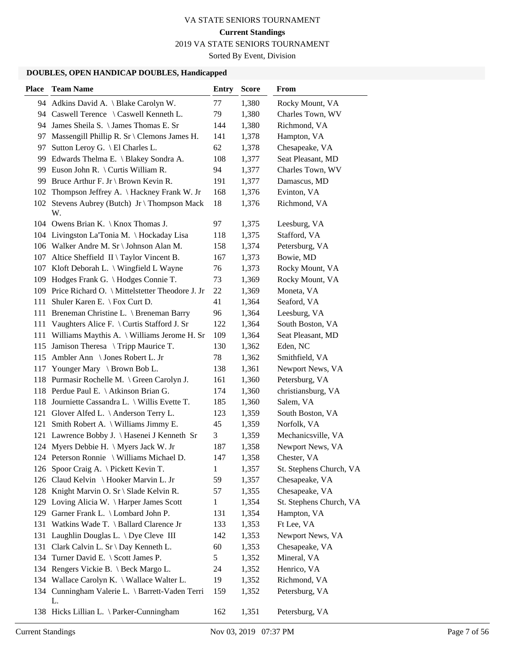2019 VA STATE SENIORS TOURNAMENT

Sorted By Event, Division

# **DOUBLES, OPEN HANDICAP DOUBLES, Handicapped**

| <b>Place</b> | <b>Team Name</b>                                      | <b>Entry</b> | <b>Score</b> | From                    |
|--------------|-------------------------------------------------------|--------------|--------------|-------------------------|
|              | 94 Adkins David A. \ Blake Carolyn W.                 | 77           | 1,380        | Rocky Mount, VA         |
|              | 94 Caswell Terence \ Caswell Kenneth L.               | 79           | 1,380        | Charles Town, WV        |
|              | 94 James Sheila S. \ James Thomas E. Sr               | 144          | 1,380        | Richmond, VA            |
| 97           | Massengill Phillip R. Sr \ Clemons James H.           | 141          | 1,378        | Hampton, VA             |
| 97           | Sutton Leroy G. \ El Charles L.                       | 62           | 1,378        | Chesapeake, VA          |
| 99.          | Edwards Thelma E. \ Blakey Sondra A.                  | 108          | 1,377        | Seat Pleasant, MD       |
|              | 99 Euson John R. \ Curtis William R.                  | 94           | 1,377        | Charles Town, WV        |
| 99           | Bruce Arthur F. Jr \ Brown Kevin R.                   | 191          | 1,377        | Damascus, MD            |
| 102          | Thompson Jeffrey A. \Hackney Frank W. Jr              | 168          | 1,376        | Evinton, VA             |
|              | 102 Stevens Aubrey (Butch) Jr \ Thompson Mack<br>W.   | 18           | 1,376        | Richmond, VA            |
|              | 104 Owens Brian K. \ Knox Thomas J.                   | 97           | 1,375        | Leesburg, VA            |
| 104          | Livingston La'Tonia M. \ Hockaday Lisa                | 118          | 1,375        | Stafford, VA            |
|              | 106 Walker Andre M. Sr \ Johnson Alan M.              | 158          | 1,374        | Petersburg, VA          |
| 107          | Altice Sheffield $II \setminus Taylor$ Vincent B.     | 167          | 1,373        | Bowie, MD               |
|              | 107 Kloft Deborah L. \ Wingfield L Wayne              | 76           | 1,373        | Rocky Mount, VA         |
| 109          | Hodges Frank G. \ Hodges Connie T.                    | 73           | 1,369        | Rocky Mount, VA         |
|              | 109 Price Richard O. \ Mittelstetter Theodore J. Jr   | 22           | 1,369        | Moneta, VA              |
| 111          | Shuler Karen E. \ Fox Curt D.                         | 41           | 1,364        | Seaford, VA             |
| 111          | Breneman Christine L. \ Breneman Barry                | 96           | 1,364        | Leesburg, VA            |
| 111          | Vaughters Alice F. \ Curtis Stafford J. Sr            | 122          | 1,364        | South Boston, VA        |
| 111          | Williams Maythis A. \ Williams Jerome H. Sr           | 109          | 1,364        | Seat Pleasant, MD       |
| 115          | Jamison Theresa \ Tripp Maurice T.                    | 130          | 1,362        | Eden, NC                |
| 115          | Ambler Ann \ Jones Robert L. Jr                       | 78           | 1,362        | Smithfield, VA          |
| 117          | Younger Mary \ Brown Bob L.                           | 138          | 1,361        | Newport News, VA        |
|              | 118 Purmasir Rochelle M. \ Green Carolyn J.           | 161          | 1,360        | Petersburg, VA          |
|              | 118 Perdue Paul E. \ Atkinson Brian G.                | 174          | 1,360        | christiansburg, VA      |
| 118          | Journiette Cassandra L. \ Willis Evette T.            | 185          | 1,360        | Salem, VA               |
| 121          | Glover Alfed L. \ Anderson Terry L.                   | 123          | 1,359        | South Boston, VA        |
| 121          | Smith Robert A. \ Williams Jimmy E.                   | 45           | 1,359        | Norfolk, VA             |
| 121          | Lawrence Bobby J. \ Hasenei J Kenneth Sr              | 3            | 1,359        | Mechanicsville, VA      |
|              | 124 Myers Debbie H. \ Myers Jack W. Jr                | 187          | 1,358        | Newport News, VA        |
|              | 124 Peterson Ronnie \ Williams Michael D.             | 147          | 1,358        | Chester, VA             |
| 126          | Spoor Craig A. \ Pickett Kevin T.                     | 1            | 1,357        | St. Stephens Church, VA |
|              | 126 Claud Kelvin \ Hooker Marvin L. Jr                | 59           | 1,357        | Chesapeake, VA          |
|              | 128 Knight Marvin O. Sr \ Slade Kelvin R.             | 57           | 1,355        | Chesapeake, VA          |
|              | 129 Loving Alicia W. \ Harper James Scott             | $\mathbf{1}$ | 1,354        | St. Stephens Church, VA |
| 129          | Garner Frank L. \ Lombard John P.                     | 131          | 1,354        | Hampton, VA             |
| 131          | Watkins Wade T. \ Ballard Clarence Jr                 | 133          | 1,353        | Ft Lee, VA              |
| 131          | Laughlin Douglas L. \ Dye Cleve III                   | 142          | 1,353        | Newport News, VA        |
| 131          | Clark Calvin L. Sr \ Day Kenneth L.                   | 60           | 1,353        | Chesapeake, VA          |
| 134          | Turner David E. \ Scott James P.                      | 5            | 1,352        | Mineral, VA             |
|              | 134 Rengers Vickie B. \ Beck Margo L.                 | 24           | 1,352        | Henrico, VA             |
|              | 134 Wallace Carolyn K. \ Wallace Walter L.            | 19           | 1,352        | Richmond, VA            |
|              | 134 Cunningham Valerie L. \ Barrett-Vaden Terri<br>L. | 159          | 1,352        | Petersburg, VA          |
|              | 138 Hicks Lillian L. \ Parker-Cunningham              | 162          | 1,351        | Petersburg, VA          |

Wilhemenia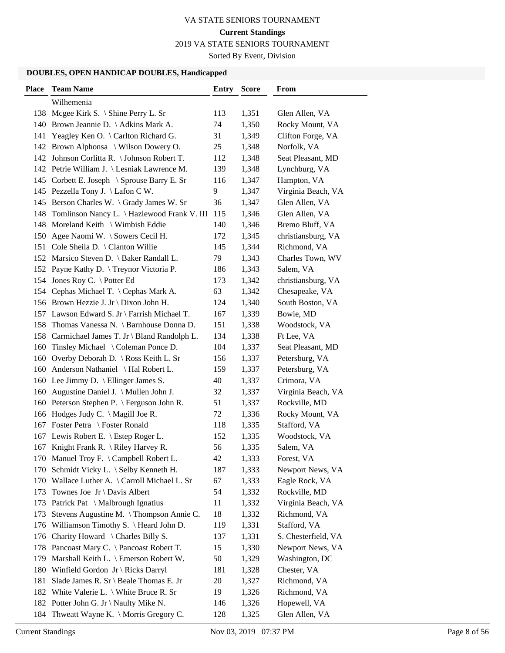2019 VA STATE SENIORS TOURNAMENT

Sorted By Event, Division

| <b>Place</b> | <b>Team Name</b>                               | <b>Entry Score</b> |       | From                |
|--------------|------------------------------------------------|--------------------|-------|---------------------|
|              | Wilhemenia                                     |                    |       |                     |
|              | 138 Mcgee Kirk S. \ Shine Perry L. Sr          | 113                | 1,351 | Glen Allen, VA      |
|              | 140 Brown Jeannie D. \Adkins Mark A.           | 74                 | 1,350 | Rocky Mount, VA     |
| 141          | Yeagley Ken O. \ Carlton Richard G.            | 31                 | 1,349 | Clifton Forge, VA   |
|              | 142 Brown Alphonsa \ Wilson Dowery O.          | 25                 | 1,348 | Norfolk, VA         |
|              | 142 Johnson Corlitta R. \ Johnson Robert T.    | 112                | 1,348 | Seat Pleasant, MD   |
|              | 142 Petrie William J. \ Lesniak Lawrence M.    | 139                | 1,348 | Lynchburg, VA       |
|              | 145 Corbett E. Joseph \ Sprouse Barry E. Sr    | 116                | 1,347 | Hampton, VA         |
|              | 145 Pezzella Tony J. \ Lafon C W.              | 9                  | 1,347 | Virginia Beach, VA  |
|              | 145 Berson Charles W. \ Grady James W. Sr      | 36                 | 1,347 | Glen Allen, VA      |
| 148          | Tomlinson Nancy L. \ Hazlewood Frank V. III    | 115                | 1,346 | Glen Allen, VA      |
| 148          | Moreland Keith \ Wimbish Eddie                 | 140                | 1,346 | Bremo Bluff, VA     |
|              | 150 Agee Naomi W. \ Sowers Cecil H.            | 172                | 1,345 | christiansburg, VA  |
|              | 151 Cole Sheila D. \ Clanton Willie            | 145                | 1,344 | Richmond, VA        |
|              | 152 Marsico Steven D. \ Baker Randall L.       | 79                 | 1,343 | Charles Town, WV    |
|              | 152 Payne Kathy D. \ Treynor Victoria P.       | 186                | 1,343 | Salem, VA           |
| 154          | Jones Roy C. \ Potter Ed                       | 173                | 1,342 | christiansburg, VA  |
|              | 154 Cephas Michael T. \ Cephas Mark A.         | 63                 | 1,342 | Chesapeake, VA      |
|              | 156 Brown Hezzie J. Jr \ Dixon John H.         | 124                | 1,340 | South Boston, VA    |
|              | 157 Lawson Edward S. Jr \ Farrish Michael T.   | 167                | 1,339 | Bowie, MD           |
| 158          | Thomas Vanessa N. \ Barnhouse Donna D.         | 151                | 1,338 | Woodstock, VA       |
|              | 158 Carmichael James T. Jr \ Bland Randolph L. | 134                | 1,338 | Ft Lee, VA          |
| 160          | Tinsley Michael $\setminus$ Coleman Ponce D.   | 104                | 1,337 | Seat Pleasant, MD   |
|              | 160 Overby Deborah D. \ Ross Keith L. Sr       | 156                | 1,337 | Petersburg, VA      |
|              | 160 Anderson Nathaniel \ Hal Robert L.         | 159                | 1,337 | Petersburg, VA      |
|              | 160 Lee Jimmy D. \ Ellinger James S.           | 40                 | 1,337 | Crimora, VA         |
| 160          | Augustine Daniel J. \ Mullen John J.           | 32                 | 1,337 | Virginia Beach, VA  |
|              | 160 Peterson Stephen P. \ Ferguson John R.     | 51                 | 1,337 | Rockville, MD       |
|              | 166 Hodges Judy C. \ Magill Joe R.             | 72                 | 1,336 | Rocky Mount, VA     |
|              | 167 Foster Petra \ Foster Ronald               | 118                | 1,335 | Stafford, VA        |
|              | 167 Lewis Robert E. \ Estep Roger L.           | 152                | 1,335 | Woodstock, VA       |
|              | 167 Knight Frank R. \ Riley Harvey R.          | 56                 | 1,335 | Salem, VA           |
|              | 170 Manuel Troy F. \ Campbell Robert L.        | 42                 | 1,333 | Forest, VA          |
|              | 170 Schmidt Vicky L. \ Selby Kenneth H.        | 187                | 1,333 | Newport News, VA    |
|              | 170 Wallace Luther A. \ Carroll Michael L. Sr  | 67                 | 1,333 | Eagle Rock, VA      |
| 173          | Townes Joe $Jr \ Davis$ Albert                 | 54                 | 1,332 | Rockville, MD       |
| 173          | Patrick Pat \ Malbrough Ignatius               | 11                 | 1,332 | Virginia Beach, VA  |
| 173          | Stevens Augustine M. \Thompson Annie C.        | 18                 | 1,332 | Richmond, VA        |
| 176          | Williamson Timothy S. \ Heard John D.          | 119                | 1,331 | Stafford, VA        |
|              | 176 Charity Howard \ Charles Billy S.          | 137                | 1,331 | S. Chesterfield, VA |
|              | 178 Pancoast Mary C. \ Pancoast Robert T.      | 15                 | 1,330 | Newport News, VA    |
|              | 179 Marshall Keith L. \ Emerson Robert W.      | 50                 | 1,329 | Washington, DC      |
|              | 180 Winfield Gordon Jr \ Ricks Darryl          | 181                | 1,328 | Chester, VA         |
| 181          | Slade James R. Sr \ Beale Thomas E. Jr         | 20                 | 1,327 | Richmond, VA        |
| 182          | White Valerie L. $\setminus$ White Bruce R. Sr | 19                 | 1,326 | Richmond, VA        |
|              | 182 Potter John G. Jr \ Naulty Mike N.         | 146                | 1,326 | Hopewell, VA        |
| 184          | Thweatt Wayne K. \ Morris Gregory C.           | 128                | 1,325 | Glen Allen, VA      |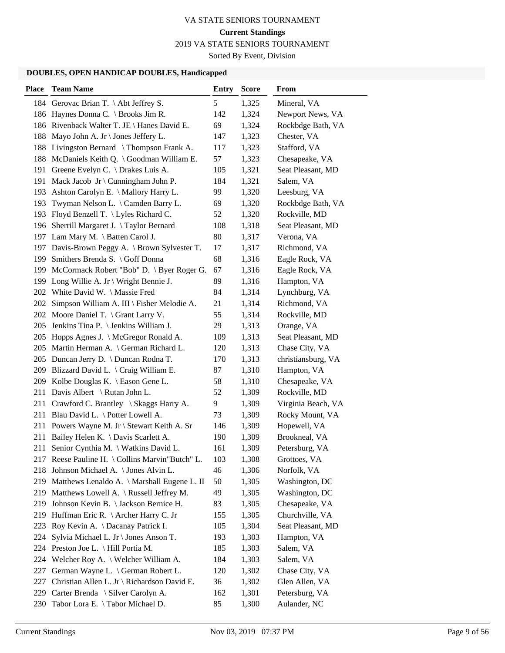2019 VA STATE SENIORS TOURNAMENT

Sorted By Event, Division

| <b>Place</b> | <b>Team Name</b>                                | <b>Entry</b> | <b>Score</b> | From               |
|--------------|-------------------------------------------------|--------------|--------------|--------------------|
|              | 184 Gerovac Brian T. \Abt Jeffrey S.            | 5            | 1,325        | Mineral, VA        |
|              | 186 Haynes Donna C. \ Brooks Jim R.             | 142          | 1,324        | Newport News, VA   |
|              | 186 Rivenback Walter T. JE \ Hanes David E.     | 69           | 1,324        | Rockbdge Bath, VA  |
| 188          | Mayo John A. Jr \ Jones Jeffery L.              | 147          | 1,323        | Chester, VA        |
| 188          | Livingston Bernard \ Thompson Frank A.          | 117          | 1,323        | Stafford, VA       |
| 188          | McDaniels Keith Q. \ Goodman William E.         | 57           | 1,323        | Chesapeake, VA     |
| 191          | Greene Evelyn C. \ Drakes Luis A.               | 105          | 1,321        | Seat Pleasant, MD  |
| 191          | Mack Jacob Jr \ Cunningham John P.              | 184          | 1,321        | Salem, VA          |
| 193          | Ashton Carolyn E. \ Mallory Harry L.            | 99           | 1,320        | Leesburg, VA       |
| 193          | Twyman Nelson L. \ Camden Barry L.              | 69           | 1,320        | Rockbdge Bath, VA  |
|              | 193 Floyd Benzell T. \ Lyles Richard C.         | 52           | 1,320        | Rockville, MD      |
| 196          | Sherrill Margaret J. \Taylor Bernard            | 108          | 1,318        | Seat Pleasant, MD  |
|              | 197 Lam Mary M. \ Batten Carol J.               | 80           | 1,317        | Verona, VA         |
|              | 197 Davis-Brown Peggy A. \ Brown Sylvester T.   | 17           | 1,317        | Richmond, VA       |
| 199          | Smithers Brenda S. \ Goff Donna                 | 68           | 1,316        | Eagle Rock, VA     |
| 199          | McCormack Robert "Bob" D. \ Byer Roger G.       | 67           | 1,316        | Eagle Rock, VA     |
| 199          | Long Willie A. Jr \ Wright Bennie J.            | 89           | 1,316        | Hampton, VA        |
|              | 202 White David W. \ Massie Fred                | 84           | 1,314        | Lynchburg, VA      |
| 202          | Simpson William A. III \ Fisher Melodie A.      | 21           | 1,314        | Richmond, VA       |
|              | 202 Moore Daniel T. \ Grant Larry V.            | 55           | 1,314        | Rockville, MD      |
| 205          | Jenkins Tina P. \ Jenkins William J.            | 29           | 1,313        | Orange, VA         |
|              | 205 Hopps Agnes J. \ McGregor Ronald A.         | 109          | 1,313        | Seat Pleasant, MD  |
|              | 205 Martin Herman A. \ German Richard L.        | 120          | 1,313        | Chase City, VA     |
|              | 205 Duncan Jerry D. \ Duncan Rodna T.           | 170          | 1,313        | christiansburg, VA |
| 209          | Blizzard David L. $\setminus$ Craig William E.  | 87           | 1,310        | Hampton, VA        |
| 209          | Kolbe Douglas K. $\setminus$ Eason Gene L.      | 58           | 1,310        | Chesapeake, VA     |
| 211          | Davis Albert \ Rutan John L.                    | 52           | 1,309        | Rockville, MD      |
| 211          | Crawford C. Brantley \ Skaggs Harry A.          | 9            | 1,309        | Virginia Beach, VA |
| 211          | Blau David L. \ Potter Lowell A.                | 73           | 1,309        | Rocky Mount, VA    |
| 211          | Powers Wayne M. Jr \ Stewart Keith A. Sr        | 146          | 1,309        | Hopewell, VA       |
| 211          | Bailey Helen K. \ Davis Scarlett A.             | 190          | 1,309        | Brookneal, VA      |
| 211          | Senior Cynthia M. \ Watkins David L.            | 161          | 1,309        | Petersburg, VA     |
|              | 217 Reese Pauline H. \ Collins Marvin"Butch" L. | 103          | 1,308        | Grottoes, VA       |
| 218          | Johnson Michael A. \ Jones Alvin L.             | 46           | 1,306        | Norfolk, VA        |
|              | 219 Matthews Lenaldo A. \ Marshall Eugene L. II | 50           | 1,305        | Washington, DC     |
|              | 219 Matthews Lowell A. \ Russell Jeffrey M.     | 49           | 1,305        | Washington, DC     |
| 219          | Johnson Kevin B. \ Jackson Bernice H.           | 83           | 1,305        | Chesapeake, VA     |
| 219          | Huffman Eric R. \ Archer Harry C. Jr            | 155          | 1,305        | Churchville, VA    |
| 223          | Roy Kevin A. \Dacanay Patrick I.                | 105          | 1,304        | Seat Pleasant, MD  |
| 224          | Sylvia Michael L. Jr \ Jones Anson T.           | 193          | 1,303        | Hampton, VA        |
| 224          | Preston Joe L. \ Hill Portia M.                 | 185          | 1,303        | Salem, VA          |
| 224          | Welcher Roy A. \ Welcher William A.             | 184          | 1,303        | Salem, VA          |
| 227          | German Wayne L. \ German Robert L.              | 120          | 1,302        | Chase City, VA     |
| 227          | Christian Allen L. Jr \ Richardson David E.     | 36           | 1,302        | Glen Allen, VA     |
| 229          | Carter Brenda \ Silver Carolyn A.               | 162          | 1,301        | Petersburg, VA     |
| 230          | Tabor Lora E. \Tabor Michael D.                 | 85           | 1,300        | Aulander, NC       |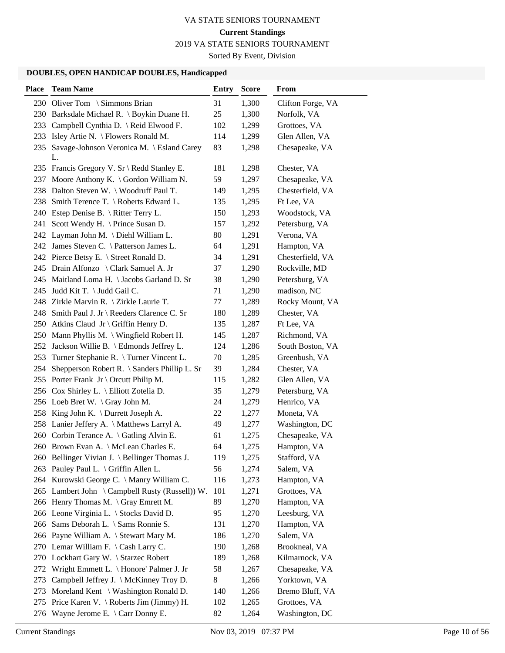2019 VA STATE SENIORS TOURNAMENT

Sorted By Event, Division

| <b>Place</b> | <b>Team Name</b>                                    | <b>Entry</b> | <b>Score</b> | From              |
|--------------|-----------------------------------------------------|--------------|--------------|-------------------|
|              | 230 Oliver Tom \ Simmons Brian                      | 31           | 1,300        | Clifton Forge, VA |
|              | 230 Barksdale Michael R. \ Boykin Duane H.          | 25           | 1,300        | Norfolk, VA       |
|              | 233 Campbell Cynthia D. \ Reid Elwood F.            | 102          | 1,299        | Grottoes, VA      |
|              | 233 Isley Artie N. \ Flowers Ronald M.              | 114          | 1,299        | Glen Allen, VA    |
|              | 235 Savage-Johnson Veronica M. \ Esland Carey<br>L. | 83           | 1,298        | Chesapeake, VA    |
|              | 235 Francis Gregory V. Sr \ Redd Stanley E.         | 181          | 1,298        | Chester, VA       |
|              | 237 Moore Anthony K. \ Gordon William N.            | 59           | 1,297        | Chesapeake, VA    |
|              | 238 Dalton Steven W. \ Woodruff Paul T.             | 149          | 1,295        | Chesterfield, VA  |
|              | 238 Smith Terence T. \ Roberts Edward L.            | 135          | 1,295        | Ft Lee, VA        |
|              | 240 Estep Denise B. \ Ritter Terry L.               | 150          | 1,293        | Woodstock, VA     |
|              | 241 Scott Wendy H. \ Prince Susan D.                | 157          | 1,292        | Petersburg, VA    |
|              | 242 Layman John M. \ Diehl William L.               | 80           | 1,291        | Verona, VA        |
|              | 242 James Steven C. \ Patterson James L.            | 64           | 1,291        | Hampton, VA       |
|              | 242 Pierce Betsy E. \ Street Ronald D.              | 34           | 1,291        | Chesterfield, VA  |
|              | 245 Drain Alfonzo \ Clark Samuel A. Jr              | 37           | 1,290        | Rockville, MD     |
|              | 245 Maitland Loma H. \ Jacobs Garland D. Sr         | 38           | 1,290        | Petersburg, VA    |
|              | 245 Judd Kit T. \ Judd Gail C.                      | 71           | 1,290        | madison, NC       |
|              | 248 Zirkle Marvin R. \ Zirkle Laurie T.             | 77           | 1,289        | Rocky Mount, VA   |
|              | 248 Smith Paul J. Jr \ Reeders Clarence C. Sr       | 180          | 1,289        | Chester, VA       |
|              | 250 Atkins Claud Jr \ Griffin Henry D.              | 135          | 1,287        | Ft Lee, VA        |
|              | 250 Mann Phyllis M. \ Wingfield Robert H.           | 145          | 1,287        | Richmond, VA      |
|              | 252 Jackson Willie B. \ Edmonds Jeffrey L.          | 124          | 1,286        | South Boston, VA  |
|              | 253 Turner Stephanie R. \ Turner Vincent L.         | 70           | 1,285        | Greenbush, VA     |
|              | 254 Shepperson Robert R. \ Sanders Phillip L. Sr    | 39           | 1,284        | Chester, VA       |
|              | 255 Porter Frank Jr \ Orcutt Philip M.              | 115          | 1,282        | Glen Allen, VA    |
|              | 256 Cox Shirley L. \ Elliott Zotelia D.             | 35           | 1,279        | Petersburg, VA    |
|              | 256 Loeb Bret W. \ Gray John M.                     | 24           | 1,279        | Henrico, VA       |
|              | 258 King John K. \ Durrett Joseph A.                | 22           | 1,277        | Moneta, VA        |
|              | 258 Lanier Jeffery A. \ Matthews Larryl A.          | 49           | 1,277        | Washington, DC    |
|              | 260 Corbin Terance A. \ Gatling Alvin E.            | 61           | 1,275        | Chesapeake, VA    |
|              | 260 Brown Evan A. \ McLean Charles E.               | 64           | 1,275        | Hampton, VA       |
|              | 260 Bellinger Vivian J. \ Bellinger Thomas J.       | 119          | 1,275        | Stafford, VA      |
|              | 263 Pauley Paul L. \ Griffin Allen L.               | 56           | 1,274        | Salem, VA         |
|              | 264 Kurowski George C. \ Manry William C.           | 116          | 1,273        | Hampton, VA       |
|              | 265 Lambert John \ Campbell Rusty (Russell)) W.     | 101          | 1,271        | Grottoes, VA      |
|              | 266 Henry Thomas M. \ Gray Emrett M.                | 89           | 1,270        | Hampton, VA       |
|              | 266 Leone Virginia L. \ Stocks David D.             | 95           | 1,270        | Leesburg, VA      |
|              | 266 Sams Deborah L. \ Sams Ronnie S.                | 131          | 1,270        | Hampton, VA       |
|              | 266 Payne William A. \ Stewart Mary M.              | 186          | 1,270        | Salem, VA         |
|              | 270 Lemar William F. \ Cash Larry C.                | 190          | 1,268        | Brookneal, VA     |
|              | 270 Lockhart Gary W. \ Starzec Robert               | 189          | 1,268        | Kilmarnock, VA    |
| 272          | Wright Emmett L. \ Honore' Palmer J. Jr             | 58           | 1,267        | Chesapeake, VA    |
| 273          | Campbell Jeffrey J. \ McKinney Troy D.              | 8            | 1,266        | Yorktown, VA      |
| 273          | Moreland Kent $\setminus$ Washington Ronald D.      | 140          | 1,266        | Bremo Bluff, VA   |
|              | 275 Price Karen V. \ Roberts Jim (Jimmy) H.         | 102          | 1,265        | Grottoes, VA      |
| 276          | Wayne Jerome E. \ Carr Donny E.                     | 82           | 1,264        | Washington, DC    |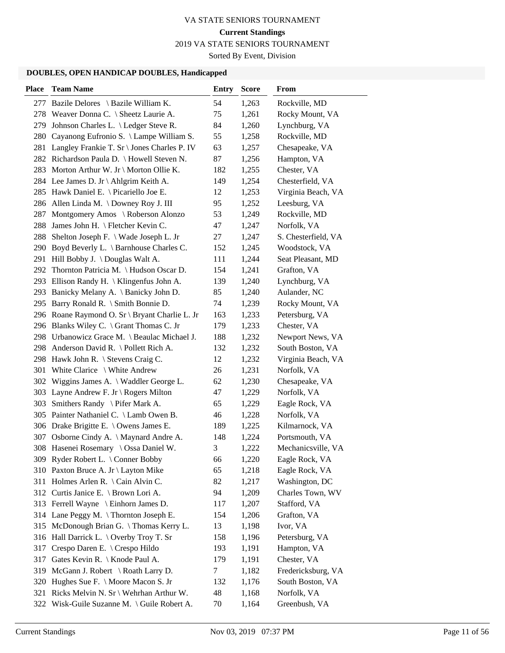2019 VA STATE SENIORS TOURNAMENT

Sorted By Event, Division

| <b>Place</b> | <b>Team Name</b>                               | <b>Entry</b> | <b>Score</b> | From                |
|--------------|------------------------------------------------|--------------|--------------|---------------------|
|              | 277 Bazile Delores \ Bazile William K.         | 54           | 1,263        | Rockville, MD       |
|              | 278 Weaver Donna C. \ Sheetz Laurie A.         | 75           | 1,261        | Rocky Mount, VA     |
| 279          | Johnson Charles L. \ Ledger Steve R.           | 84           | 1,260        | Lynchburg, VA       |
| 280          | Cayanong Eufronio S. \ Lampe William S.        | 55           | 1,258        | Rockville, MD       |
| 281          | Langley Frankie T. Sr \ Jones Charles P. IV    | 63           | 1,257        | Chesapeake, VA      |
|              | 282 Richardson Paula D. \ Howell Steven N.     | 87           | 1,256        | Hampton, VA         |
|              | 283 Morton Arthur W. Jr \ Morton Ollie K.      | 182          | 1,255        | Chester, VA         |
|              | 284 Lee James D. Jr \ Ahlgrim Keith A.         | 149          | 1,254        | Chesterfield, VA    |
|              | 285 Hawk Daniel E. \ Picariello Joe E.         | 12           | 1,253        | Virginia Beach, VA  |
|              | 286 Allen Linda M. \Downey Roy J. III          | 95           | 1,252        | Leesburg, VA        |
| 287          | Montgomery Amos \ Roberson Alonzo              | 53           | 1,249        | Rockville, MD       |
| 288          | James John H. \ Fletcher Kevin C.              | 47           | 1,247        | Norfolk, VA         |
| 288          | Shelton Joseph F. \ Wade Joseph L. Jr          | 27           | 1,247        | S. Chesterfield, VA |
| 290          | Boyd Beverly L. \ Barnhouse Charles C.         | 152          | 1,245        | Woodstock, VA       |
|              | 291 Hill Bobby J. \Douglas Walt A.             | 111          | 1,244        | Seat Pleasant, MD   |
|              | 292 Thornton Patricia M. \ Hudson Oscar D.     | 154          | 1,241        | Grafton, VA         |
|              | 293 Ellison Randy H. \ Klingenfus John A.      | 139          | 1,240        | Lynchburg, VA       |
| 293          | Banicky Melany A. \ Banicky John D.            | 85           | 1,240        | Aulander, NC        |
|              | 295 Barry Ronald R. \ Smith Bonnie D.          | 74           | 1,239        | Rocky Mount, VA     |
|              | 296 Roane Raymond O. Sr \ Bryant Charlie L. Jr | 163          | 1,233        | Petersburg, VA      |
|              | 296 Blanks Wiley C. \ Grant Thomas C. Jr       | 179          | 1,233        | Chester, VA         |
|              | 298 Urbanowicz Grace M. \ Beaulac Michael J.   | 188          | 1,232        | Newport News, VA    |
|              | 298 Anderson David R. \ Pollett Rich A.        | 132          | 1,232        | South Boston, VA    |
|              | 298 Hawk John R. \ Stevens Craig C.            | 12           | 1,232        | Virginia Beach, VA  |
| 301          | White Clarice \ White Andrew                   | 26           | 1,231        | Norfolk, VA         |
| 302          | Wiggins James A. \ Waddler George L.           | 62           | 1,230        | Chesapeake, VA      |
|              | 303 Layne Andrew F. Jr \ Rogers Milton         | 47           | 1,229        | Norfolk, VA         |
| 303          | Smithers Randy $\setminus$ Pifer Mark A.       | 65           | 1,229        | Eagle Rock, VA      |
|              | 305 Painter Nathaniel C. \ Lamb Owen B.        | 46           | 1,228        | Norfolk, VA         |
|              | 306 Drake Brigitte E. \ Owens James E.         | 189          | 1,225        | Kilmarnock, VA      |
|              | 307 Osborne Cindy A. \ Maynard Andre A.        | 148          | 1,224        | Portsmouth, VA      |
|              | 308 Hasenei Rosemary \ Ossa Daniel W.          | 3            | 1,222        | Mechanicsville, VA  |
|              | 309 Ryder Robert L. \ Conner Bobby             | 66           | 1,220        | Eagle Rock, VA      |
|              | 310 Paxton Bruce A. Jr \ Layton Mike           | 65           | 1,218        | Eagle Rock, VA      |
|              | 311 Holmes Arlen R. \ Cain Alvin C.            | 82           | 1,217        | Washington, DC      |
|              | 312 Curtis Janice E. \ Brown Lori A.           | 94           | 1,209        | Charles Town, WV    |
|              | 313 Ferrell Wayne \ Einhorn James D.           | 117          | 1,207        | Stafford, VA        |
|              | 314 Lane Peggy M. \Thornton Joseph E.          | 154          | 1,206        | Grafton, VA         |
|              | 315 McDonough Brian G. \Thomas Kerry L.        | 13           | 1,198        | Ivor, VA            |
| 316          | Hall Darrick L. \ Overby Troy T. Sr            | 158          | 1,196        | Petersburg, VA      |
| 317          | Crespo Daren E. \ Crespo Hildo                 | 193          | 1,191        | Hampton, VA         |
| 317          | Gates Kevin R. \ Knode Paul A.                 | 179          | 1,191        | Chester, VA         |
|              | 319 McGann J. Robert \ Roath Larry D.          | 7            | 1,182        | Fredericksburg, VA  |
| 320          | Hughes Sue F. \ Moore Macon S. Jr              | 132          | 1,176        | South Boston, VA    |
| 321          | Ricks Melvin N. Sr \ Wehrhan Arthur W.         | 48           | 1,168        | Norfolk, VA         |
| 322          | Wisk-Guile Suzanne M. \ Guile Robert A.        | 70           | 1,164        | Greenbush, VA       |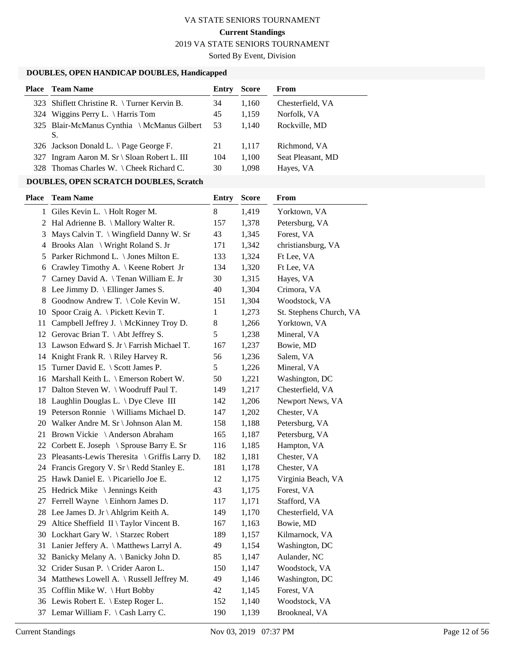2019 VA STATE SENIORS TOURNAMENT

Sorted By Event, Division

# **DOUBLES, OPEN HANDICAP DOUBLES, Handicapped**

| <b>Team Name</b>                                  | Entry | <b>Score</b> | From              |
|---------------------------------------------------|-------|--------------|-------------------|
| 323 Shiflett Christine R. \ Turner Kervin B.      | 34    | 1,160        | Chesterfield, VA  |
| 324 Wiggins Perry L. \ Harris Tom                 | 45    | 1,159        | Norfolk, VA       |
| 325 Blair-McManus Cynthia \ McManus Gilbert<br>S. | 53    | 1.140        | Rockville, MD     |
| 326 Jackson Donald L. $\angle$ Page George F.     | 21    | 1.117        | Richmond, VA      |
| 327 Ingram Aaron M. Sr \ Sloan Robert L. III      | 104   | 1,100        | Seat Pleasant, MD |
| 328 Thomas Charles W. \ Cheek Richard C.          | 30    | 1,098        | Hayes, VA         |
|                                                   |       |              |                   |

# **DOUBLES, OPEN SCRATCH DOUBLES, Scratch**

| <b>Place</b> | <b>Team Name</b>                                     | <b>Entry</b> | <b>Score</b> | From                    |
|--------------|------------------------------------------------------|--------------|--------------|-------------------------|
|              | 1 Giles Kevin L. \ Holt Roger M.                     | 8            | 1,419        | Yorktown, VA            |
|              | 2 Hal Adrienne B. \ Mallory Walter R.                | 157          | 1,378        | Petersburg, VA          |
| 3            | Mays Calvin T. \ Wingfield Danny W. Sr               | 43           | 1,345        | Forest, VA              |
| 4            | Brooks Alan \ Wright Roland S. Jr                    | 171          | 1,342        | christiansburg, VA      |
|              | 5 Parker Richmond L. \ Jones Milton E.               | 133          | 1,324        | Ft Lee, VA              |
|              | 6 Crawley Timothy A. \ Keene Robert Jr               | 134          | 1,320        | Ft Lee, VA              |
| 7            | Carney David A. \Tenan William E. Jr                 | 30           | 1,315        | Hayes, VA               |
| 8            | Lee Jimmy D. $\left\{\right.$ Ellinger James S.      | 40           | 1,304        | Crimora, VA             |
|              | 8 Goodnow Andrew T. \ Cole Kevin W.                  | 151          | 1,304        | Woodstock, VA           |
| 10           | Spoor Craig A. \ Pickett Kevin T.                    | 1            | 1,273        | St. Stephens Church, VA |
| 11           | Campbell Jeffrey J. \ McKinney Troy D.               | $\,$ 8 $\,$  | 1,266        | Yorktown, VA            |
| 12           | Gerovac Brian T. \Abt Jeffrey S.                     | 5            | 1,238        | Mineral, VA             |
| 13           | Lawson Edward S. Jr \ Farrish Michael T.             | 167          | 1,237        | Bowie, MD               |
| 14           | Knight Frank R. $\setminus$ Riley Harvey R.          | 56           | 1,236        | Salem, VA               |
| 15           | Turner David E. \ Scott James P.                     | 5            | 1,226        | Mineral, VA             |
| 16           | Marshall Keith L. \ Emerson Robert W.                | 50           | 1,221        | Washington, DC          |
| 17           | Dalton Steven W. \ Woodruff Paul T.                  | 149          | 1,217        | Chesterfield, VA        |
|              | 18 Laughlin Douglas L. \ Dye Cleve III               | 142          | 1,206        | Newport News, VA        |
|              | 19 Peterson Ronnie \ Williams Michael D.             | 147          | 1,202        | Chester, VA             |
|              | 20 Walker Andre M. Sr \ Johnson Alan M.              | 158          | 1,188        | Petersburg, VA          |
| 21           | Brown Vickie \ Anderson Abraham                      | 165          | 1,187        | Petersburg, VA          |
|              | 22 Corbett E. Joseph \ Sprouse Barry E. Sr           | 116          | 1,185        | Hampton, VA             |
|              | 23 Pleasants-Lewis Theresita \ Griffis Larry D.      | 182          | 1,181        | Chester, VA             |
|              | 24 Francis Gregory V. Sr \ Redd Stanley E.           | 181          | 1,178        | Chester, VA             |
|              | 25 Hawk Daniel E. \ Picariello Joe E.                | 12           | 1,175        | Virginia Beach, VA      |
|              | 25 Hedrick Mike \ Jennings Keith                     | 43           | 1,175        | Forest, VA              |
|              | 27 Ferrell Wayne \ Einhorn James D.                  | 117          | 1,171        | Stafford, VA            |
|              | 28 Lee James D. Jr \ Ahlgrim Keith A.                | 149          | 1,170        | Chesterfield, VA        |
|              | 29 Altice Sheffield $II \setminus Taylor$ Vincent B. | 167          | 1,163        | Bowie, MD               |
|              | 30 Lockhart Gary W. \ Starzec Robert                 | 189          | 1,157        | Kilmarnock, VA          |
|              | 31 Lanier Jeffery A. \ Matthews Larryl A.            | 49           | 1,154        | Washington, DC          |
|              | 32 Banicky Melany A. \ Banicky John D.               | 85           | 1,147        | Aulander, NC            |
|              | 32 Crider Susan P. \ Crider Aaron L.                 | 150          | 1,147        | Woodstock, VA           |
|              | 34 Matthews Lowell A. \Russell Jeffrey M.            | 49           | 1,146        | Washington, DC          |
|              | 35 Cofflin Mike W. \Hurt Bobby                       | 42           | 1,145        | Forest, VA              |
|              | 36 Lewis Robert E. \ Estep Roger L.                  | 152          | 1,140        | Woodstock, VA           |
|              | 37 Lemar William F. \ Cash Larry C.                  | 190          | 1,139        | Brookneal, VA           |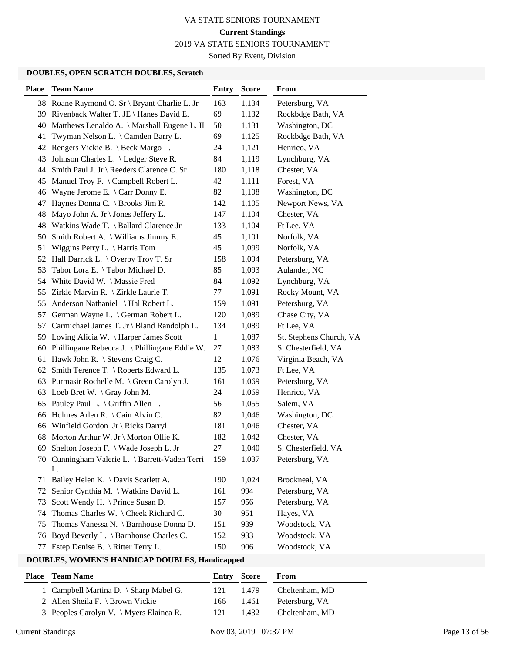2019 VA STATE SENIORS TOURNAMENT

Sorted By Event, Division

#### **DOUBLES, OPEN SCRATCH DOUBLES, Scratch**

| <b>Place</b> | <b>Team Name</b>                                     | <b>Entry</b> | <b>Score</b> | From                    |
|--------------|------------------------------------------------------|--------------|--------------|-------------------------|
|              | 38 Roane Raymond O. Sr \ Bryant Charlie L. Jr        | 163          | 1,134        | Petersburg, VA          |
|              | 39 Rivenback Walter T. JE \ Hanes David E.           | 69           | 1,132        | Rockbdge Bath, VA       |
| 40           | Matthews Lenaldo A. \ Marshall Eugene L. II          | 50           | 1,131        | Washington, DC          |
| 41           | Twyman Nelson L. \ Camden Barry L.                   | 69           | 1,125        | Rockbdge Bath, VA       |
|              | 42 Rengers Vickie B. \ Beck Margo L.                 | 24           | 1,121        | Henrico, VA             |
| 43           | Johnson Charles L. \ Ledger Steve R.                 | 84           | 1,119        | Lynchburg, VA           |
|              | 44 Smith Paul J. Jr \ Reeders Clarence C. Sr         | 180          | 1,118        | Chester, VA             |
| 45           | Manuel Troy F. \ Campbell Robert L.                  | 42           | 1,111        | Forest, VA              |
| 46           | Wayne Jerome E. $\setminus$ Carr Donny E.            | 82           | 1,108        | Washington, DC          |
| 47           | Haynes Donna C. \ Brooks Jim R.                      | 142          | 1,105        | Newport News, VA        |
| 48           | Mayo John A. Jr \ Jones Jeffery L.                   | 147          | 1,104        | Chester, VA             |
|              | 48 Watkins Wade T. \ Ballard Clarence Jr             | 133          | 1,104        | Ft Lee, VA              |
| 50           | Smith Robert A. \ Williams Jimmy E.                  | 45           | 1,101        | Norfolk, VA             |
| 51           | Wiggins Perry L. $\langle$ Harris Tom                | 45           | 1,099        | Norfolk, VA             |
|              | 52 Hall Darrick L. \ Overby Troy T. Sr               | 158          | 1,094        | Petersburg, VA          |
| 53           | Tabor Lora E. \Tabor Michael D.                      | 85           | 1,093        | Aulander, NC            |
| 54           | White David W. \ Massie Fred                         | 84           | 1,092        | Lynchburg, VA           |
| 55           | Zirkle Marvin R. \ Zirkle Laurie T.                  | 77           | 1,091        | Rocky Mount, VA         |
| 55           | Anderson Nathaniel \ Hal Robert L.                   | 159          | 1,091        | Petersburg, VA          |
| 57           | German Wayne L. \ German Robert L.                   | 120          | 1,089        | Chase City, VA          |
| 57           | Carmichael James T. Jr \ Bland Randolph L.           | 134          | 1,089        | Ft Lee, VA              |
|              | 59 Loving Alicia W. \ Harper James Scott             | $\mathbf{1}$ | 1,087        | St. Stephens Church, VA |
|              | 60 Phillingane Rebecca J. \ Phillingane Eddie W.     | 27           | 1,083        | S. Chesterfield, VA     |
|              | 61 Hawk John R. \ Stevens Craig C.                   | 12           | 1,076        | Virginia Beach, VA      |
| 62           | Smith Terence T. \ Roberts Edward L.                 | 135          | 1,073        | Ft Lee, VA              |
|              | 63 Purmasir Rochelle M. \ Green Carolyn J.           | 161          | 1,069        | Petersburg, VA          |
|              | 63 Loeb Bret W. \ Gray John M.                       | 24           | 1,069        | Henrico, VA             |
|              | 65 Pauley Paul L. \ Griffin Allen L.                 | 56           | 1,055        | Salem, VA               |
| 66           | Holmes Arlen R. $\setminus$ Cain Alvin C.            | 82           | 1,046        | Washington, DC          |
|              | 66 Winfield Gordon Jr \ Ricks Darryl                 | 181          | 1,046        | Chester, VA             |
| 68           | Morton Arthur W. Jr \ Morton Ollie K.                | 182          | 1,042        | Chester, VA             |
|              | 69 Shelton Joseph F. \ Wade Joseph L. Jr             | 27           | 1,040        | S. Chesterfield, VA     |
|              | 70 Cunningham Valerie L. \ Barrett-Vaden Terri<br>L. | 159          | 1,037        | Petersburg, VA          |
| 71           | Bailey Helen K. \ Davis Scarlett A.                  | 190          | 1,024        | Brookneal, VA           |
| 72           | Senior Cynthia M. \ Watkins David L.                 | 161          | 994          | Petersburg, VA          |
| 73           | Scott Wendy H. \ Prince Susan D.                     | 157          | 956          | Petersburg, VA          |
| 74           | Thomas Charles W. \Cheek Richard C.                  | 30           | 951          | Hayes, VA               |
| 75           | Thomas Vanessa N. \ Barnhouse Donna D.               | 151          | 939          | Woodstock, VA           |
| 76           | Boyd Beverly L. \ Barnhouse Charles C.               | 152          | 933          | Woodstock, VA           |
| 77           | Estep Denise B. \ Ritter Terry L.                    | 150          | 906          | Woodstock, VA           |

| <b>Place</b> Team Name                   | Entry Score |       | From           |
|------------------------------------------|-------------|-------|----------------|
| 1 Campbell Martina D. $\$ Sharp Mabel G. | 121         | 1.479 | Cheltenham, MD |
| 2 Allen Sheila F. \ Brown Vickie         | 166         | 1.461 | Petersburg, VA |
| 3 Peoples Carolyn V. \ Myers Elainea R.  | 121         | 1.432 | Cheltenham, MD |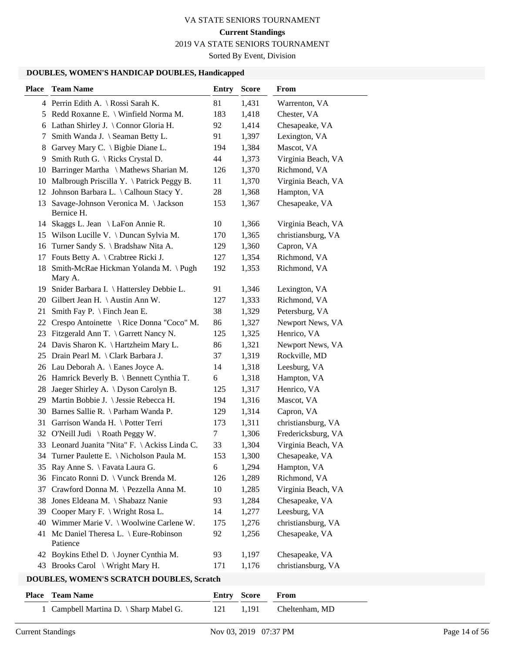2019 VA STATE SENIORS TOURNAMENT

Sorted By Event, Division

#### **DOUBLES, WOMEN'S HANDICAP DOUBLES, Handicapped**

| <b>Place</b> | <b>Team Name</b>                                     | <b>Entry</b> | <b>Score</b> | From               |
|--------------|------------------------------------------------------|--------------|--------------|--------------------|
|              | 4 Perrin Edith A. \ Rossi Sarah K.                   | 81           | 1,431        | Warrenton, VA      |
|              | 5 Redd Roxanne E. \ Winfield Norma M.                | 183          | 1,418        | Chester, VA        |
|              | 6 Lathan Shirley J. \ Connor Gloria H.               | 92           | 1,414        | Chesapeake, VA     |
| 7            | Smith Wanda J. \ Seaman Betty L.                     | 91           | 1,397        | Lexington, VA      |
| 8            | Garvey Mary C. \ Bigbie Diane L.                     | 194          | 1,384        | Mascot, VA         |
|              | 9 Smith Ruth G. \ Ricks Crystal D.                   | 44           | 1,373        | Virginia Beach, VA |
|              | 10 Barringer Martha \ Mathews Sharian M.             | 126          | 1,370        | Richmond, VA       |
|              | 10 Malbrough Priscilla Y. \ Patrick Peggy B.         | 11           | 1,370        | Virginia Beach, VA |
|              | 12 Johnson Barbara L. \ Calhoun Stacy Y.             | 28           | 1,368        | Hampton, VA        |
|              | 13 Savage-Johnson Veronica M. \Jackson<br>Bernice H. | 153          | 1,367        | Chesapeake, VA     |
|              | 14 Skaggs L. Jean \ LaFon Annie R.                   | 10           | 1,366        | Virginia Beach, VA |
|              | 15 Wilson Lucille V. \ Duncan Sylvia M.              | 170          | 1,365        | christiansburg, VA |
|              | 16 Turner Sandy S. \ Bradshaw Nita A.                | 129          | 1,360        | Capron, VA         |
|              | 17 Fouts Betty A. \ Crabtree Ricki J.                | 127          | 1,354        | Richmond, VA       |
|              | 18 Smith-McRae Hickman Yolanda M. \Pugh<br>Mary A.   | 192          | 1,353        | Richmond, VA       |
|              | 19 Snider Barbara I. \ Hattersley Debbie L.          | 91           | 1,346        | Lexington, VA      |
|              | 20 Gilbert Jean H. \Austin Ann W.                    | 127          | 1,333        | Richmond, VA       |
| 21           | Smith Fay P. $\Im$ Finch Jean E.                     | 38           | 1,329        | Petersburg, VA     |
|              | 22 Crespo Antoinette \ Rice Donna "Coco" M.          | 86           | 1,327        | Newport News, VA   |
|              | 23 Fitzgerald Ann T. \ Garrett Nancy N.              | 125          | 1,325        | Henrico, VA        |
|              | 24 Davis Sharon K. \ Hartzheim Mary L.               | 86           | 1,321        | Newport News, VA   |
|              | 25 Drain Pearl M. \ Clark Barbara J.                 | 37           | 1,319        | Rockville, MD      |
|              | 26 Lau Deborah A. \ Eanes Joyce A.                   | 14           | 1,318        | Leesburg, VA       |
|              | 26 Hamrick Beverly B. \ Bennett Cynthia T.           | 6            | 1,318        | Hampton, VA        |
| 28.          | Jaeger Shirley A. \ Dyson Carolyn B.                 | 125          | 1,317        | Henrico, VA        |
|              | 29 Martin Bobbie J. \ Jessie Rebecca H.              | 194          | 1,316        | Mascot, VA         |
|              | 30 Barnes Sallie R. \ Parham Wanda P.                | 129          | 1,314        | Capron, VA         |
|              | 31 Garrison Wanda H. \ Potter Terri                  | 173          | 1,311        | christiansburg, VA |
|              | 32 O'Neill Judi \ Roath Peggy W.                     | 7            | 1,306        | Fredericksburg, VA |
|              | 33 Leonard Juanita "Nita" F. \Ackiss Linda C.        | 33           | 1,304        | Virginia Beach, VA |
|              | 34 Turner Paulette E. \ Nicholson Paula M.           | 153          | 1,300        | Chesapeake, VA     |
| 35           | Ray Anne S. \ Favata Laura G.                        | 6            | 1,294        | Hampton, VA        |
|              | 36 Fincato Ronni D. \ Vunck Brenda M.                | 126          | 1,289        | Richmond, VA       |
| 37           | Crawford Donna M. \ Pezzella Anna M.                 | 10           | 1,285        | Virginia Beach, VA |
| 38           | Jones Eldeana M. \ Shabazz Nanie                     | 93           | 1,284        | Chesapeake, VA     |
| 39           | Cooper Mary F. \ Wright Rosa L.                      | 14           | 1,277        | Leesburg, VA       |
| 40           | Wimmer Marie V. \ Woolwine Carlene W.                | 175          | 1,276        | christiansburg, VA |
| 41           | Mc Daniel Theresa L. \ Eure-Robinson<br>Patience     | 92           | 1,256        | Chesapeake, VA     |
|              | 42 Boykins Ethel D. \ Joyner Cynthia M.              | 93           | 1,197        | Chesapeake, VA     |
|              | 43 Brooks Carol \ Wright Mary H.                     | 171          | 1,176        | christiansburg, VA |

# **DOUBLES, WOMEN'S SCRATCH DOUBLES, Scratch**

| <b>Place – Team Name</b>               | <b>Entry Score From</b> |                          |
|----------------------------------------|-------------------------|--------------------------|
| 1 Campbell Martina D. \ Sharp Mabel G. |                         | 121 1,191 Cheltenham, MD |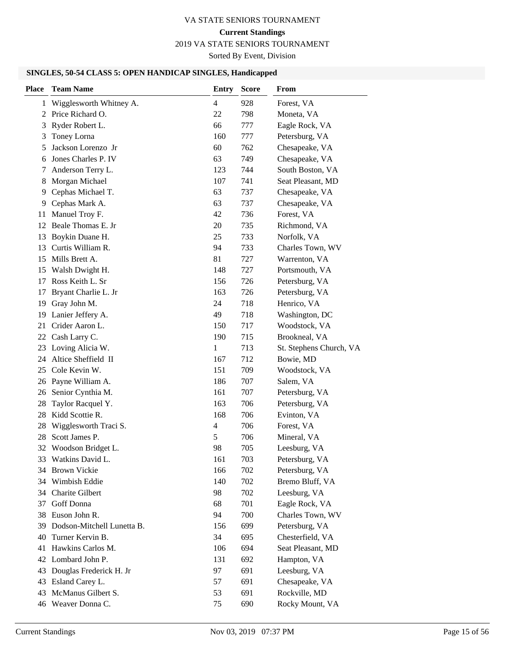# **Current Standings**

2019 VA STATE SENIORS TOURNAMENT

Sorted By Event, Division

# **SINGLES, 50-54 CLASS 5: OPEN HANDICAP SINGLES, Handicapped**

| <b>Place</b> | <b>Team Name</b>           | Entry          | <b>Score</b> | <b>From</b>             |
|--------------|----------------------------|----------------|--------------|-------------------------|
| 1            | Wigglesworth Whitney A.    | $\overline{4}$ | 928          | Forest, VA              |
| 2            | Price Richard O.           | 22             | 798          | Moneta, VA              |
| 3            | Ryder Robert L.            | 66             | 777          | Eagle Rock, VA          |
| 3            | Toney Lorna                | 160            | 777          | Petersburg, VA          |
| 5            | Jackson Lorenzo Jr         | 60             | 762          | Chesapeake, VA          |
| 6            | Jones Charles P. IV        | 63             | 749          | Chesapeake, VA          |
| 7            | Anderson Terry L.          | 123            | 744          | South Boston, VA        |
| 8            | Morgan Michael             | 107            | 741          | Seat Pleasant, MD       |
| 9            | Cephas Michael T.          | 63             | 737          | Chesapeake, VA          |
| 9            | Cephas Mark A.             | 63             | 737          | Chesapeake, VA          |
| 11           | Manuel Troy F.             | 42             | 736          | Forest, VA              |
| 12           | Beale Thomas E. Jr         | 20             | 735          | Richmond, VA            |
| 13           | Boykin Duane H.            | 25             | 733          | Norfolk, VA             |
| 13           | Curtis William R.          | 94             | 733          | Charles Town, WV        |
| 15           | Mills Brett A.             | 81             | 727          | Warrenton, VA           |
| 15           | Walsh Dwight H.            | 148            | 727          | Portsmouth, VA          |
| 17           | Ross Keith L. Sr           | 156            | 726          | Petersburg, VA          |
| 17           | Bryant Charlie L. Jr       | 163            | 726          | Petersburg, VA          |
| 19           | Gray John M.               | 24             | 718          | Henrico, VA             |
| 19           | Lanier Jeffery A.          | 49             | 718          | Washington, DC          |
| 21           | Crider Aaron L.            | 150            | 717          | Woodstock, VA           |
|              | 22 Cash Larry C.           | 190            | 715          | Brookneal, VA           |
| 23           | Loving Alicia W.           | 1              | 713          | St. Stephens Church, VA |
| 24           | Altice Sheffield II        | 167            | 712          | Bowie, MD               |
| 25           | Cole Kevin W.              | 151            | 709          | Woodstock, VA           |
| 26           | Payne William A.           | 186            | 707          | Salem, VA               |
| 26           | Senior Cynthia M.          | 161            | 707          | Petersburg, VA          |
| 28           | Taylor Racquel Y.          | 163            | 706          | Petersburg, VA          |
| 28           | Kidd Scottie R.            | 168            | 706          | Evinton, VA             |
| 28           | Wigglesworth Traci S.      | 4              | 706          | Forest, VA              |
| 28           | Scott James P.             | 5              | 706          | Mineral, VA             |
|              | 32 Woodson Bridget L.      | 98             | 705          | Leesburg, VA            |
|              | 33 Watkins David L.        | 161            | 703          | Petersburg, VA          |
|              | 34 Brown Vickie            | 166            | 702          | Petersburg, VA          |
|              | 34 Wimbish Eddie           | 140            | 702          | Bremo Bluff, VA         |
| 34           | Charite Gilbert            | 98             | 702          | Leesburg, VA            |
| 37           | Goff Donna                 | 68             | 701          | Eagle Rock, VA          |
|              | 38 Euson John R.           | 94             | 700          | Charles Town, WV        |
| 39           | Dodson-Mitchell Lunetta B. | 156            | 699          | Petersburg, VA          |
| 40           | Turner Kervin B.           | 34             | 695          | Chesterfield, VA        |
| 41           | Hawkins Carlos M.          | 106            | 694          | Seat Pleasant, MD       |
|              | 42 Lombard John P.         | 131            | 692          | Hampton, VA             |
| 43           | Douglas Frederick H. Jr    | 97             | 691          | Leesburg, VA            |
|              | 43 Esland Carey L.         | 57             | 691          | Chesapeake, VA          |
| 43           | McManus Gilbert S.         | 53             | 691          | Rockville, MD           |
|              | 46 Weaver Donna C.         | 75             | 690          | Rocky Mount, VA         |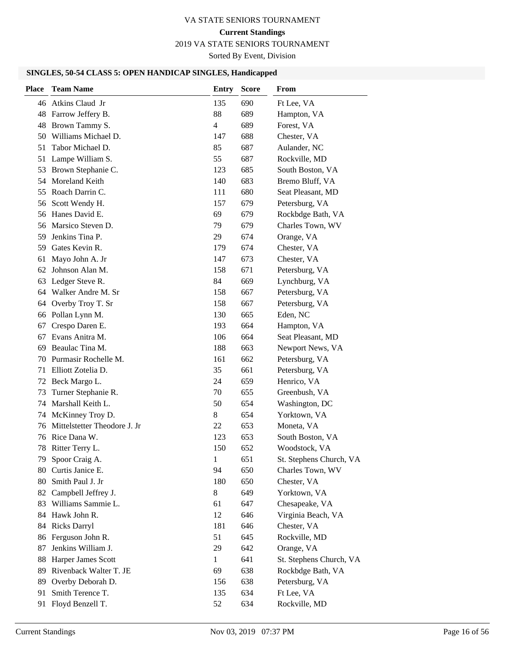# **Current Standings**

2019 VA STATE SENIORS TOURNAMENT

Sorted By Event, Division

# **SINGLES, 50-54 CLASS 5: OPEN HANDICAP SINGLES, Handicapped**

| <b>Place</b> | <b>Team Name</b>             | <b>Entry</b> | <b>Score</b> | <b>From</b>             |
|--------------|------------------------------|--------------|--------------|-------------------------|
|              | 46 Atkins Claud Jr           | 135          | 690          | Ft Lee, VA              |
|              | 48 Farrow Jeffery B.         | 88           | 689          | Hampton, VA             |
| 48           | Brown Tammy S.               | 4            | 689          | Forest, VA              |
| 50           | Williams Michael D.          | 147          | 688          | Chester, VA             |
| 51           | Tabor Michael D.             | 85           | 687          | Aulander, NC            |
| 51           | Lampe William S.             | 55           | 687          | Rockville, MD           |
| 53           | Brown Stephanie C.           | 123          | 685          | South Boston, VA        |
| 54           | Moreland Keith               | 140          | 683          | Bremo Bluff, VA         |
|              | 55 Roach Darrin C.           | 111          | 680          | Seat Pleasant, MD       |
|              | 56 Scott Wendy H.            | 157          | 679          | Petersburg, VA          |
|              | 56 Hanes David E.            | 69           | 679          | Rockbdge Bath, VA       |
| 56           | Marsico Steven D.            | 79           | 679          | Charles Town, WV        |
| 59           | Jenkins Tina P.              | 29           | 674          | Orange, VA              |
|              | 59 Gates Kevin R.            | 179          | 674          | Chester, VA             |
| 61           | Mayo John A. Jr              | 147          | 673          | Chester, VA             |
| 62           | Johnson Alan M.              | 158          | 671          | Petersburg, VA          |
| 63           | Ledger Steve R.              | 84           | 669          | Lynchburg, VA           |
|              | 64 Walker Andre M. Sr        | 158          | 667          | Petersburg, VA          |
| 64           | Overby Troy T. Sr            | 158          | 667          | Petersburg, VA          |
|              | 66 Pollan Lynn M.            | 130          | 665          | Eden, NC                |
| 67           | Crespo Daren E.              | 193          | 664          | Hampton, VA             |
| 67           | Evans Anitra M.              | 106          | 664          | Seat Pleasant, MD       |
| 69           | Beaulac Tina M.              | 188          | 663          | Newport News, VA        |
| 70           | Purmasir Rochelle M.         | 161          | 662          | Petersburg, VA          |
| 71           | Elliott Zotelia D.           | 35           | 661          | Petersburg, VA          |
|              | 72 Beck Margo L.             | 24           | 659          | Henrico, VA             |
| 73           | Turner Stephanie R.          | 70           | 655          | Greenbush, VA           |
| 74           | Marshall Keith L.            | 50           | 654          | Washington, DC          |
| 74           | McKinney Troy D.             | 8            | 654          | Yorktown, VA            |
| 76           | Mittelstetter Theodore J. Jr | 22           | 653          | Moneta, VA              |
|              | 76 Rice Dana W.              | 123          | 653          | South Boston, VA        |
|              | 78 Ritter Terry L.           | 150          | 652          | Woodstock, VA           |
|              | 79 Spoor Craig A.            | 1            | 651          | St. Stephens Church, VA |
|              | 80 Curtis Janice E.          | 94           | 650          | Charles Town, WV        |
| 80           | Smith Paul J. Jr             | 180          | 650          | Chester, VA             |
| 82           | Campbell Jeffrey J.          | 8            | 649          | Yorktown, VA            |
| 83           | Williams Sammie L.           | 61           | 647          | Chesapeake, VA          |
| 84           | Hawk John R.                 | 12           | 646          | Virginia Beach, VA      |
| 84           | <b>Ricks Darryl</b>          | 181          | 646          | Chester, VA             |
| 86           | Ferguson John R.             | 51           | 645          | Rockville, MD           |
| 87           | Jenkins William J.           | 29           | 642          | Orange, VA              |
| 88           | Harper James Scott           | $\mathbf{1}$ | 641          | St. Stephens Church, VA |
| 89           | Rivenback Walter T. JE       | 69           | 638          | Rockbdge Bath, VA       |
| 89           | Overby Deborah D.            | 156          | 638          | Petersburg, VA          |
| 91           | Smith Terence T.             | 135          | 634          | Ft Lee, VA              |
|              | 91 Floyd Benzell T.          | 52           | 634          | Rockville, MD           |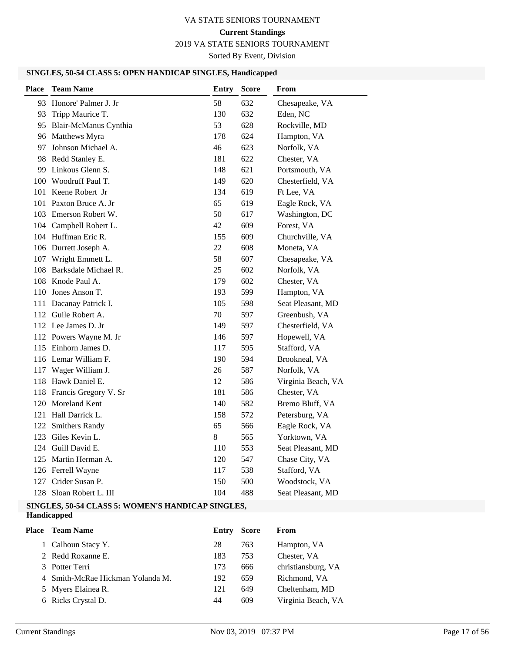# **Current Standings**

2019 VA STATE SENIORS TOURNAMENT

Sorted By Event, Division

# **SINGLES, 50-54 CLASS 5: OPEN HANDICAP SINGLES, Handicapped**

| <b>Place</b> | <b>Team Name</b>          | <b>Entry</b> | <b>Score</b> | From               |
|--------------|---------------------------|--------------|--------------|--------------------|
| 93           | Honore' Palmer J. Jr      | 58           | 632          | Chesapeake, VA     |
| 93           | Tripp Maurice T.          | 130          | 632          | Eden, NC           |
|              | 95 Blair-McManus Cynthia  | 53           | 628          | Rockville, MD      |
|              | 96 Matthews Myra          | 178          | 624          | Hampton, VA        |
|              | 97 Johnson Michael A.     | 46           | 623          | Norfolk, VA        |
|              | 98 Redd Stanley E.        | 181          | 622          | Chester, VA        |
|              | 99 Linkous Glenn S.       | 148          | 621          | Portsmouth, VA     |
|              | 100 Woodruff Paul T.      | 149          | 620          | Chesterfield, VA   |
| 101          | Keene Robert Jr           | 134          | 619          | Ft Lee, VA         |
| 101          | Paxton Bruce A. Jr        | 65           | 619          | Eagle Rock, VA     |
|              | 103 Emerson Robert W.     | 50           | 617          | Washington, DC     |
|              | 104 Campbell Robert L.    | 42           | 609          | Forest, VA         |
|              | 104 Huffman Eric R.       | 155          | 609          | Churchville, VA    |
|              | 106 Durrett Joseph A.     | 22           | 608          | Moneta, VA         |
|              | 107 Wright Emmett L.      | 58           | 607          | Chesapeake, VA     |
| 108          | Barksdale Michael R.      | 25           | 602          | Norfolk, VA        |
|              | 108 Knode Paul A.         | 179          | 602          | Chester, VA        |
| 110          | Jones Anson T.            | 193          | 599          | Hampton, VA        |
|              | 111 Dacanay Patrick I.    | 105          | 598          | Seat Pleasant, MD  |
|              | 112 Guile Robert A.       | 70           | 597          | Greenbush, VA      |
|              | 112 Lee James D. Jr       | 149          | 597          | Chesterfield, VA   |
|              | 112 Powers Wayne M. Jr    | 146          | 597          | Hopewell, VA       |
| 115          | Einhorn James D.          | 117          | 595          | Stafford, VA       |
|              | 116 Lemar William F.      | 190          | 594          | Brookneal, VA      |
| 117          | Wager William J.          | 26           | 587          | Norfolk, VA        |
|              | 118 Hawk Daniel E.        | 12           | 586          | Virginia Beach, VA |
|              | 118 Francis Gregory V. Sr | 181          | 586          | Chester, VA        |
|              | 120 Moreland Kent         | 140          | 582          | Bremo Bluff, VA    |
|              | 121 Hall Darrick L.       | 158          | 572          | Petersburg, VA     |
|              | 122 Smithers Randy        | 65           | 566          | Eagle Rock, VA     |
| 123          | Giles Kevin L.            | 8            | 565          | Yorktown, VA       |
| 124          | Guill David E.            | 110          | 553          | Seat Pleasant, MD  |
| 125          | Martin Herman A.          | 120          | 547          | Chase City, VA     |
|              | 126 Ferrell Wayne         | 117          | 538          | Stafford, VA       |
| 127          | Crider Susan P.           | 150          | 500          | Woodstock, VA      |
|              | 128 Sloan Robert L. III   | 104          | 488          | Seat Pleasant, MD  |

#### **SINGLES, 50-54 CLASS 5: WOMEN'S HANDICAP SINGLES, Handicapped**

| Place | <b>Team Name</b>                 | Entry | <b>Score</b> | From               |
|-------|----------------------------------|-------|--------------|--------------------|
|       | 1 Calhoun Stacy Y.               | 28    | 763          | Hampton, VA        |
|       | 2 Redd Roxanne E.                | 183   | 753          | Chester, VA        |
|       | 3 Potter Terri                   | 173   | 666          | christiansburg, VA |
|       | 4 Smith-McRae Hickman Yolanda M. | 192   | 659          | Richmond, VA       |
|       | 5 Myers Elainea R.               | 121   | 649          | Cheltenham, MD     |
|       | 6 Ricks Crystal D.               | 44    | 609          | Virginia Beach, VA |
|       |                                  |       |              |                    |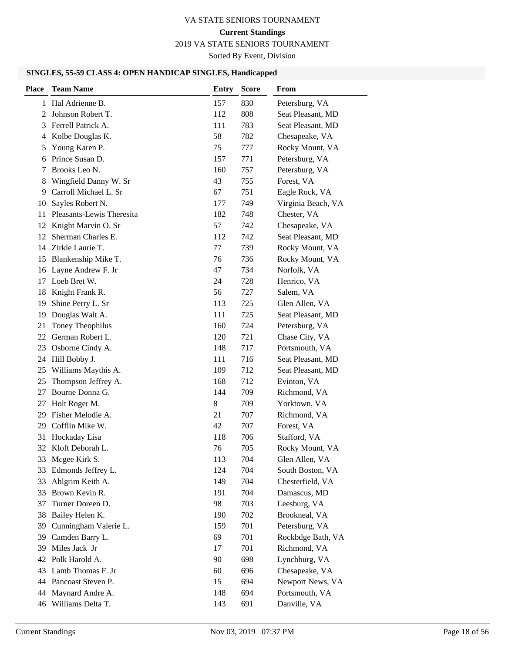# **Current Standings**

2019 VA STATE SENIORS TOURNAMENT

Sorted By Event, Division

#### **SINGLES, 55-59 CLASS 4: OPEN HANDICAP SINGLES, Handicapped**

| <b>Place</b> | <b>Team Name</b>          | <b>Entry</b> | <b>Score</b> | From               |
|--------------|---------------------------|--------------|--------------|--------------------|
| $\mathbf{1}$ | Hal Adrienne B.           | 157          | 830          | Petersburg, VA     |
| 2            | Johnson Robert T.         | 112          | 808          | Seat Pleasant, MD  |
| 3            | Ferrell Patrick A.        | 111          | 783          | Seat Pleasant, MD  |
| 4            | Kolbe Douglas K.          | 58           | 782          | Chesapeake, VA     |
| 5            | Young Karen P.            | 75           | 777          | Rocky Mount, VA    |
| 6            | Prince Susan D.           | 157          | 771          | Petersburg, VA     |
| 7            | Brooks Leo N.             | 160          | 757          | Petersburg, VA     |
| 8            | Wingfield Danny W. Sr     | 43           | 755          | Forest, VA         |
| 9            | Carroll Michael L. Sr     | 67           | 751          | Eagle Rock, VA     |
| 10           | Sayles Robert N.          | 177          | 749          | Virginia Beach, VA |
| 11           | Pleasants-Lewis Theresita | 182          | 748          | Chester, VA        |
| 12           | Knight Marvin O. Sr       | 57           | 742          | Chesapeake, VA     |
| 12           | Sherman Charles E.        | 112          | 742          | Seat Pleasant, MD  |
|              | 14 Zirkle Laurie T.       | 77           | 739          | Rocky Mount, VA    |
| 15           | Blankenship Mike T.       | 76           | 736          | Rocky Mount, VA    |
| 16           | Layne Andrew F. Jr        | 47           | 734          | Norfolk, VA        |
| 17           | Loeb Bret W.              | 24           | 728          | Henrico, VA        |
| 18           | Knight Frank R.           | 56           | 727          | Salem, VA          |
| 19           | Shine Perry L. Sr         | 113          | 725          | Glen Allen, VA     |
| 19           | Douglas Walt A.           | 111          | 725          | Seat Pleasant, MD  |
| 21           | Toney Theophilus          | 160          | 724          | Petersburg, VA     |
| 22           | German Robert L.          | 120          | 721          | Chase City, VA     |
| 23           | Osborne Cindy A.          | 148          | 717          | Portsmouth, VA     |
| 24           | Hill Bobby J.             | 111          | 716          | Seat Pleasant, MD  |
| 25           | Williams Maythis A.       | 109          | 712          | Seat Pleasant, MD  |
| 25           | Thompson Jeffrey A.       | 168          | 712          | Evinton, VA        |
| 27           | Bourne Donna G.           | 144          | 709          | Richmond, VA       |
| 27           | Holt Roger M.             | 8            | 709          | Yorktown, VA       |
| 29           | Fisher Melodie A.         | 21           | 707          | Richmond, VA       |
| 29.          | Cofflin Mike W.           | 42           | 707          | Forest, VA         |
| 31           | Hockaday Lisa             | 118          | 706          | Stafford, VA       |
|              | 32 Kloft Deborah L.       | 76           | 705          | Rocky Mount, VA    |
|              | 33 Mcgee Kirk S.          | 113          | 704          | Glen Allen, VA     |
| 33           | Edmonds Jeffrey L.        | 124          | 704          | South Boston, VA   |
| 33           | Ahlgrim Keith A.          | 149          | 704          | Chesterfield, VA   |
| 33           | Brown Kevin R.            | 191          | 704          | Damascus, MD       |
| 37           | Turner Doreen D.          | 98           | 703          | Leesburg, VA       |
| 38           | Bailey Helen K.           | 190          | 702          | Brookneal, VA      |
| 39           | Cunningham Valerie L.     | 159          | 701          | Petersburg, VA     |
| 39           | Camden Barry L.           | 69           | 701          | Rockbdge Bath, VA  |
| 39           | Miles Jack Jr             | 17           | 701          | Richmond, VA       |
|              | 42 Polk Harold A.         | 90           | 698          | Lynchburg, VA      |
| 43           | Lamb Thomas F. Jr         | 60           | 696          | Chesapeake, VA     |
|              | 44 Pancoast Steven P.     | 15           | 694          | Newport News, VA   |
| 44           | Maynard Andre A.          | 148          | 694          | Portsmouth, VA     |
|              | 46 Williams Delta T.      | 143          | 691          | Danville, VA       |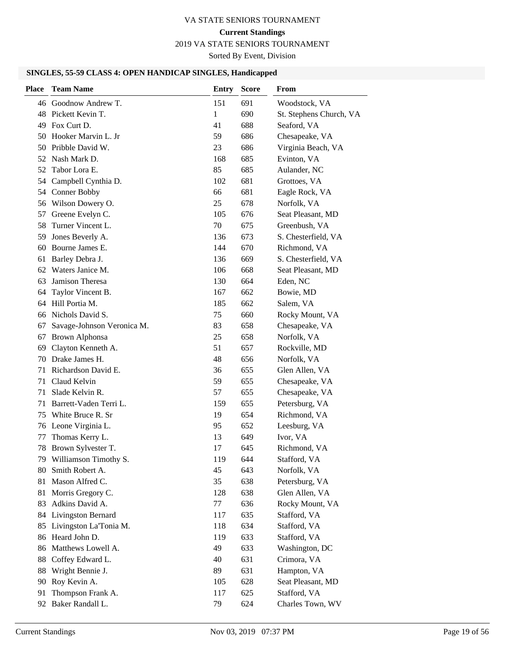# **Current Standings**

2019 VA STATE SENIORS TOURNAMENT

Sorted By Event, Division

#### **SINGLES, 55-59 CLASS 4: OPEN HANDICAP SINGLES, Handicapped**

| <b>Place</b> | <b>Team Name</b>           | <b>Entry</b> | <b>Score</b> | From                    |
|--------------|----------------------------|--------------|--------------|-------------------------|
|              | 46 Goodnow Andrew T.       | 151          | 691          | Woodstock, VA           |
|              | 48 Pickett Kevin T.        | 1            | 690          | St. Stephens Church, VA |
| 49           | Fox Curt D.                | 41           | 688          | Seaford, VA             |
| 50           | Hooker Marvin L. Jr        | 59           | 686          | Chesapeake, VA          |
| 50           | Pribble David W.           | 23           | 686          | Virginia Beach, VA      |
|              | 52 Nash Mark D.            | 168          | 685          | Evinton, VA             |
| 52           | Tabor Lora E.              | 85           | 685          | Aulander, NC            |
| 54           | Campbell Cynthia D.        | 102          | 681          | Grottoes, VA            |
| 54           | Conner Bobby               | 66           | 681          | Eagle Rock, VA          |
| 56           | Wilson Dowery O.           | 25           | 678          | Norfolk, VA             |
| 57           | Greene Evelyn C.           | 105          | 676          | Seat Pleasant, MD       |
| 58           | Turner Vincent L.          | 70           | 675          | Greenbush, VA           |
| 59           | Jones Beverly A.           | 136          | 673          | S. Chesterfield, VA     |
| 60           | Bourne James E.            | 144          | 670          | Richmond, VA            |
| 61           | Barley Debra J.            | 136          | 669          | S. Chesterfield, VA     |
| 62           | Waters Janice M.           | 106          | 668          | Seat Pleasant, MD       |
| 63           | Jamison Theresa            | 130          | 664          | Eden, NC                |
| 64           | Taylor Vincent B.          | 167          | 662          | Bowie, MD               |
| 64           | Hill Portia M.             | 185          | 662          | Salem, VA               |
| 66           | Nichols David S.           | 75           | 660          | Rocky Mount, VA         |
| 67           | Savage-Johnson Veronica M. | 83           | 658          | Chesapeake, VA          |
| 67           | <b>Brown Alphonsa</b>      | 25           | 658          | Norfolk, VA             |
| 69           | Clayton Kenneth A.         | 51           | 657          | Rockville, MD           |
| 70           | Drake James H.             | 48           | 656          | Norfolk, VA             |
| 71           | Richardson David E.        | 36           | 655          | Glen Allen, VA          |
| 71           | Claud Kelvin               | 59           | 655          | Chesapeake, VA          |
| 71           | Slade Kelvin R.            | 57           | 655          | Chesapeake, VA          |
| 71           | Barrett-Vaden Terri L.     | 159          | 655          | Petersburg, VA          |
| 75           | White Bruce R. Sr          | 19           | 654          | Richmond, VA            |
| 76           | Leone Virginia L.          | 95           | 652          | Leesburg, VA            |
| 77           | Thomas Kerry L.            | 13           | 649          | Ivor, VA                |
| 78           | Brown Sylvester T.         | 17           | 645          | Richmond, VA            |
|              | 79 Williamson Timothy S.   | 119          | 644          | Stafford, VA            |
| 80           | Smith Robert A.            | 45           | 643          | Norfolk, VA             |
| 81           | Mason Alfred C.            | 35           | 638          | Petersburg, VA          |
| 81           | Morris Gregory C.          | 128          | 638          | Glen Allen, VA          |
| 83           | Adkins David A.            | 77           | 636          | Rocky Mount, VA         |
| 84           | Livingston Bernard         | 117          | 635          | Stafford, VA            |
| 85           | Livingston La'Tonia M.     | 118          | 634          | Stafford, VA            |
| 86           | Heard John D.              | 119          | 633          | Stafford, VA            |
| 86           | Matthews Lowell A.         | 49           | 633          | Washington, DC          |
| 88           | Coffey Edward L.           | 40           | 631          | Crimora, VA             |
| 88           | Wright Bennie J.           | 89           | 631          | Hampton, VA             |
| 90           | Roy Kevin A.               | 105          | 628          | Seat Pleasant, MD       |
| 91           | Thompson Frank A.          | 117          | 625          | Stafford, VA            |
|              | 92 Baker Randall L.        | 79           | 624          | Charles Town, WV        |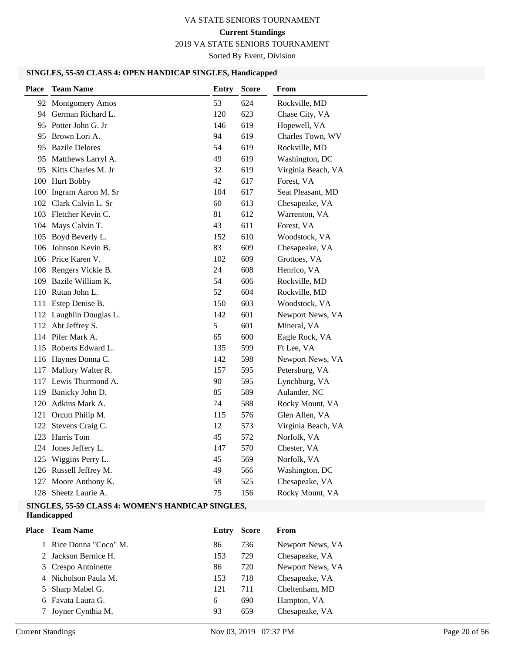# **Current Standings**

2019 VA STATE SENIORS TOURNAMENT

Sorted By Event, Division

# **SINGLES, 55-59 CLASS 4: OPEN HANDICAP SINGLES, Handicapped**

| <b>Place</b> | <b>Team Name</b>        | <b>Entry</b> | Score | From               |
|--------------|-------------------------|--------------|-------|--------------------|
|              | 92 Montgomery Amos      | 53           | 624   | Rockville, MD      |
|              | 94 German Richard L.    | 120          | 623   | Chase City, VA     |
|              | 95 Potter John G. Jr    | 146          | 619   | Hopewell, VA       |
|              | 95 Brown Lori A.        | 94           | 619   | Charles Town, WV   |
|              | 95 Bazile Delores       | 54           | 619   | Rockville, MD      |
|              | 95 Matthews Larryl A.   | 49           | 619   | Washington, DC     |
|              | 95 Kitts Charles M. Jr  | 32           | 619   | Virginia Beach, VA |
|              | 100 Hurt Bobby          | 42           | 617   | Forest, VA         |
|              | 100 Ingram Aaron M. Sr  | 104          | 617   | Seat Pleasant, MD  |
|              | 102 Clark Calvin L. Sr  | 60           | 613   | Chesapeake, VA     |
|              | 103 Fletcher Kevin C.   | 81           | 612   | Warrenton, VA      |
|              | 104 Mays Calvin T.      | 43           | 611   | Forest, VA         |
|              | 105 Boyd Beverly L.     | 152          | 610   | Woodstock, VA      |
|              | 106 Johnson Kevin B.    | 83           | 609   | Chesapeake, VA     |
|              | 106 Price Karen V.      | 102          | 609   | Grottoes, VA       |
|              | 108 Rengers Vickie B.   | 24           | 608   | Henrico, VA        |
|              | 109 Bazile William K.   | 54           | 606   | Rockville, MD      |
|              | 110 Rutan John L.       | 52           | 604   | Rockville, MD      |
|              | 111 Estep Denise B.     | 150          | 603   | Woodstock, VA      |
|              | 112 Laughlin Douglas L. | 142          | 601   | Newport News, VA   |
|              | 112 Abt Jeffrey S.      | 5            | 601   | Mineral, VA        |
|              | 114 Pifer Mark A.       | 65           | 600   | Eagle Rock, VA     |
|              | 115 Roberts Edward L.   | 135          | 599   | Ft Lee, VA         |
|              | 116 Haynes Donna C.     | 142          | 598   | Newport News, VA   |
|              | 117 Mallory Walter R.   | 157          | 595   | Petersburg, VA     |
|              | 117 Lewis Thurmond A.   | 90           | 595   | Lynchburg, VA      |
|              | 119 Banicky John D.     | 85           | 589   | Aulander, NC       |
|              | 120 Adkins Mark A.      | 74           | 588   | Rocky Mount, VA    |
|              | 121 Orcutt Philip M.    | 115          | 576   | Glen Allen, VA     |
| 122          | Stevens Craig C.        | 12           | 573   | Virginia Beach, VA |
|              | 123 Harris Tom          | 45           | 572   | Norfolk, VA        |
|              | 124 Jones Jeffery L.    | 147          | 570   | Chester, VA        |
|              | 125 Wiggins Perry L.    | 45           | 569   | Norfolk, VA        |
|              | 126 Russell Jeffrey M.  | 49           | 566   | Washington, DC     |
| 127          | Moore Anthony K.        | 59           | 525   | Chesapeake, VA     |
| 128          | Sheetz Laurie A.        | 75           | 156   | Rocky Mount, VA    |

#### **SINGLES, 55-59 CLASS 4: WOMEN'S HANDICAP SINGLES, Handicapped**

| Place | <b>Team Name</b>       | Entry | <b>Score</b> | From             |
|-------|------------------------|-------|--------------|------------------|
|       | 1 Rice Donna "Coco" M. | 86    | 736          | Newport News, VA |
|       | 2 Jackson Bernice H.   | 153   | 729          | Chesapeake, VA   |
|       | 3 Crespo Antoinette    | 86    | 720          | Newport News, VA |
|       | 4 Nicholson Paula M.   | 153   | 718          | Chesapeake, VA   |
|       | 5 Sharp Mabel G.       | 121   | 711          | Cheltenham, MD   |
|       | 6 Favata Laura G.      | 6     | 690          | Hampton, VA      |
|       | Joyner Cynthia M.      | 93    | 659          | Chesapeake, VA   |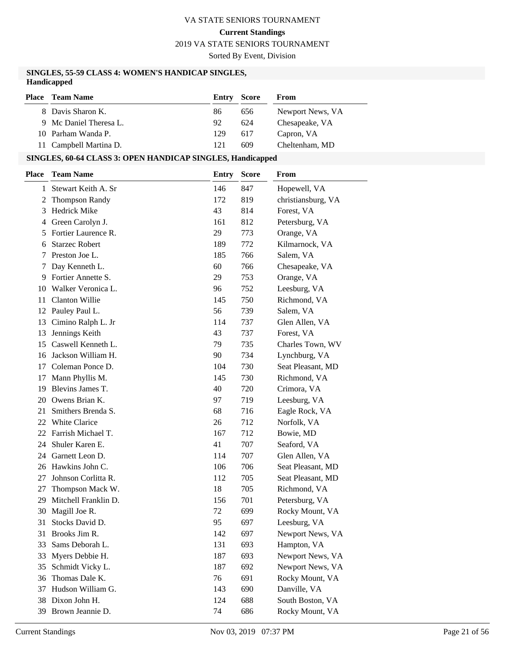**Current Standings**

2019 VA STATE SENIORS TOURNAMENT

Sorted By Event, Division

#### **SINGLES, 55-59 CLASS 4: WOMEN'S HANDICAP SINGLES, Handicapped**

| <b>Place</b> Team Name | <b>Entry Score</b> |     | From             |
|------------------------|--------------------|-----|------------------|
| 8 Davis Sharon K.      | 86                 | 656 | Newport News, VA |
| 9 Mc Daniel Theresa L. | 92                 | 624 | Chesapeake, VA   |
| 10 Parham Wanda P.     | 129                | 617 | Capron, VA       |
| 11 Campbell Martina D. | 121                | 609 | Cheltenham, MD   |

# **SINGLES, 60-64 CLASS 3: OPEN HANDICAP SINGLES, Handicapped**

| <b>Place</b> | <b>Team Name</b>      | <b>Entry</b> | <b>Score</b> | From               |
|--------------|-----------------------|--------------|--------------|--------------------|
| 1            | Stewart Keith A. Sr   | 146          | 847          | Hopewell, VA       |
| 2            | <b>Thompson Randy</b> | 172          | 819          | christiansburg, VA |
| 3            | <b>Hedrick Mike</b>   | 43           | 814          | Forest, VA         |
| 4            | Green Carolyn J.      | 161          | 812          | Petersburg, VA     |
| 5            | Fortier Laurence R.   | 29           | 773          | Orange, VA         |
| 6            | <b>Starzec Robert</b> | 189          | 772          | Kilmarnock, VA     |
| 7            | Preston Joe L.        | 185          | 766          | Salem, VA          |
| 7            | Day Kenneth L.        | 60           | 766          | Chesapeake, VA     |
| 9            | Fortier Annette S.    | 29           | 753          | Orange, VA         |
|              | 10 Walker Veronica L. | 96           | 752          | Leesburg, VA       |
| 11           | <b>Clanton Willie</b> | 145          | 750          | Richmond, VA       |
| 12           | Pauley Paul L.        | 56           | 739          | Salem, VA          |
| 13           | Cimino Ralph L. Jr    | 114          | 737          | Glen Allen, VA     |
| 13           | Jennings Keith        | 43           | 737          | Forest, VA         |
| 15           | Caswell Kenneth L.    | 79           | 735          | Charles Town, WV   |
| 16           | Jackson William H.    | 90           | 734          | Lynchburg, VA      |
|              | 17 Coleman Ponce D.   | 104          | 730          | Seat Pleasant, MD  |
| 17           | Mann Phyllis M.       | 145          | 730          | Richmond, VA       |
| 19           | Blevins James T.      | 40           | 720          | Crimora, VA        |
| 20           | Owens Brian K.        | 97           | 719          | Leesburg, VA       |
| 21           | Smithers Brenda S.    | 68           | 716          | Eagle Rock, VA     |
|              | 22 White Clarice      | 26           | 712          | Norfolk, VA        |
| 22           | Farrish Michael T.    | 167          | 712          | Bowie, MD          |
| 24           | Shuler Karen E.       | 41           | 707          | Seaford, VA        |
|              | 24 Garnett Leon D.    | 114          | 707          | Glen Allen, VA     |
|              | 26 Hawkins John C.    | 106          | 706          | Seat Pleasant, MD  |
| 27           | Johnson Corlitta R.   | 112          | 705          | Seat Pleasant, MD  |
| 27           | Thompson Mack W.      | 18           | 705          | Richmond, VA       |
| 29           | Mitchell Franklin D.  | 156          | 701          | Petersburg, VA     |
| 30           | Magill Joe R.         | 72           | 699          | Rocky Mount, VA    |
| 31           | Stocks David D.       | 95           | 697          | Leesburg, VA       |
| 31           | Brooks Jim R.         | 142          | 697          | Newport News, VA   |
| 33           | Sams Deborah L.       | 131          | 693          | Hampton, VA        |
| 33           | Myers Debbie H.       | 187          | 693          | Newport News, VA   |
| 35           | Schmidt Vicky L.      | 187          | 692          | Newport News, VA   |
| 36           | Thomas Dale K.        | 76           | 691          | Rocky Mount, VA    |
| 37           | Hudson William G.     | 143          | 690          | Danville, VA       |
| 38           | Dixon John H.         | 124          | 688          | South Boston, VA   |
| 39           | Brown Jeannie D.      | 74           | 686          | Rocky Mount, VA    |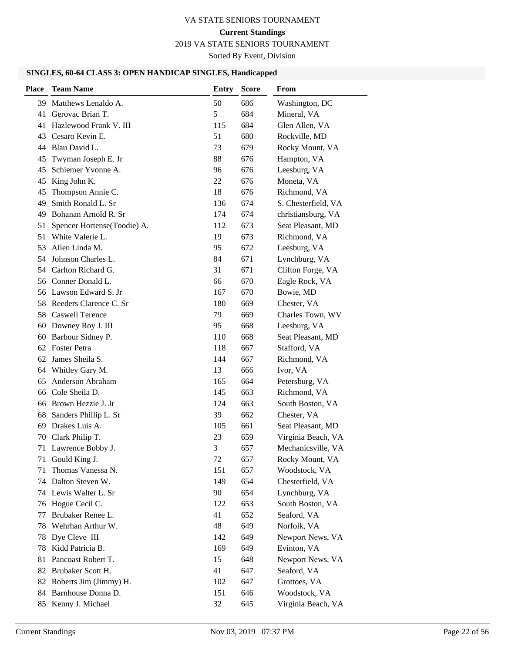# **Current Standings**

2019 VA STATE SENIORS TOURNAMENT

Sorted By Event, Division

# **SINGLES, 60-64 CLASS 3: OPEN HANDICAP SINGLES, Handicapped**

| <b>Place</b> | <b>Team Name</b>            | <b>Entry</b> | <b>Score</b> | From                |
|--------------|-----------------------------|--------------|--------------|---------------------|
| 39.          | Matthews Lenaldo A.         | 50           | 686          | Washington, DC      |
| 41           | Gerovac Brian T.            | 5            | 684          | Mineral, VA         |
| 41           | Hazlewood Frank V. III      | 115          | 684          | Glen Allen, VA      |
| 43           | Cesaro Kevin E.             | 51           | 680          | Rockville, MD       |
|              | 44 Blau David L.            | 73           | 679          | Rocky Mount, VA     |
| 45           | Twyman Joseph E. Jr         | 88           | 676          | Hampton, VA         |
| 45           | Schiemer Yvonne A.          | 96           | 676          | Leesburg, VA        |
| 45           | King John K.                | 22           | 676          | Moneta, VA          |
| 45           | Thompson Annie C.           | 18           | 676          | Richmond, VA        |
| 49           | Smith Ronald L. Sr          | 136          | 674          | S. Chesterfield, VA |
| 49           | Bohanan Arnold R. Sr        | 174          | 674          | christiansburg, VA  |
| 51           | Spencer Hortense(Toodie) A. | 112          | 673          | Seat Pleasant, MD   |
| 51           | White Valerie L.            | 19           | 673          | Richmond, VA        |
| 53           | Allen Linda M.              | 95           | 672          | Leesburg, VA        |
| 54           | Johnson Charles L.          | 84           | 671          | Lynchburg, VA       |
| 54           | Carlton Richard G.          | 31           | 671          | Clifton Forge, VA   |
| 56           | Conner Donald L.            | 66           | 670          | Eagle Rock, VA      |
|              | 56 Lawson Edward S. Jr      | 167          | 670          | Bowie, MD           |
|              | 58 Reeders Clarence C. Sr   | 180          | 669          | Chester, VA         |
| 58           | Caswell Terence             | 79           | 669          | Charles Town, WV    |
| 60           | Downey Roy J. III           | 95           | 668          | Leesburg, VA        |
| 60           | Barbour Sidney P.           | 110          | 668          | Seat Pleasant, MD   |
|              | 62 Foster Petra             | 118          | 667          | Stafford, VA        |
| 62           | James Sheila S.             | 144          | 667          | Richmond, VA        |
| 64           | Whitley Gary M.             | 13           | 666          | Ivor, VA            |
| 65           | Anderson Abraham            | 165          | 664          | Petersburg, VA      |
| 66           | Cole Sheila D.              | 145          | 663          | Richmond, VA        |
| 66           | Brown Hezzie J. Jr          | 124          | 663          | South Boston, VA    |
| 68           | Sanders Phillip L. Sr       | 39           | 662          | Chester, VA         |
| 69           | Drakes Luis A.              | 105          | 661          | Seat Pleasant, MD   |
| 70           | Clark Philip T.             | 23           | 659          | Virginia Beach, VA  |
|              | 71 Lawrence Bobby J.        | 3            | 657          | Mechanicsville, VA  |
| 71           | Gould King J.               | 72           | 657          | Rocky Mount, VA     |
| 71           | Thomas Vanessa N.           | 151          | 657          | Woodstock, VA       |
| 74           | Dalton Steven W.            | 149          | 654          | Chesterfield, VA    |
|              | 74 Lewis Walter L. Sr       | 90           | 654          | Lynchburg, VA       |
| 76           | Hogue Cecil C.              | 122          | 653          | South Boston, VA    |
| 77           | Brubaker Renee L.           | 41           | 652          | Seaford, VA         |
| 78           | Wehrhan Arthur W.           | 48           | 649          | Norfolk, VA         |
| 78           | Dye Cleve III               | 142          | 649          | Newport News, VA    |
| 78           | Kidd Patricia B.            | 169          | 649          | Evinton, VA         |
| 81           | Pancoast Robert T.          | 15           | 648          | Newport News, VA    |
|              | 82 Brubaker Scott H.        | 41           | 647          | Seaford, VA         |
| 82           | Roberts Jim (Jimmy) H.      | 102          | 647          | Grottoes, VA        |
| 84           | Barnhouse Donna D.          | 151          | 646          | Woodstock, VA       |
|              | 85 Kenny J. Michael         | 32           | 645          | Virginia Beach, VA  |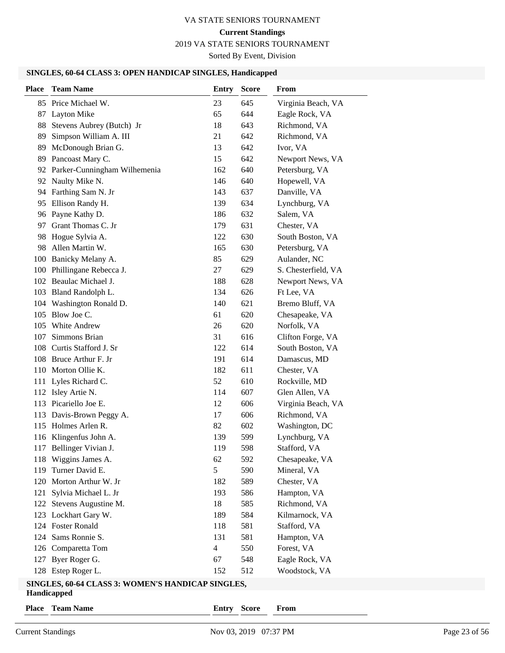#### 2019 VA STATE SENIORS TOURNAMENT

Sorted By Event, Division

#### **SINGLES, 60-64 CLASS 3: OPEN HANDICAP SINGLES, Handicapped**

| <b>Place</b> | <b>Team Name</b>                                  | Entry | <b>Score</b> | From                |  |  |  |
|--------------|---------------------------------------------------|-------|--------------|---------------------|--|--|--|
|              | 85 Price Michael W.                               | 23    | 645          | Virginia Beach, VA  |  |  |  |
|              | 87 Layton Mike                                    | 65    | 644          | Eagle Rock, VA      |  |  |  |
| 88           | Stevens Aubrey (Butch) Jr                         | 18    | 643          | Richmond, VA        |  |  |  |
| 89           | Simpson William A. III                            | 21    | 642          | Richmond, VA        |  |  |  |
| 89           | McDonough Brian G.                                | 13    | 642          | Ivor, VA            |  |  |  |
| 89           | Pancoast Mary C.                                  | 15    | 642          | Newport News, VA    |  |  |  |
|              | 92 Parker-Cunningham Wilhemenia                   | 162   | 640          | Petersburg, VA      |  |  |  |
|              | 92 Naulty Mike N.                                 | 146   | 640          | Hopewell, VA        |  |  |  |
|              | 94 Farthing Sam N. Jr                             | 143   | 637          | Danville, VA        |  |  |  |
|              | 95 Ellison Randy H.                               | 139   | 634          | Lynchburg, VA       |  |  |  |
|              | 96 Payne Kathy D.                                 | 186   | 632          | Salem, VA           |  |  |  |
| 97           | Grant Thomas C. Jr                                | 179   | 631          | Chester, VA         |  |  |  |
| 98           | Hogue Sylvia A.                                   | 122   | 630          | South Boston, VA    |  |  |  |
| 98           | Allen Martin W.                                   | 165   | 630          | Petersburg, VA      |  |  |  |
|              | 100 Banicky Melany A.                             | 85    | 629          | Aulander, NC        |  |  |  |
|              | 100 Phillingane Rebecca J.                        | 27    | 629          | S. Chesterfield, VA |  |  |  |
|              | 102 Beaulac Michael J.                            | 188   | 628          | Newport News, VA    |  |  |  |
|              | 103 Bland Randolph L.                             | 134   | 626          | Ft Lee, VA          |  |  |  |
|              | 104 Washington Ronald D.                          | 140   | 621          | Bremo Bluff, VA     |  |  |  |
| 105          | Blow Joe C.                                       | 61    | 620          | Chesapeake, VA      |  |  |  |
| 105          | White Andrew                                      | 26    | 620          | Norfolk, VA         |  |  |  |
| 107          | Simmons Brian                                     | 31    | 616          | Clifton Forge, VA   |  |  |  |
|              | 108 Curtis Stafford J. Sr                         | 122   | 614          | South Boston, VA    |  |  |  |
|              | 108 Bruce Arthur F. Jr                            | 191   | 614          | Damascus, MD        |  |  |  |
|              | 110 Morton Ollie K.                               | 182   | 611          | Chester, VA         |  |  |  |
|              | 111 Lyles Richard C.                              | 52    | 610          | Rockville, MD       |  |  |  |
|              | 112 Isley Artie N.                                | 114   | 607          | Glen Allen, VA      |  |  |  |
|              | 113 Picariello Joe E.                             | 12    | 606          | Virginia Beach, VA  |  |  |  |
|              | 113 Davis-Brown Peggy A.                          | 17    | 606          | Richmond, VA        |  |  |  |
|              | 115 Holmes Arlen R.                               | 82    | 602          | Washington, DC      |  |  |  |
|              | 116 Klingenfus John A.                            | 139   | 599          | Lynchburg, VA       |  |  |  |
|              | 117 Bellinger Vivian J.                           | 119   | 598          | Stafford, VA        |  |  |  |
|              | 118 Wiggins James A.                              | 62    | 592          | Chesapeake, VA      |  |  |  |
| 119          | Turner David E.                                   | 5     | 590          | Mineral, VA         |  |  |  |
| 120          | Morton Arthur W. Jr                               | 182   | 589          | Chester, VA         |  |  |  |
| 121          | Sylvia Michael L. Jr                              | 193   | 586          | Hampton, VA         |  |  |  |
|              | 122 Stevens Augustine M.                          | 18    | 585          | Richmond, VA        |  |  |  |
|              | 123 Lockhart Gary W.                              | 189   | 584          | Kilmarnock, VA      |  |  |  |
|              | 124 Foster Ronald                                 | 118   | 581          | Stafford, VA        |  |  |  |
|              | 124 Sams Ronnie S.                                | 131   | 581          | Hampton, VA         |  |  |  |
| 126          | Comparetta Tom                                    | 4     | 550          | Forest, VA          |  |  |  |
| 127          | Byer Roger G.                                     | 67    | 548          | Eagle Rock, VA      |  |  |  |
|              | 128 Estep Roger L.                                | 152   | 512          | Woodstock, VA       |  |  |  |
|              | SINGLES, 60-64 CLASS 3: WOMEN'S HANDICAP SINGLES, |       |              |                     |  |  |  |

#### **Handicapped**

**Place Team Name Entry Score From**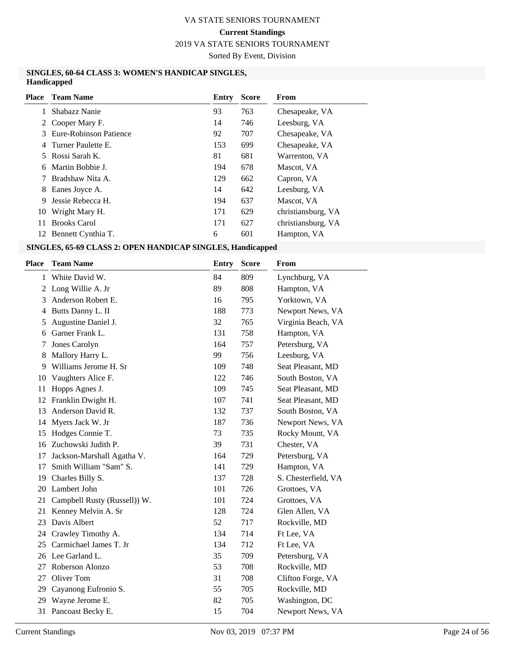2019 VA STATE SENIORS TOURNAMENT

Sorted By Event, Division

#### **SINGLES, 60-64 CLASS 3: WOMEN'S HANDICAP SINGLES, Handicapped**

| Place | <b>Team Name</b>       | Entry | <b>Score</b> | <b>From</b>        |
|-------|------------------------|-------|--------------|--------------------|
|       | Shabazz Nanie          | 93    | 763          | Chesapeake, VA     |
|       | 2 Cooper Mary F.       | 14    | 746          | Leesburg, VA       |
| 3     | Eure-Robinson Patience | 92    | 707          | Chesapeake, VA     |
| 4     | Turner Paulette E.     | 153   | 699          | Chesapeake, VA     |
| 5.    | Rossi Sarah K.         | 81    | 681          | Warrenton, VA      |
| 6     | Martin Bobbie J.       | 194   | 678          | Mascot, VA         |
|       | Bradshaw Nita A.       | 129   | 662          | Capron, VA         |
| 8     | Eanes Joyce A.         | 14    | 642          | Leesburg, VA       |
| 9     | Jessie Rebecca H.      | 194   | 637          | Mascot, VA         |
| 10    | Wright Mary H.         | 171   | 629          | christiansburg, VA |
| 11    | <b>Brooks Carol</b>    | 171   | 627          | christiansburg, VA |
|       | 12 Bennett Cynthia T.  | 6     | 601          | Hampton, VA        |
|       |                        |       |              |                    |

## **SINGLES, 65-69 CLASS 2: OPEN HANDICAP SINGLES, Handicapped**

| Place | <b>Team Name</b>             | <b>Entry</b> | <b>Score</b> | <b>From</b>         |
|-------|------------------------------|--------------|--------------|---------------------|
| 1     | White David W.               | 84           | 809          | Lynchburg, VA       |
|       | 2 Long Willie A. Jr          | 89           | 808          | Hampton, VA         |
| 3     | Anderson Robert E.           | 16           | 795          | Yorktown, VA        |
| 4     | Butts Danny L. II            | 188          | 773          | Newport News, VA    |
| 5     | Augustine Daniel J.          | 32           | 765          | Virginia Beach, VA  |
| 6     | Garner Frank L.              | 131          | 758          | Hampton, VA         |
| 7     | Jones Carolyn                | 164          | 757          | Petersburg, VA      |
| 8     | Mallory Harry L.             | 99           | 756          | Leesburg, VA        |
| 9     | Williams Jerome H. Sr        | 109          | 748          | Seat Pleasant, MD   |
| 10    | Vaughters Alice F.           | 122          | 746          | South Boston, VA    |
| 11    | Hopps Agnes J.               | 109          | 745          | Seat Pleasant, MD   |
| 12    | Franklin Dwight H.           | 107          | 741          | Seat Pleasant, MD   |
| 13    | Anderson David R.            | 132          | 737          | South Boston, VA    |
| 14    | Myers Jack W. Jr             | 187          | 736          | Newport News, VA    |
| 15    | Hodges Connie T.             | 73           | 735          | Rocky Mount, VA     |
| 16    | Zuchowski Judith P.          | 39           | 731          | Chester, VA         |
| 17    | Jackson-Marshall Agatha V.   | 164          | 729          | Petersburg, VA      |
| 17    | Smith William "Sam" S.       | 141          | 729          | Hampton, VA         |
| 19    | Charles Billy S.             | 137          | 728          | S. Chesterfield, VA |
| 20    | Lambert John                 | 101          | 726          | Grottoes, VA        |
| 21    | Campbell Rusty (Russell)) W. | 101          | 724          | Grottoes, VA        |
| 21    | Kenney Melvin A. Sr          | 128          | 724          | Glen Allen, VA      |
| 23    | Davis Albert                 | 52           | 717          | Rockville, MD       |
|       | 24 Crawley Timothy A.        | 134          | 714          | Ft Lee, VA          |
| 25    | Carmichael James T. Jr       | 134          | 712          | Ft Lee, VA          |
| 26    | Lee Garland L.               | 35           | 709          | Petersburg, VA      |
| 27    | Roberson Alonzo              | 53           | 708          | Rockville, MD       |
| 27    | Oliver Tom                   | 31           | 708          | Clifton Forge, VA   |
| 29    | Cayanong Eufronio S.         | 55           | 705          | Rockville, MD       |
| 29    | Wayne Jerome E.              | 82           | 705          | Washington, DC      |
| 31    | Pancoast Becky E.            | 15           | 704          | Newport News, VA    |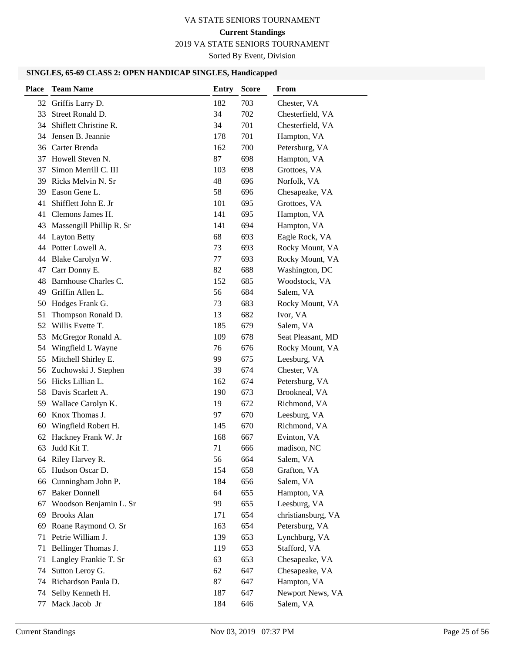# **Current Standings**

2019 VA STATE SENIORS TOURNAMENT

Sorted By Event, Division

# **SINGLES, 65-69 CLASS 2: OPEN HANDICAP SINGLES, Handicapped**

| <b>Place</b> | <b>Team Name</b>         | <b>Entry</b> | <b>Score</b> | From               |
|--------------|--------------------------|--------------|--------------|--------------------|
| 32           | Griffis Larry D.         | 182          | 703          | Chester, VA        |
| 33           | Street Ronald D.         | 34           | 702          | Chesterfield, VA   |
| 34           | Shiflett Christine R.    | 34           | 701          | Chesterfield, VA   |
| 34           | Jensen B. Jeannie        | 178          | 701          | Hampton, VA        |
|              | 36 Carter Brenda         | 162          | 700          | Petersburg, VA     |
|              | 37 Howell Steven N.      | 87           | 698          | Hampton, VA        |
| 37           | Simon Merrill C. III     | 103          | 698          | Grottoes, VA       |
| 39           | Ricks Melvin N. Sr       | 48           | 696          | Norfolk, VA        |
| 39           | Eason Gene L.            | 58           | 696          | Chesapeake, VA     |
| 41           | Shifflett John E. Jr     | 101          | 695          | Grottoes, VA       |
| 41           | Clemons James H.         | 141          | 695          | Hampton, VA        |
| 43           | Massengill Phillip R. Sr | 141          | 694          | Hampton, VA        |
| 44           | <b>Layton Betty</b>      | 68           | 693          | Eagle Rock, VA     |
|              | 44 Potter Lowell A.      | 73           | 693          | Rocky Mount, VA    |
| 44           | Blake Carolyn W.         | 77           | 693          | Rocky Mount, VA    |
| 47           | Carr Donny E.            | 82           | 688          | Washington, DC     |
| 48           | Barnhouse Charles C.     | 152          | 685          | Woodstock, VA      |
| 49           | Griffin Allen L.         | 56           | 684          | Salem, VA          |
| 50           | Hodges Frank G.          | 73           | 683          | Rocky Mount, VA    |
| 51           | Thompson Ronald D.       | 13           | 682          | Ivor, VA           |
| 52           | Willis Evette T.         | 185          | 679          | Salem, VA          |
| 53           | McGregor Ronald A.       | 109          | 678          | Seat Pleasant, MD  |
| 54           | Wingfield L Wayne        | 76           | 676          | Rocky Mount, VA    |
| 55           | Mitchell Shirley E.      | 99           | 675          | Leesburg, VA       |
| 56           | Zuchowski J. Stephen     | 39           | 674          | Chester, VA        |
|              | 56 Hicks Lillian L.      | 162          | 674          | Petersburg, VA     |
| 58           | Davis Scarlett A.        | 190          | 673          | Brookneal, VA      |
| 59           | Wallace Carolyn K.       | 19           | 672          | Richmond, VA       |
| 60           | Knox Thomas J.           | 97           | 670          | Leesburg, VA       |
|              | 60 Wingfield Robert H.   | 145          | 670          | Richmond, VA       |
|              | 62 Hackney Frank W. Jr   | 168          | 667          | Evinton, VA        |
|              | 63 Judd Kit T.           | 71           | 666          | madison, NC        |
|              | 64 Riley Harvey R.       | 56           | 664          | Salem, VA          |
|              | 65 Hudson Oscar D.       | 154          | 658          | Grafton, VA        |
| 66           | Cunningham John P.       | 184          | 656          | Salem, VA          |
| 67           | <b>Baker Donnell</b>     | 64           | 655          | Hampton, VA        |
| 67           | Woodson Benjamin L. Sr   | 99           | 655          | Leesburg, VA       |
| 69           | <b>Brooks Alan</b>       | 171          | 654          | christiansburg, VA |
| 69           | Roane Raymond O. Sr      | 163          | 654          | Petersburg, VA     |
| 71           | Petrie William J.        | 139          | 653          | Lynchburg, VA      |
| 71           | Bellinger Thomas J.      | 119          | 653          | Stafford, VA       |
| 71           | Langley Frankie T. Sr    | 63           | 653          | Chesapeake, VA     |
| 74           | Sutton Leroy G.          | 62           | 647          | Chesapeake, VA     |
| 74           | Richardson Paula D.      | 87           | 647          | Hampton, VA        |
| 74           | Selby Kenneth H.         | 187          | 647          | Newport News, VA   |
| 77           | Mack Jacob Jr            | 184          | 646          | Salem, VA          |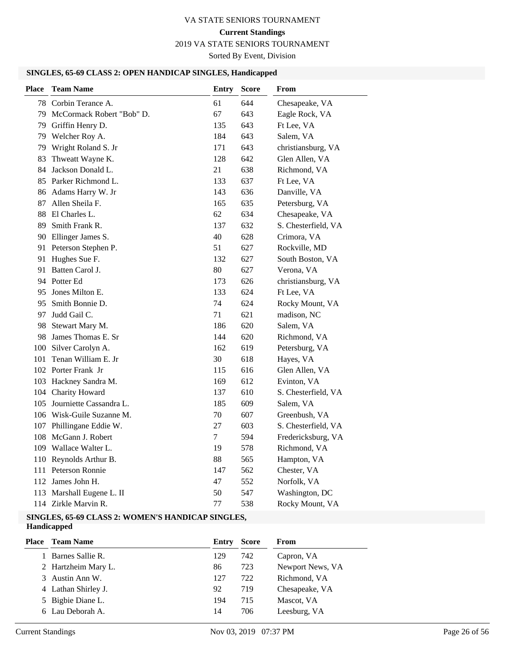# 2019 VA STATE SENIORS TOURNAMENT

Sorted By Event, Division

# **SINGLES, 65-69 CLASS 2: OPEN HANDICAP SINGLES, Handicapped**

| <b>Place</b> | <b>Team Name</b>             | <b>Entry</b> | <b>Score</b> | From                |
|--------------|------------------------------|--------------|--------------|---------------------|
|              | 78 Corbin Terance A.         | 61           | 644          | Chesapeake, VA      |
|              | 79 McCormack Robert "Bob" D. | 67           | 643          | Eagle Rock, VA      |
|              | 79 Griffin Henry D.          | 135          | 643          | Ft Lee, VA          |
|              | 79 Welcher Roy A.            | 184          | 643          | Salem, VA           |
| 79           | Wright Roland S. Jr          | 171          | 643          | christiansburg, VA  |
| 83           | Thweatt Wayne K.             | 128          | 642          | Glen Allen, VA      |
| 84           | Jackson Donald L.            | 21           | 638          | Richmond, VA        |
|              | 85 Parker Richmond L.        | 133          | 637          | Ft Lee, VA          |
|              | 86 Adams Harry W. Jr         | 143          | 636          | Danville, VA        |
| 87           | Allen Sheila F.              | 165          | 635          | Petersburg, VA      |
| 88           | El Charles L.                | 62           | 634          | Chesapeake, VA      |
| 89           | Smith Frank R.               | 137          | 632          | S. Chesterfield, VA |
|              | 90 Ellinger James S.         | 40           | 628          | Crimora, VA         |
|              | 91 Peterson Stephen P.       | 51           | 627          | Rockville, MD       |
| 91           | Hughes Sue F.                | 132          | 627          | South Boston, VA    |
| 91           | Batten Carol J.              | 80           | 627          | Verona, VA          |
|              | 94 Potter Ed                 | 173          | 626          | christiansburg, VA  |
| 95           | Jones Milton E.              | 133          | 624          | Ft Lee, VA          |
| 95           | Smith Bonnie D.              | 74           | 624          | Rocky Mount, VA     |
| 97           | Judd Gail C.                 | 71           | 621          | madison, NC         |
| 98           | Stewart Mary M.              | 186          | 620          | Salem, VA           |
| 98           | James Thomas E. Sr           | 144          | 620          | Richmond, VA        |
|              | 100 Silver Carolyn A.        | 162          | 619          | Petersburg, VA      |
| 101          | Tenan William E. Jr          | 30           | 618          | Hayes, VA           |
|              | 102 Porter Frank Jr          | 115          | 616          | Glen Allen, VA      |
|              | 103 Hackney Sandra M.        | 169          | 612          | Evinton, VA         |
|              | 104 Charity Howard           | 137          | 610          | S. Chesterfield, VA |
|              | 105 Journiette Cassandra L.  | 185          | 609          | Salem, VA           |
|              | 106 Wisk-Guile Suzanne M.    | 70           | 607          | Greenbush, VA       |
|              | 107 Phillingane Eddie W.     | 27           | 603          | S. Chesterfield, VA |
|              | 108 McGann J. Robert         | $\tau$       | 594          | Fredericksburg, VA  |
|              | 109 Wallace Walter L.        | 19           | 578          | Richmond, VA        |
|              | 110 Reynolds Arthur B.       | 88           | 565          | Hampton, VA         |
| 111          | Peterson Ronnie              | 147          | 562          | Chester, VA         |
| 112          | James John H.                | 47           | 552          | Norfolk, VA         |
|              | 113 Marshall Eugene L. II    | 50           | 547          | Washington, DC      |
|              | 114 Zirkle Marvin R.         | 77           | 538          | Rocky Mount, VA     |

#### **SINGLES, 65-69 CLASS 2: WOMEN'S HANDICAP SINGLES, Handicapped**

| Place | <b>Team Name</b>    | Entry | <b>Score</b> | From             |
|-------|---------------------|-------|--------------|------------------|
|       | 1 Barnes Sallie R.  | 129   | 742          | Capron, VA       |
|       | 2 Hartzheim Mary L. | 86    | 723          | Newport News, VA |
|       | 3 Austin Ann W.     | 127   | 722          | Richmond, VA     |
|       | 4 Lathan Shirley J. | 92    | 719          | Chesapeake, VA   |
|       | 5 Bigbie Diane L.   | 194   | 715          | Mascot, VA       |
|       | 6 Lau Deborah A.    | 14    | 706          | Leesburg, VA     |
|       |                     |       |              |                  |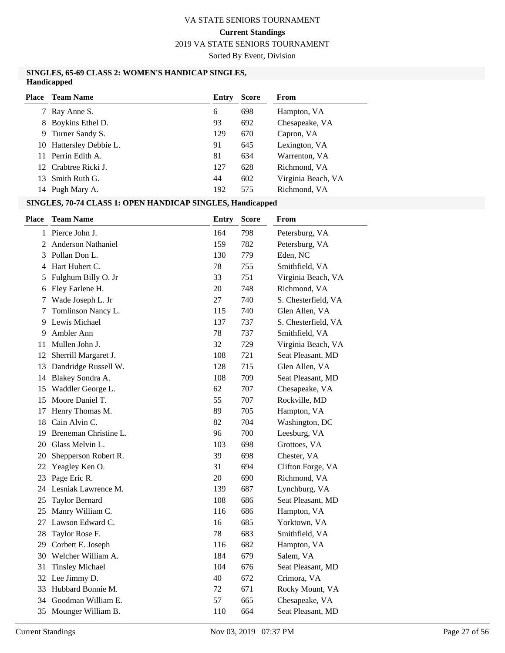# 2019 VA STATE SENIORS TOURNAMENT

Sorted By Event, Division

#### **SINGLES, 65-69 CLASS 2: WOMEN'S HANDICAP SINGLES, Handicapped**

| Place | <b>Team Name</b>        | Entry | <b>Score</b> | <b>From</b>        |
|-------|-------------------------|-------|--------------|--------------------|
| 7     | Ray Anne S.             | 6     | 698          | Hampton, VA        |
| 8     | Boykins Ethel D.        | 93    | 692          | Chesapeake, VA     |
| 9     | Turner Sandy S.         | 129   | 670          | Capron, VA         |
|       | 10 Hattersley Debbie L. | 91    | 645          | Lexington, VA      |
|       | 11 Perrin Edith A.      | 81    | 634          | Warrenton, VA      |
|       | 12 Crabtree Ricki J.    | 127   | 628          | Richmond, VA       |
| 13.   | Smith Ruth G.           | 44    | 602          | Virginia Beach, VA |
|       | 14 Pugh Mary A.         | 192   | 575          | Richmond, VA       |

**SINGLES, 70-74 CLASS 1: OPEN HANDICAP SINGLES, Handicapped**

| <b>Place</b> | <b>Team Name</b>        | <b>Entry</b> | <b>Score</b> | From                |
|--------------|-------------------------|--------------|--------------|---------------------|
|              | 1 Pierce John J.        | 164          | 798          | Petersburg, VA      |
|              | 2 Anderson Nathaniel    | 159          | 782          | Petersburg, VA      |
| 3            | Pollan Don L.           | 130          | 779          | Eden, NC            |
|              | 4 Hart Hubert C.        | 78           | 755          | Smithfield, VA      |
| 5            | Fulghum Billy O. Jr     | 33           | 751          | Virginia Beach, VA  |
| 6            | Eley Earlene H.         | 20           | 748          | Richmond, VA        |
| 7            | Wade Joseph L. Jr       | 27           | 740          | S. Chesterfield, VA |
| 7            | Tomlinson Nancy L.      | 115          | 740          | Glen Allen, VA      |
| 9            | Lewis Michael           | 137          | 737          | S. Chesterfield, VA |
| 9            | Ambler Ann              | 78           | 737          | Smithfield, VA      |
| 11           | Mullen John J.          | 32           | 729          | Virginia Beach, VA  |
|              | 12 Sherrill Margaret J. | 108          | 721          | Seat Pleasant, MD   |
|              | 13 Dandridge Russell W. | 128          | 715          | Glen Allen, VA      |
|              | 14 Blakey Sondra A.     | 108          | 709          | Seat Pleasant, MD   |
| 15           | Waddler George L.       | 62           | 707          | Chesapeake, VA      |
| 15           | Moore Daniel T.         | 55           | 707          | Rockville, MD       |
| 17           | Henry Thomas M.         | 89           | 705          | Hampton, VA         |
| 18           | Cain Alvin C.           | 82           | 704          | Washington, DC      |
| 19           | Breneman Christine L.   | 96           | 700          | Leesburg, VA        |
|              | 20 Glass Melvin L.      | 103          | 698          | Grottoes, VA        |
| 20           | Shepperson Robert R.    | 39           | 698          | Chester, VA         |
| 22           | Yeagley Ken O.          | 31           | 694          | Clifton Forge, VA   |
| 23           | Page Eric R.            | 20           | 690          | Richmond, VA        |
|              | 24 Lesniak Lawrence M.  | 139          | 687          | Lynchburg, VA       |
| 25           | <b>Taylor Bernard</b>   | 108          | 686          | Seat Pleasant, MD   |
| 25           | Manry William C.        | 116          | 686          | Hampton, VA         |
| 27           | Lawson Edward C.        | 16           | 685          | Yorktown, VA        |
| 28           | Taylor Rose F.          | 78           | 683          | Smithfield, VA      |
| 29           | Corbett E. Joseph       | 116          | 682          | Hampton, VA         |
| 30           | Welcher William A.      | 184          | 679          | Salem, VA           |
| 31           | <b>Tinsley Michael</b>  | 104          | 676          | Seat Pleasant, MD   |
|              | 32 Lee Jimmy D.         | 40           | 672          | Crimora, VA         |
| 33           | Hubbard Bonnie M.       | 72           | 671          | Rocky Mount, VA     |
| 34           | Goodman William E.      | 57           | 665          | Chesapeake, VA      |
| 35           | Mounger William B.      | 110          | 664          | Seat Pleasant, MD   |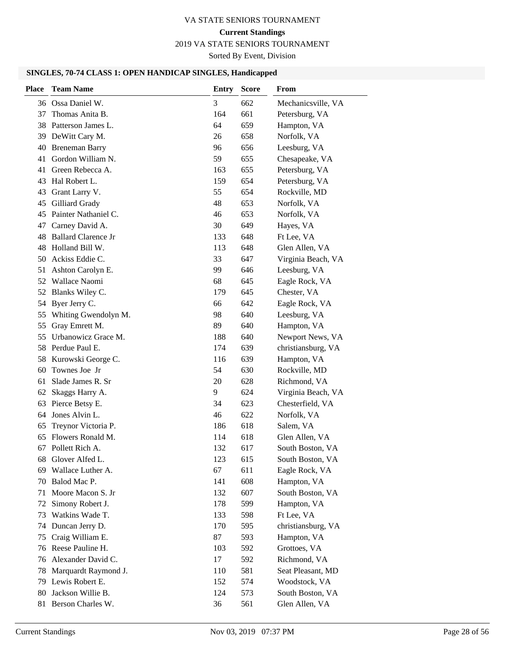# **Current Standings**

2019 VA STATE SENIORS TOURNAMENT

Sorted By Event, Division

# **SINGLES, 70-74 CLASS 1: OPEN HANDICAP SINGLES, Handicapped**

| <b>Place</b> | <b>Team Name</b>           | <b>Entry</b> | <b>Score</b> | From               |
|--------------|----------------------------|--------------|--------------|--------------------|
|              | 36 Ossa Daniel W.          | 3            | 662          | Mechanicsville, VA |
| 37           | Thomas Anita B.            | 164          | 661          | Petersburg, VA     |
| 38           | Patterson James L.         | 64           | 659          | Hampton, VA        |
| 39           | DeWitt Cary M.             | 26           | 658          | Norfolk, VA        |
| 40           | <b>Breneman Barry</b>      | 96           | 656          | Leesburg, VA       |
| 41           | Gordon William N.          | 59           | 655          | Chesapeake, VA     |
| 41           | Green Rebecca A.           | 163          | 655          | Petersburg, VA     |
| 43           | Hal Robert L.              | 159          | 654          | Petersburg, VA     |
| 43           | Grant Larry V.             | 55           | 654          | Rockville, MD      |
| 45           | Gilliard Grady             | 48           | 653          | Norfolk, VA        |
|              | 45 Painter Nathaniel C.    | 46           | 653          | Norfolk, VA        |
| 47           | Carney David A.            | 30           | 649          | Hayes, VA          |
| 48           | <b>Ballard Clarence Jr</b> | 133          | 648          | Ft Lee, VA         |
| 48           | Holland Bill W.            | 113          | 648          | Glen Allen, VA     |
| 50           | Ackiss Eddie C.            | 33           | 647          | Virginia Beach, VA |
| 51           | Ashton Carolyn E.          | 99           | 646          | Leesburg, VA       |
| 52           | Wallace Naomi              | 68           | 645          | Eagle Rock, VA     |
|              | 52 Blanks Wiley C.         | 179          | 645          | Chester, VA        |
| 54           | Byer Jerry C.              | 66           | 642          | Eagle Rock, VA     |
| 55           | Whiting Gwendolyn M.       | 98           | 640          | Leesburg, VA       |
| 55           | Gray Emrett M.             | 89           | 640          | Hampton, VA        |
| 55           | Urbanowicz Grace M.        | 188          | 640          | Newport News, VA   |
|              | 58 Perdue Paul E.          | 174          | 639          | christiansburg, VA |
| 58           | Kurowski George C.         | 116          | 639          | Hampton, VA        |
| 60           | Townes Joe Jr              | 54           | 630          | Rockville, MD      |
| 61           | Slade James R. Sr          | 20           | 628          | Richmond, VA       |
| 62           | Skaggs Harry A.            | 9            | 624          | Virginia Beach, VA |
| 63           | Pierce Betsy E.            | 34           | 623          | Chesterfield, VA   |
| 64           | Jones Alvin L.             | 46           | 622          | Norfolk, VA        |
| 65           | Treynor Victoria P.        | 186          | 618          | Salem, VA          |
| 65           | Flowers Ronald M.          | 114          | 618          | Glen Allen, VA     |
| 67           | Pollett Rich A.            | 132          | 617          | South Boston, VA   |
| 68           | Glover Alfed L.            | 123          | 615          | South Boston, VA   |
| 69           | Wallace Luther A.          | 67           | 611          | Eagle Rock, VA     |
| 70           | Balod Mac P.               | 141          | 608          | Hampton, VA        |
| 71           | Moore Macon S. Jr          | 132          | 607          | South Boston, VA   |
| 72           | Simony Robert J.           | 178          | 599          | Hampton, VA        |
| 73           | Watkins Wade T.            | 133          | 598          | Ft Lee, VA         |
| 74           | Duncan Jerry D.            | 170          | 595          | christiansburg, VA |
| 75           | Craig William E.           | 87           | 593          | Hampton, VA        |
| 76           | Reese Pauline H.           | 103          | 592          | Grottoes, VA       |
| 76           | Alexander David C.         | 17           | 592          | Richmond, VA       |
| 78           | Marquardt Raymond J.       | 110          | 581          | Seat Pleasant, MD  |
| 79           | Lewis Robert E.            | 152          | 574          | Woodstock, VA      |
| 80           | Jackson Willie B.          | 124          | 573          | South Boston, VA   |
| 81           | Berson Charles W.          | 36           | 561          | Glen Allen, VA     |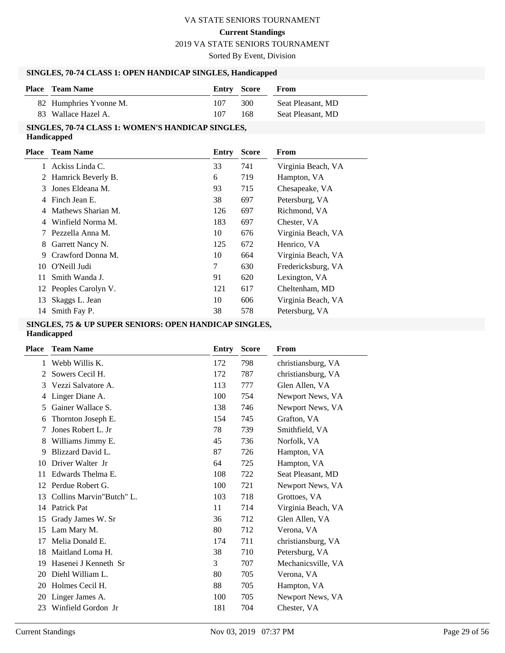#### **Current Standings**

#### 2019 VA STATE SENIORS TOURNAMENT

Sorted By Event, Division

#### **SINGLES, 70-74 CLASS 1: OPEN HANDICAP SINGLES, Handicapped**

| <b>Place</b> Team Name | <b>Entry Score</b> |     | From              |
|------------------------|--------------------|-----|-------------------|
| 82 Humphries Yvonne M. | 107                | 300 | Seat Pleasant, MD |
| 83 Wallace Hazel A.    | 107                | 168 | Seat Pleasant, MD |

# **SINGLES, 70-74 CLASS 1: WOMEN'S HANDICAP SINGLES,**

**Handicapped**

| Place | <b>Team Name</b>      | Entry | <b>Score</b> | From               |
|-------|-----------------------|-------|--------------|--------------------|
|       | Ackiss Linda C.       | 33    | 741          | Virginia Beach, VA |
|       | 2 Hamrick Beverly B.  | 6     | 719          | Hampton, VA        |
| 3     | Jones Eldeana M.      | 93    | 715          | Chesapeake, VA     |
| 4     | Finch Jean E.         | 38    | 697          | Petersburg, VA     |
| 4     | Mathews Sharian M.    | 126   | 697          | Richmond, VA       |
| 4     | Winfield Norma M.     | 183   | 697          | Chester, VA        |
|       | Pezzella Anna M.      | 10    | 676          | Virginia Beach, VA |
| 8     | Garrett Nancy N.      | 125   | 672          | Henrico, VA        |
| 9     | Crawford Donna M.     | 10    | 664          | Virginia Beach, VA |
| 10    | O'Neill Judi          | 7     | 630          | Fredericksburg, VA |
| 11    | Smith Wanda J.        | 91    | 620          | Lexington, VA      |
|       | 12 Peoples Carolyn V. | 121   | 617          | Cheltenham, MD     |
| 13    | Skaggs L. Jean        | 10    | 606          | Virginia Beach, VA |
| 14    | Smith Fay P.          | 38    | 578          | Petersburg, VA     |
|       |                       |       |              |                    |

# **SINGLES, 75 & UP SUPER SENIORS: OPEN HANDICAP SINGLES,**

#### **Handicapped**

| Place | <b>Team Name</b>         | Entry | <b>Score</b> | From               |
|-------|--------------------------|-------|--------------|--------------------|
| 1     | Webb Willis K.           | 172   | 798          | christiansburg, VA |
| 2     | Sowers Cecil H.          | 172   | 787          | christiansburg, VA |
| 3     | Vezzi Salvatore A.       | 113   | 777          | Glen Allen, VA     |
| 4     | Linger Diane A.          | 100   | 754          | Newport News, VA   |
| 5     | Gainer Wallace S.        | 138   | 746          | Newport News, VA   |
| 6     | Thornton Joseph E.       | 154   | 745          | Grafton, VA        |
| 7     | Jones Robert L. Jr.      | 78    | 739          | Smithfield, VA     |
| 8     | Williams Jimmy E.        | 45    | 736          | Norfolk, VA        |
| 9     | Blizzard David L.        | 87    | 726          | Hampton, VA        |
| 10    | Driver Walter Jr         | 64    | 725          | Hampton, VA        |
| 11    | Edwards Thelma E.        | 108   | 722          | Seat Pleasant, MD  |
| 12    | Perdue Robert G.         | 100   | 721          | Newport News, VA   |
| 13    | Collins Marvin"Butch" L. | 103   | 718          | Grottoes, VA       |
| 14    | Patrick Pat              | 11    | 714          | Virginia Beach, VA |
| 15    | Grady James W. Sr        | 36    | 712          | Glen Allen, VA     |
| 15    | Lam Mary M.              | 80    | 712          | Verona, VA         |
| 17    | Melia Donald E.          | 174   | 711          | christiansburg, VA |
| 18    | Maitland Loma H.         | 38    | 710          | Petersburg, VA     |
| 19    | Hasenei J Kenneth Sr     | 3     | 707          | Mechanicsville, VA |
| 20    | Diehl William L.         | 80    | 705          | Verona, VA         |
| 20    | Holmes Cecil H.          | 88    | 705          | Hampton, VA        |
| 20    | Linger James A.          | 100   | 705          | Newport News, VA   |
| 23    | Winfield Gordon Jr       | 181   | 704          | Chester, VA        |
|       |                          |       |              |                    |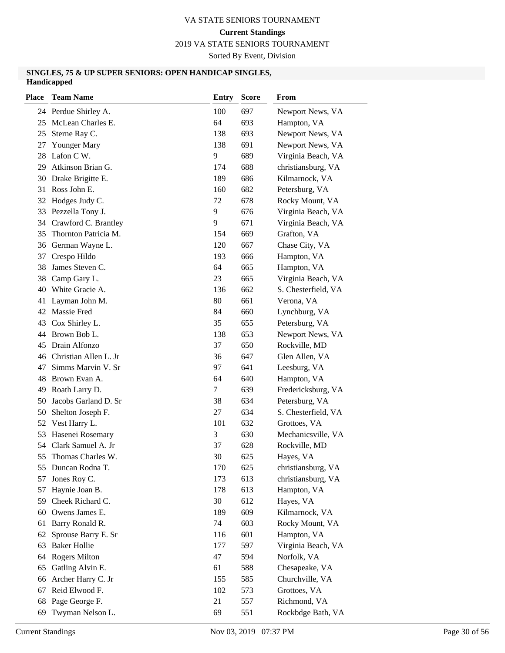2019 VA STATE SENIORS TOURNAMENT

Sorted By Event, Division

#### **SINGLES, 75 & UP SUPER SENIORS: OPEN HANDICAP SINGLES, Handicapped**

| <b>Place</b> | <b>Team Name</b>         | <b>Entry</b> | <b>Score</b> | From                |
|--------------|--------------------------|--------------|--------------|---------------------|
|              | 24 Perdue Shirley A.     | 100          | 697          | Newport News, VA    |
|              | 25 McLean Charles E.     | 64           | 693          | Hampton, VA         |
| 25           | Sterne Ray C.            | 138          | 693          | Newport News, VA    |
| 27           | Younger Mary             | 138          | 691          | Newport News, VA    |
| 28           | Lafon C W.               | 9            | 689          | Virginia Beach, VA  |
| 29           | Atkinson Brian G.        | 174          | 688          | christiansburg, VA  |
| 30           | Drake Brigitte E.        | 189          | 686          | Kilmarnock, VA      |
| 31           | Ross John E.             | 160          | 682          | Petersburg, VA      |
| 32           | Hodges Judy C.           | 72           | 678          | Rocky Mount, VA     |
| 33           | Pezzella Tony J.         | 9            | 676          | Virginia Beach, VA  |
| 34           | Crawford C. Brantley     | 9            | 671          | Virginia Beach, VA  |
| 35           | Thornton Patricia M.     | 154          | 669          | Grafton, VA         |
| 36           | German Wayne L.          | 120          | 667          | Chase City, VA      |
| 37           | Crespo Hildo             | 193          | 666          | Hampton, VA         |
| 38           | James Steven C.          | 64           | 665          | Hampton, VA         |
| 38           | Camp Gary L.             | 23           | 665          | Virginia Beach, VA  |
|              | 40 White Gracie A.       | 136          | 662          | S. Chesterfield, VA |
| 41           | Layman John M.           | 80           | 661          | Verona, VA          |
|              | 42 Massie Fred           | 84           | 660          | Lynchburg, VA       |
| 43           | Cox Shirley L.           | 35           | 655          | Petersburg, VA      |
| 44           | Brown Bob L.             | 138          | 653          | Newport News, VA    |
| 45           | Drain Alfonzo            | 37           | 650          | Rockville, MD       |
|              | 46 Christian Allen L. Jr | 36           | 647          | Glen Allen, VA      |
| 47           | Simms Marvin V. Sr       | 97           | 641          | Leesburg, VA        |
| 48           | Brown Evan A.            | 64           | 640          | Hampton, VA         |
| 49           | Roath Larry D.           | 7            | 639          | Fredericksburg, VA  |
| 50           | Jacobs Garland D. Sr     | 38           | 634          | Petersburg, VA      |
| 50           | Shelton Joseph F.        | 27           | 634          | S. Chesterfield, VA |
| 52           | Vest Harry L.            | 101          | 632          | Grottoes, VA        |
| 53           | Hasenei Rosemary         | 3            | 630          | Mechanicsville, VA  |
| 54           | Clark Samuel A. Jr       | 37           | 628          | Rockville, MD       |
| 55           | Thomas Charles W.        | 30           | 625          | Hayes, VA           |
|              | 55 Duncan Rodna T.       | 170          | 625          | christiansburg, VA  |
| 57           | Jones Roy C.             | 173          | 613          | christiansburg, VA  |
| 57           | Haynie Joan B.           | 178          | 613          | Hampton, VA         |
| 59           | Cheek Richard C.         | 30           | 612          | Hayes, VA           |
| 60           | Owens James E.           | 189          | 609          | Kilmarnock, VA      |
| 61           | Barry Ronald R.          | 74           | 603          | Rocky Mount, VA     |
| 62           | Sprouse Barry E. Sr      | 116          | 601          | Hampton, VA         |
| 63           | <b>Baker Hollie</b>      | 177          | 597          | Virginia Beach, VA  |
| 64           | <b>Rogers Milton</b>     | 47           | 594          | Norfolk, VA         |
| 65           | Gatling Alvin E.         | 61           | 588          | Chesapeake, VA      |
| 66           | Archer Harry C. Jr       | 155          | 585          | Churchville, VA     |
| 67           | Reid Elwood F.           | 102          | 573          | Grottoes, VA        |
| 68           | Page George F.           | 21           | 557          | Richmond, VA        |
| 69           | Twyman Nelson L.         | 69           | 551          | Rockbdge Bath, VA   |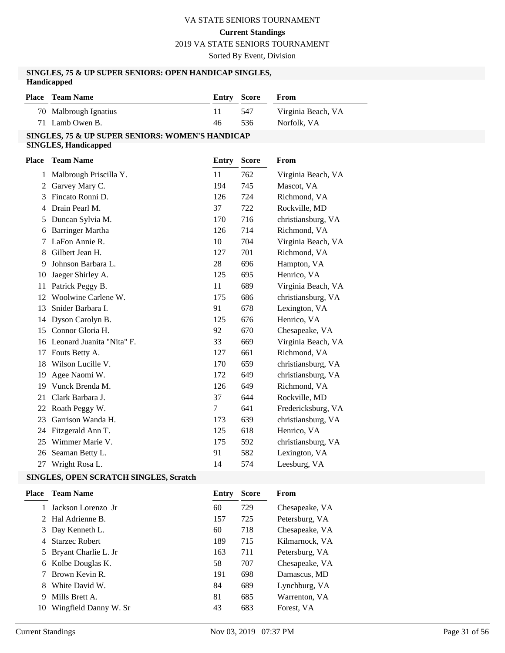#### **Current Standings**

2019 VA STATE SENIORS TOURNAMENT

Sorted By Event, Division

#### **SINGLES, 75 & UP SUPER SENIORS: OPEN HANDICAP SINGLES, Handicapped**

| <b>Place</b> Team Name | Entry Score |     | <b>From</b>        |
|------------------------|-------------|-----|--------------------|
| 70 Malbrough Ignatius  |             | 547 | Virginia Beach, VA |
| 71 Lamb Owen B.        | 46          | 536 | Norfolk, VA        |

#### **SINGLES, 75 & UP SUPER SENIORS: WOMEN'S HANDICAP SINGLES, Handicapped**

| Place | <b>Team Name</b>          | Entry  | <b>Score</b> | From               |
|-------|---------------------------|--------|--------------|--------------------|
| 1     | Malbrough Priscilla Y.    | 11     | 762          | Virginia Beach, VA |
| 2     | Garvey Mary C.            | 194    | 745          | Mascot, VA         |
| 3     | Fincato Ronni D.          | 126    | 724          | Richmond, VA       |
| 4     | Drain Pearl M.            | 37     | 722          | Rockville, MD      |
| 5     | Duncan Sylvia M.          | 170    | 716          | christiansburg, VA |
| 6     | <b>Barringer Martha</b>   | 126    | 714          | Richmond, VA       |
| 7     | LaFon Annie R.            | 10     | 704          | Virginia Beach, VA |
| 8     | Gilbert Jean H.           | 127    | 701          | Richmond, VA       |
| 9     | Johnson Barbara L.        | 28     | 696          | Hampton, VA        |
| 10    | Jaeger Shirley A.         | 125    | 695          | Henrico, VA        |
| 11    | Patrick Peggy B.          | 11     | 689          | Virginia Beach, VA |
| 12    | Woolwine Carlene W.       | 175    | 686          | christiansburg, VA |
| 13    | Snider Barbara I.         | 91     | 678          | Lexington, VA      |
| 14    | Dyson Carolyn B.          | 125    | 676          | Henrico, VA        |
| 15    | Connor Gloria H.          | 92     | 670          | Chesapeake, VA     |
| 16    | Leonard Juanita "Nita" F. | 33     | 669          | Virginia Beach, VA |
| 17    | Fouts Betty A.            | 127    | 661          | Richmond, VA       |
| 18    | Wilson Lucille V.         | 170    | 659          | christiansburg, VA |
| 19    | Agee Naomi W.             | 172    | 649          | christiansburg, VA |
| 19    | Vunck Brenda M.           | 126    | 649          | Richmond, VA       |
| 21    | Clark Barbara J.          | 37     | 644          | Rockville, MD      |
| 22    | Roath Peggy W.            | $\tau$ | 641          | Fredericksburg, VA |
| 23    | Garrison Wanda H.         | 173    | 639          | christiansburg, VA |
| 24    | Fitzgerald Ann T.         | 125    | 618          | Henrico, VA        |
| 25    | Wimmer Marie V.           | 175    | 592          | christiansburg, VA |
| 26    | Seaman Betty L.           | 91     | 582          | Lexington, VA      |
| 27    | Wright Rosa L.            | 14     | 574          | Leesburg, VA       |

| Place | <b>Team Name</b>       | Entry | <b>Score</b> | From           |
|-------|------------------------|-------|--------------|----------------|
|       | Jackson Lorenzo Jr     | 60    | 729          | Chesapeake, VA |
|       | 2 Hal Adrienne B.      | 157   | 725          | Petersburg, VA |
|       | 3 Day Kenneth L.       | 60    | 718          | Chesapeake, VA |
| 4     | <b>Starzec Robert</b>  | 189   | 715          | Kilmarnock, VA |
|       | 5 Bryant Charlie L. Jr | 163   | 711          | Petersburg, VA |
| 6     | Kolbe Douglas K.       | 58    | 707          | Chesapeake, VA |
|       | Brown Kevin R.         | 191   | 698          | Damascus, MD   |
| 8     | White David W.         | 84    | 689          | Lynchburg, VA  |
| 9     | Mills Brett A.         | 81    | 685          | Warrenton, VA  |
| 10    | Wingfield Danny W. Sr  | 43    | 683          | Forest, VA     |
|       |                        |       |              |                |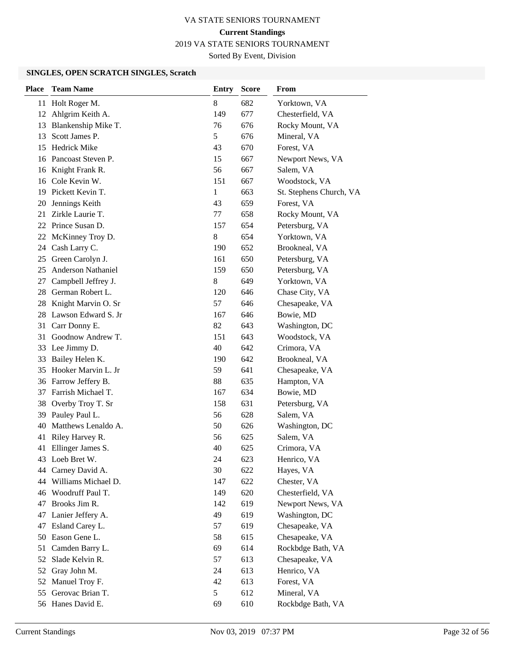2019 VA STATE SENIORS TOURNAMENT

Sorted By Event, Division

| <b>Place</b> | <b>Team Name</b>       | Entry | <b>Score</b> | From                    |
|--------------|------------------------|-------|--------------|-------------------------|
| 11           | Holt Roger M.          | 8     | 682          | Yorktown, VA            |
|              | 12 Ahlgrim Keith A.    | 149   | 677          | Chesterfield, VA        |
| 13           | Blankenship Mike T.    | 76    | 676          | Rocky Mount, VA         |
| 13           | Scott James P.         | 5     | 676          | Mineral, VA             |
| 15           | <b>Hedrick Mike</b>    | 43    | 670          | Forest, VA              |
|              | 16 Pancoast Steven P.  | 15    | 667          | Newport News, VA        |
|              | 16 Knight Frank R.     | 56    | 667          | Salem, VA               |
|              | 16 Cole Kevin W.       | 151   | 667          | Woodstock, VA           |
| 19           | Pickett Kevin T.       | 1     | 663          | St. Stephens Church, VA |
| 20           | Jennings Keith         | 43    | 659          | Forest, VA              |
| 21           | Zirkle Laurie T.       | 77    | 658          | Rocky Mount, VA         |
| 22           | Prince Susan D.        | 157   | 654          | Petersburg, VA          |
| 22           | McKinney Troy D.       | 8     | 654          | Yorktown, VA            |
| 24           | Cash Larry C.          | 190   | 652          | Brookneal, VA           |
| 25           | Green Carolyn J.       | 161   | 650          | Petersburg, VA          |
| 25           | Anderson Nathaniel     | 159   | 650          | Petersburg, VA          |
| 27           | Campbell Jeffrey J.    | 8     | 649          | Yorktown, VA            |
| 28           | German Robert L.       | 120   | 646          | Chase City, VA          |
| 28           | Knight Marvin O. Sr    | 57    | 646          | Chesapeake, VA          |
| 28           | Lawson Edward S. Jr    | 167   | 646          | Bowie, MD               |
| 31           | Carr Donny E.          | 82    | 643          | Washington, DC          |
| 31           | Goodnow Andrew T.      | 151   | 643          | Woodstock, VA           |
|              | 33 Lee Jimmy D.        | 40    | 642          | Crimora, VA             |
| 33           | Bailey Helen K.        | 190   | 642          | Brookneal, VA           |
| 35           | Hooker Marvin L. Jr    | 59    | 641          | Chesapeake, VA          |
|              | 36 Farrow Jeffery B.   | 88    | 635          | Hampton, VA             |
| 37           | Farrish Michael T.     | 167   | 634          | Bowie, MD               |
| 38           | Overby Troy T. Sr      | 158   | 631          | Petersburg, VA          |
| 39           | Pauley Paul L.         | 56    | 628          | Salem, VA               |
| 40           | Matthews Lenaldo A.    | 50    | 626          | Washington, DC          |
| 41           | Riley Harvey R.        | 56    | 625          | Salem, VA               |
| 41           | Ellinger James S.      | 40    | 625          | Crimora, VA             |
|              | 43 Loeb Bret W.        | 24    | 623          | Henrico, VA             |
|              | 44 Carney David A.     | 30    | 622          | Hayes, VA               |
|              | 44 Williams Michael D. | 147   | 622          | Chester, VA             |
|              | 46 Woodruff Paul T.    | 149   | 620          | Chesterfield, VA        |
| 47           | Brooks Jim R.          | 142   | 619          | Newport News, VA        |
| 47           | Lanier Jeffery A.      | 49    | 619          | Washington, DC          |
| 47           | Esland Carey L.        | 57    | 619          | Chesapeake, VA          |
| 50           | Eason Gene L.          | 58    | 615          | Chesapeake, VA          |
| 51           | Camden Barry L.        | 69    | 614          | Rockbdge Bath, VA       |
| 52           | Slade Kelvin R.        | 57    | 613          | Chesapeake, VA          |
| 52           | Gray John M.           | 24    | 613          | Henrico, VA             |
| 52           | Manuel Troy F.         | 42    | 613          | Forest, VA              |
| 55           | Gerovac Brian T.       | 5     | 612          | Mineral, VA             |
|              | 56 Hanes David E.      | 69    | 610          | Rockbdge Bath, VA       |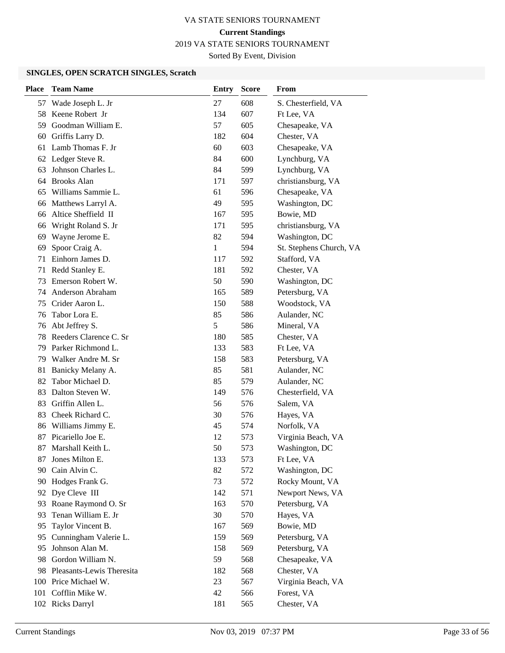2019 VA STATE SENIORS TOURNAMENT

Sorted By Event, Division

| <b>Place</b> | <b>Team Name</b>             | <b>Entry</b> | <b>Score</b> | From                    |
|--------------|------------------------------|--------------|--------------|-------------------------|
| 57           | Wade Joseph L. Jr            | 27           | 608          | S. Chesterfield, VA     |
| 58           | Keene Robert Jr              | 134          | 607          | Ft Lee, VA              |
| 59           | Goodman William E.           | 57           | 605          | Chesapeake, VA          |
| 60           | Griffis Larry D.             | 182          | 604          | Chester, VA             |
| 61           | Lamb Thomas F. Jr            | 60           | 603          | Chesapeake, VA          |
|              | 62 Ledger Steve R.           | 84           | 600          | Lynchburg, VA           |
| 63           | Johnson Charles L.           | 84           | 599          | Lynchburg, VA           |
| 64           | <b>Brooks Alan</b>           | 171          | 597          | christiansburg, VA      |
| 65           | Williams Sammie L.           | 61           | 596          | Chesapeake, VA          |
| 66           | Matthews Larryl A.           | 49           | 595          | Washington, DC          |
| 66           | Altice Sheffield II          | 167          | 595          | Bowie, MD               |
| 66           | Wright Roland S. Jr          | 171          | 595          | christiansburg, VA      |
| 69           | Wayne Jerome E.              | 82           | 594          | Washington, DC          |
| 69           | Spoor Craig A.               | 1            | 594          | St. Stephens Church, VA |
| 71           | Einhorn James D.             | 117          | 592          | Stafford, VA            |
| 71           | Redd Stanley E.              | 181          | 592          | Chester, VA             |
| 73           | Emerson Robert W.            | 50           | 590          | Washington, DC          |
| 74           | Anderson Abraham             | 165          | 589          | Petersburg, VA          |
| 75           | Crider Aaron L.              | 150          | 588          | Woodstock, VA           |
| 76           | Tabor Lora E.                | 85           | 586          | Aulander, NC            |
| 76           | Abt Jeffrey S.               | 5            | 586          | Mineral, VA             |
| 78           | Reeders Clarence C. Sr       | 180          | 585          | Chester, VA             |
| 79           | Parker Richmond L.           | 133          | 583          | Ft Lee, VA              |
| 79           | Walker Andre M. Sr           | 158          | 583          | Petersburg, VA          |
| 81           | Banicky Melany A.            | 85           | 581          | Aulander, NC            |
| 82           | Tabor Michael D.             | 85           | 579          | Aulander, NC            |
| 83           | Dalton Steven W.             | 149          | 576          | Chesterfield, VA        |
| 83           | Griffin Allen L.             | 56           | 576          | Salem, VA               |
| 83           | Cheek Richard C.             | 30           | 576          | Hayes, VA               |
| 86           | Williams Jimmy E.            | 45           | 574          | Norfolk, VA             |
| 87           | Picariello Joe E.            | 12           | 573          | Virginia Beach, VA      |
| 87           | Marshall Keith L.            | 50           | 573          | Washington, DC          |
| 87           | Jones Milton E.              | 133          | 573          | Ft Lee, VA              |
| 90           | Cain Alvin C.                | 82           | 572          | Washington, DC          |
| 90           | Hodges Frank G.              | 73           | 572          | Rocky Mount, VA         |
|              | 92 Dye Cleve III             | 142          | 571          | Newport News, VA        |
| 93           | Roane Raymond O. Sr          | 163          | 570          | Petersburg, VA          |
| 93           | Tenan William E. Jr          | 30           | 570          | Hayes, VA               |
| 95           | Taylor Vincent B.            | 167          | 569          | Bowie, MD               |
| 95           | Cunningham Valerie L.        | 159          | 569          | Petersburg, VA          |
| 95           | Johnson Alan M.              | 158          | 569          | Petersburg, VA          |
| 98           | Gordon William N.            | 59           | 568          | Chesapeake, VA          |
|              | 98 Pleasants-Lewis Theresita | 182          | 568          | Chester, VA             |
|              | 100 Price Michael W.         | 23           | 567          | Virginia Beach, VA      |
| 101          | Cofflin Mike W.              | 42           | 566          | Forest, VA              |
|              | 102 Ricks Darryl             | 181          | 565          | Chester, VA             |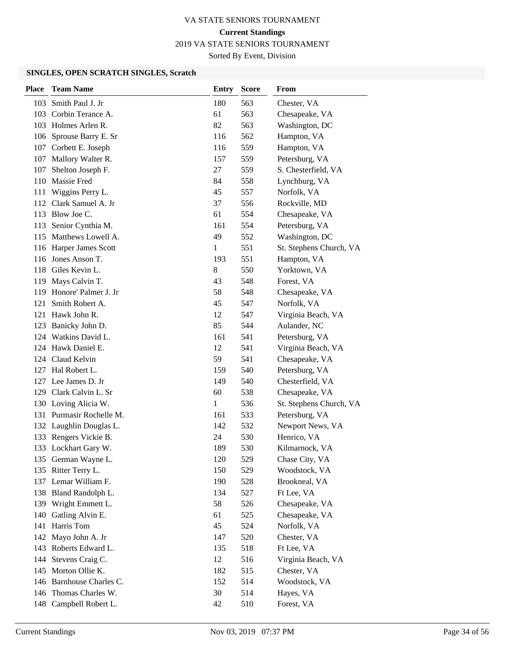2019 VA STATE SENIORS TOURNAMENT

Sorted By Event, Division

| <b>Place</b> | <b>Team Name</b>         | Entry | <b>Score</b> | <b>From</b>             |
|--------------|--------------------------|-------|--------------|-------------------------|
|              | 103 Smith Paul J. Jr     | 180   | 563          | Chester, VA             |
|              | 103 Corbin Terance A.    | 61    | 563          | Chesapeake, VA          |
|              | 103 Holmes Arlen R.      | 82    | 563          | Washington, DC          |
|              | 106 Sprouse Barry E. Sr  | 116   | 562          | Hampton, VA             |
|              | 107 Corbett E. Joseph    | 116   | 559          | Hampton, VA             |
|              | 107 Mallory Walter R.    | 157   | 559          | Petersburg, VA          |
| 107          | Shelton Joseph F.        | 27    | 559          | S. Chesterfield, VA     |
|              | 110 Massie Fred          | 84    | 558          | Lynchburg, VA           |
| 111          | Wiggins Perry L.         | 45    | 557          | Norfolk, VA             |
|              | 112 Clark Samuel A. Jr   | 37    | 556          | Rockville, MD           |
|              | 113 Blow Joe C.          | 61    | 554          | Chesapeake, VA          |
|              | 113 Senior Cynthia M.    | 161   | 554          | Petersburg, VA          |
|              | 115 Matthews Lowell A.   | 49    | 552          | Washington, DC          |
|              | 116 Harper James Scott   | 1     | 551          | St. Stephens Church, VA |
|              | 116 Jones Anson T.       | 193   | 551          | Hampton, VA             |
|              | 118 Giles Kevin L.       | 8     | 550          | Yorktown, VA            |
|              | 119 Mays Calvin T.       | 43    | 548          | Forest, VA              |
|              | 119 Honore' Palmer J. Jr | 58    | 548          | Chesapeake, VA          |
| 121          | Smith Robert A.          | 45    | 547          | Norfolk, VA             |
|              | 121 Hawk John R.         | 12    | 547          | Virginia Beach, VA      |
|              | 123 Banicky John D.      | 85    | 544          | Aulander, NC            |
|              | 124 Watkins David L.     | 161   | 541          | Petersburg, VA          |
|              | 124 Hawk Daniel E.       | 12    | 541          | Virginia Beach, VA      |
|              | 124 Claud Kelvin         | 59    | 541          | Chesapeake, VA          |
|              | 127 Hal Robert L.        | 159   | 540          | Petersburg, VA          |
|              | 127 Lee James D. Jr      | 149   | 540          | Chesterfield, VA        |
|              | 129 Clark Calvin L. Sr   | 60    | 538          | Chesapeake, VA          |
|              | 130 Loving Alicia W.     | 1     | 536          | St. Stephens Church, VA |
|              | 131 Purmasir Rochelle M. | 161   | 533          | Petersburg, VA          |
|              | 132 Laughlin Douglas L.  | 142   | 532          | Newport News, VA        |
|              | 133 Rengers Vickie B.    | 24    | 530          | Henrico, VA             |
|              | 133 Lockhart Gary W.     | 189   | 530          | Kilmarnock, VA          |
|              | 135 German Wayne L.      | 120   | 529          | Chase City, VA          |
|              | 135 Ritter Terry L.      | 150   | 529          | Woodstock, VA           |
|              | 137 Lemar William F.     | 190   | 528          | Brookneal, VA           |
|              | 138 Bland Randolph L.    | 134   | 527          | Ft Lee, VA              |
|              | 139 Wright Emmett L.     | 58    | 526          | Chesapeake, VA          |
| 140          | Gatling Alvin E.         | 61    | 525          | Chesapeake, VA          |
| 141          | Harris Tom               | 45    | 524          | Norfolk, VA             |
| 142          | Mayo John A. Jr          | 147   | 520          | Chester, VA             |
|              | 143 Roberts Edward L.    | 135   | 518          | Ft Lee, VA              |
|              | 144 Stevens Craig C.     | 12    | 516          | Virginia Beach, VA      |
|              | 145 Morton Ollie K.      | 182   | 515          | Chester, VA             |
|              | 146 Barnhouse Charles C. | 152   | 514          | Woodstock, VA           |
|              | 146 Thomas Charles W.    | 30    | 514          | Hayes, VA               |
|              | 148 Campbell Robert L.   | 42    | 510          | Forest, VA              |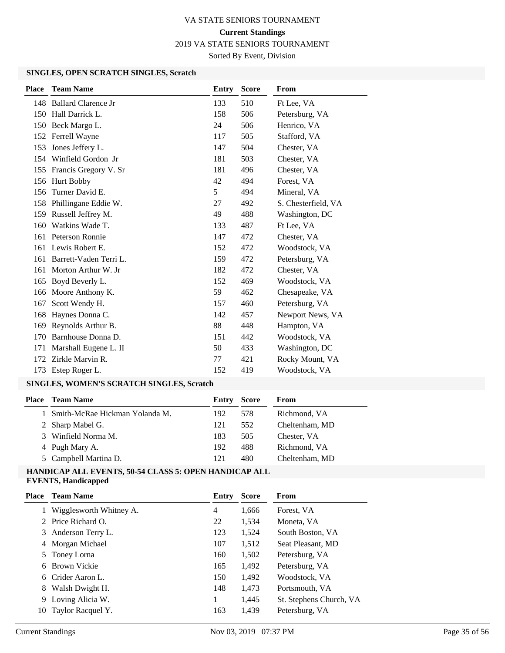2019 VA STATE SENIORS TOURNAMENT

Sorted By Event, Division

#### **SINGLES, OPEN SCRATCH SINGLES, Scratch**

| <b>Place</b> | <b>Team Name</b>          | Entry | <b>Score</b> | From                |
|--------------|---------------------------|-------|--------------|---------------------|
|              | 148 Ballard Clarence Jr   | 133   | 510          | Ft Lee, VA          |
|              | 150 Hall Darrick L.       | 158   | 506          | Petersburg, VA      |
|              | 150 Beck Margo L.         | 24    | 506          | Henrico, VA         |
|              | 152 Ferrell Wayne         | 117   | 505          | Stafford, VA        |
| 153          | Jones Jeffery L.          | 147   | 504          | Chester, VA         |
| 154          | Winfield Gordon Jr        | 181   | 503          | Chester, VA         |
|              | 155 Francis Gregory V. Sr | 181   | 496          | Chester, VA         |
| 156          | Hurt Bobby                | 42    | 494          | Forest, VA          |
| 156          | Turner David E.           | 5     | 494          | Mineral, VA         |
| 158          | Phillingane Eddie W.      | 27    | 492          | S. Chesterfield, VA |
| 159          | Russell Jeffrey M.        | 49    | 488          | Washington, DC      |
| 160          | Watkins Wade T.           | 133   | 487          | Ft Lee, VA          |
| 161          | Peterson Ronnie           | 147   | 472          | Chester, VA         |
| 161          | Lewis Robert E.           | 152   | 472          | Woodstock, VA       |
| 161          | Barrett-Vaden Terri L.    | 159   | 472          | Petersburg, VA      |
| 161          | Morton Arthur W. Jr       | 182   | 472          | Chester, VA         |
| 165          | Boyd Beverly L.           | 152   | 469          | Woodstock, VA       |
| 166          | Moore Anthony K.          | 59    | 462          | Chesapeake, VA      |
| 167          | Scott Wendy H.            | 157   | 460          | Petersburg, VA      |
| 168          | Haynes Donna C.           | 142   | 457          | Newport News, VA    |
| 169          | Reynolds Arthur B.        | 88    | 448          | Hampton, VA         |
| 170          | Barnhouse Donna D.        | 151   | 442          | Woodstock, VA       |
| 171          | Marshall Eugene L. II     | 50    | 433          | Washington, DC      |
| 172          | Zirkle Marvin R.          | 77    | 421          | Rocky Mount, VA     |
| 173          | Estep Roger L.            | 152   | 419          | Woodstock, VA       |
|              |                           |       |              |                     |

# **SINGLES, WOMEN'S SCRATCH SINGLES, Scratch**

| <b>Team Name</b>                 | Entry | <b>Score</b> | From           |
|----------------------------------|-------|--------------|----------------|
| 1 Smith-McRae Hickman Yolanda M. | 192   | 578          | Richmond, VA   |
| 2 Sharp Mabel G.                 | 121   | 552          | Cheltenham, MD |
| 3 Winfield Norma M.              | 183   | 505          | Chester, VA    |
| 4 Pugh Mary A.                   | 192   | 488          | Richmond, VA   |
| 5 Campbell Martina D.            | 121   | 480          | Cheltenham, MD |
|                                  |       |              |                |

#### **HANDICAP ALL EVENTS, 50-54 CLASS 5: OPEN HANDICAP ALL EVENTS, Handicapped**

| Place | <b>Team Name</b>          | Entry | <b>Score</b> | <b>From</b>             |
|-------|---------------------------|-------|--------------|-------------------------|
|       | 1 Wigglesworth Whitney A. | 4     | 1,666        | Forest, VA              |
|       | 2 Price Richard O.        | 22    | 1,534        | Moneta, VA              |
|       | 3 Anderson Terry L.       | 123   | 1,524        | South Boston, VA        |
|       | 4 Morgan Michael          | 107   | 1,512        | Seat Pleasant, MD       |
|       | 5 Toney Lorna             | 160   | 1,502        | Petersburg, VA          |
| 6     | Brown Vickie              | 165   | 1,492        | Petersburg, VA          |
|       | 6 Crider Aaron L.         | 150   | 1,492        | Woodstock, VA           |
| 8     | Walsh Dwight H.           | 148   | 1,473        | Portsmouth, VA          |
|       | 9 Loving Alicia W.        | 1     | 1,445        | St. Stephens Church, VA |
| 10    | Taylor Racquel Y.         | 163   | 1,439        | Petersburg, VA          |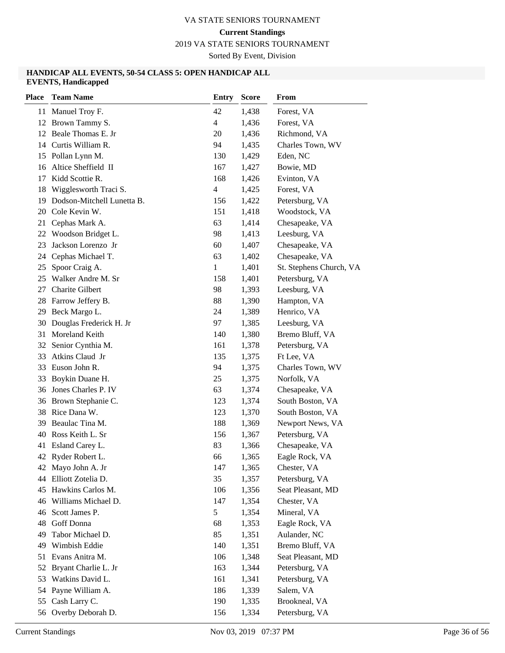# **Current Standings**

2019 VA STATE SENIORS TOURNAMENT

Sorted By Event, Division

#### **HANDICAP ALL EVENTS, 50-54 CLASS 5: OPEN HANDICAP ALL EVENTS, Handicapped**

| <b>Place</b> | <b>Team Name</b>           | Entry          | <b>Score</b> | From                    |
|--------------|----------------------------|----------------|--------------|-------------------------|
|              | 11 Manuel Troy F.          | 42             | 1,438        | Forest, VA              |
|              | 12 Brown Tammy S.          | $\overline{4}$ | 1,436        | Forest, VA              |
|              | 12 Beale Thomas E. Jr      | 20             | 1,436        | Richmond, VA            |
|              | 14 Curtis William R.       | 94             | 1,435        | Charles Town, WV        |
| 15           | Pollan Lynn M.             | 130            | 1,429        | Eden, NC                |
|              | 16 Altice Sheffield II     | 167            | 1,427        | Bowie, MD               |
| 17           | Kidd Scottie R.            | 168            | 1,426        | Evinton, VA             |
| 18           | Wigglesworth Traci S.      | $\overline{4}$ | 1,425        | Forest, VA              |
| 19           | Dodson-Mitchell Lunetta B. | 156            | 1,422        | Petersburg, VA          |
|              | 20 Cole Kevin W.           | 151            | 1,418        | Woodstock, VA           |
| 21           | Cephas Mark A.             | 63             | 1,414        | Chesapeake, VA          |
| 22           | Woodson Bridget L.         | 98             | 1,413        | Leesburg, VA            |
| 23           | Jackson Lorenzo Jr         | 60             | 1,407        | Chesapeake, VA          |
| 24           | Cephas Michael T.          | 63             | 1,402        | Chesapeake, VA          |
| 25           | Spoor Craig A.             | 1              | 1,401        | St. Stephens Church, VA |
| 25           | Walker Andre M. Sr         | 158            | 1,401        | Petersburg, VA          |
| 27           | <b>Charite Gilbert</b>     | 98             | 1,393        | Leesburg, VA            |
| 28           | Farrow Jeffery B.          | 88             | 1,390        | Hampton, VA             |
| 29           | Beck Margo L.              | 24             | 1,389        | Henrico, VA             |
| 30           | Douglas Frederick H. Jr    | 97             | 1,385        | Leesburg, VA            |
| 31           | Moreland Keith             | 140            | 1,380        | Bremo Bluff, VA         |
| 32           | Senior Cynthia M.          | 161            | 1,378        | Petersburg, VA          |
| 33           | Atkins Claud Jr            | 135            | 1,375        | Ft Lee, VA              |
| 33           | Euson John R.              | 94             | 1,375        | Charles Town, WV        |
| 33           | Boykin Duane H.            | 25             | 1,375        | Norfolk, VA             |
|              | 36 Jones Charles P. IV     | 63             | 1,374        | Chesapeake, VA          |
|              | 36 Brown Stephanie C.      | 123            | 1,374        | South Boston, VA        |
| 38           | Rice Dana W.               | 123            | 1,370        | South Boston, VA        |
| 39           | Beaulac Tina M.            | 188            | 1,369        | Newport News, VA        |
| 40           | Ross Keith L. Sr           | 156            | 1,367        | Petersburg, VA          |
| 41           | Esland Carey L.            | 83             | 1,366        | Chesapeake, VA          |
|              | 42 Ryder Robert L.         | 66             | 1,365        | Eagle Rock, VA          |
|              | 42 Mayo John A. Jr         | 147            | 1,365        | Chester, VA             |
|              | 44 Elliott Zotelia D.      | 35             | 1,357        | Petersburg, VA          |
| 45           | Hawkins Carlos M.          | 106            | 1,356        | Seat Pleasant, MD       |
|              | 46 Williams Michael D.     | 147            | 1,354        | Chester, VA             |
| 46           | Scott James P.             | 5              | 1,354        | Mineral, VA             |
|              | 48 Goff Donna              | 68             | 1,353        | Eagle Rock, VA          |
| 49           | Tabor Michael D.           | 85             | 1,351        | Aulander, NC            |
| 49           | Wimbish Eddie              | 140            | 1,351        | Bremo Bluff, VA         |
| 51           | Evans Anitra M.            | 106            | 1,348        | Seat Pleasant, MD       |
| 52           | Bryant Charlie L. Jr       | 163            | 1,344        | Petersburg, VA          |
| 53           | Watkins David L.           | 161            | 1,341        | Petersburg, VA          |
| 54           | Payne William A.           | 186            | 1,339        | Salem, VA               |
| 55           | Cash Larry C.              | 190            | 1,335        | Brookneal, VA           |
|              | 56 Overby Deborah D.       | 156            | 1,334        | Petersburg, VA          |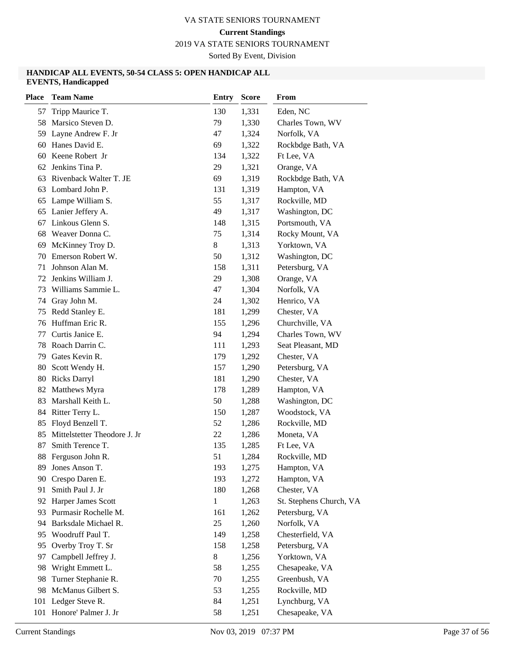2019 VA STATE SENIORS TOURNAMENT

Sorted By Event, Division

#### **HANDICAP ALL EVENTS, 50-54 CLASS 5: OPEN HANDICAP ALL EVENTS, Handicapped**

| <b>Place</b> | <b>Team Name</b>             | <b>Entry</b> | <b>Score</b> | From                    |
|--------------|------------------------------|--------------|--------------|-------------------------|
| 57           | Tripp Maurice T.             | 130          | 1,331        | Eden, NC                |
| 58           | Marsico Steven D.            | 79           | 1,330        | Charles Town, WV        |
| 59           | Layne Andrew F. Jr           | 47           | 1,324        | Norfolk, VA             |
| 60           | Hanes David E.               | 69           | 1,322        | Rockbdge Bath, VA       |
| 60           | Keene Robert Jr              | 134          | 1,322        | Ft Lee, VA              |
| 62           | Jenkins Tina P.              | 29           | 1,321        | Orange, VA              |
| 63           | Rivenback Walter T. JE       | 69           | 1,319        | Rockbdge Bath, VA       |
| 63           | Lombard John P.              | 131          | 1,319        | Hampton, VA             |
|              | 65 Lampe William S.          | 55           | 1,317        | Rockville, MD           |
|              | 65 Lanier Jeffery A.         | 49           | 1,317        | Washington, DC          |
| 67           | Linkous Glenn S.             | 148          | 1,315        | Portsmouth, VA          |
| 68           | Weaver Donna C.              | 75           | 1,314        | Rocky Mount, VA         |
| 69           | McKinney Troy D.             | 8            | 1,313        | Yorktown, VA            |
| 70           | Emerson Robert W.            | 50           | 1,312        | Washington, DC          |
| 71           | Johnson Alan M.              | 158          | 1,311        | Petersburg, VA          |
| 72           | Jenkins William J.           | 29           | 1,308        | Orange, VA              |
| 73           | Williams Sammie L.           | 47           | 1,304        | Norfolk, VA             |
| 74           | Gray John M.                 | 24           | 1,302        | Henrico, VA             |
| 75           | Redd Stanley E.              | 181          | 1,299        | Chester, VA             |
| 76           | Huffman Eric R.              | 155          | 1,296        | Churchville, VA         |
| 77           | Curtis Janice E.             | 94           | 1,294        | Charles Town, WV        |
| 78           | Roach Darrin C.              | 111          | 1,293        | Seat Pleasant, MD       |
| 79           | Gates Kevin R.               | 179          | 1,292        | Chester, VA             |
| 80           | Scott Wendy H.               | 157          | 1,290        | Petersburg, VA          |
| 80           | Ricks Darryl                 | 181          | 1,290        | Chester, VA             |
| 82           | Matthews Myra                | 178          | 1,289        | Hampton, VA             |
| 83           | Marshall Keith L.            | 50           | 1,288        | Washington, DC          |
| 84           | Ritter Terry L.              | 150          | 1,287        | Woodstock, VA           |
| 85           | Floyd Benzell T.             | 52           | 1,286        | Rockville, MD           |
| 85           | Mittelstetter Theodore J. Jr | 22           | 1,286        | Moneta, VA              |
| 87           | Smith Terence T.             | 135          | 1,285        | Ft Lee, VA              |
| 88           | Ferguson John R.             | 51           | 1,284        | Rockville, MD           |
|              | 89 Jones Anson T.            | 193          | 1,275        | Hampton, VA             |
|              | 90 Crespo Daren E.           | 193          | 1,272        | Hampton, VA             |
| 91           | Smith Paul J. Jr             | 180          | 1,268        | Chester, VA             |
| 92           | Harper James Scott           | $\mathbf{1}$ | 1,263        | St. Stephens Church, VA |
| 93           | Purmasir Rochelle M.         | 161          | 1,262        | Petersburg, VA          |
| 94           | Barksdale Michael R.         | 25           | 1,260        | Norfolk, VA             |
|              | 95 Woodruff Paul T.          | 149          | 1,258        | Chesterfield, VA        |
| 95           | Overby Troy T. Sr            | 158          | 1,258        | Petersburg, VA          |
| 97           | Campbell Jeffrey J.          | 8            | 1,256        | Yorktown, VA            |
| 98           | Wright Emmett L.             | 58           | 1,255        | Chesapeake, VA          |
| 98           | Turner Stephanie R.          | 70           | 1,255        | Greenbush, VA           |
| 98           | McManus Gilbert S.           | 53           | 1,255        | Rockville, MD           |
| 101          | Ledger Steve R.              | 84           | 1,251        | Lynchburg, VA           |
|              | 101 Honore' Palmer J. Jr     | 58           | 1,251        | Chesapeake, VA          |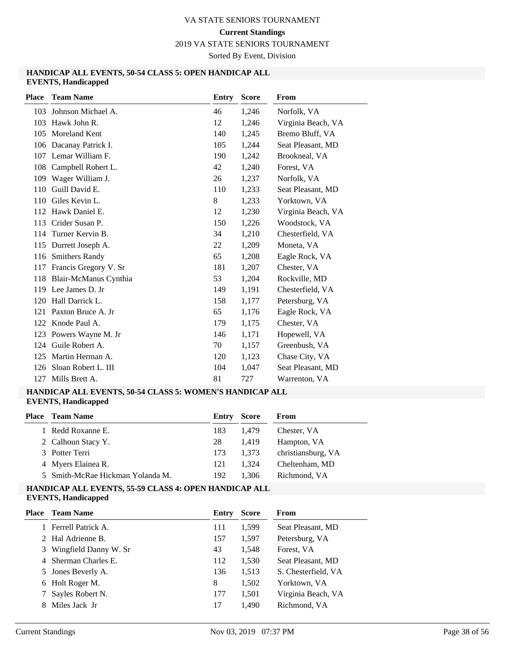2019 VA STATE SENIORS TOURNAMENT

Sorted By Event, Division

#### **HANDICAP ALL EVENTS, 50-54 CLASS 5: OPEN HANDICAP ALL EVENTS, Handicapped**

| <b>Place</b> | <b>Team Name</b>      | Entry | <b>Score</b> | From               |
|--------------|-----------------------|-------|--------------|--------------------|
| 103          | Johnson Michael A.    | 46    | 1,246        | Norfolk, VA        |
| 103          | Hawk John R.          | 12    | 1,246        | Virginia Beach, VA |
| 105          | Moreland Kent         | 140   | 1,245        | Bremo Bluff, VA    |
| 106          | Dacanay Patrick I.    | 105   | 1,244        | Seat Pleasant, MD  |
| 107          | Lemar William F.      | 190   | 1,242        | Brookneal, VA      |
| 108          | Campbell Robert L.    | 42    | 1,240        | Forest, VA         |
| 109          | Wager William J.      | 26    | 1,237        | Norfolk, VA        |
| 110          | Guill David E.        | 110   | 1,233        | Seat Pleasant, MD  |
| 110          | Giles Kevin L.        | 8     | 1,233        | Yorktown, VA       |
|              | 112 Hawk Daniel E.    | 12    | 1,230        | Virginia Beach, VA |
| 113          | Crider Susan P.       | 150   | 1,226        | Woodstock, VA      |
| 114          | Turner Kervin B.      | 34    | 1,210        | Chesterfield, VA   |
| 115          | Durrett Joseph A.     | 22    | 1,209        | Moneta, VA         |
| 116          | <b>Smithers Randy</b> | 65    | 1,208        | Eagle Rock, VA     |
| 117          | Francis Gregory V. Sr | 181   | 1,207        | Chester, VA        |
| 118          | Blair-McManus Cynthia | 53    | 1,204        | Rockville, MD      |
| 119          | Lee James D. Jr       | 149   | 1,191        | Chesterfield, VA   |
| 120          | Hall Darrick L.       | 158   | 1,177        | Petersburg, VA     |
| 121          | Paxton Bruce A. Jr    | 65    | 1,176        | Eagle Rock, VA     |
| 122          | Knode Paul A.         | 179   | 1,175        | Chester, VA        |
| 123          | Powers Wayne M. Jr    | 146   | 1,171        | Hopewell, VA       |
| 124          | Guile Robert A.       | 70    | 1,157        | Greenbush, VA      |
| 125          | Martin Herman A.      | 120   | 1,123        | Chase City, VA     |
| 126          | Sloan Robert L. III   | 104   | 1,047        | Seat Pleasant, MD  |
| 127          | Mills Brett A.        | 81    | 727          | Warrenton, VA      |

#### **HANDICAP ALL EVENTS, 50-54 CLASS 5: WOMEN'S HANDICAP ALL EVENTS, Handicapped**

| <b>Place</b> Team Name           | Entry | Score | From               |
|----------------------------------|-------|-------|--------------------|
| 1 Redd Roxanne E.                | 183   | 1.479 | Chester, VA        |
| 2 Calhoun Stacy Y.               | 28    | 1.419 | Hampton, VA        |
| 3 Potter Terri                   | 173   | 1.373 | christiansburg, VA |
| 4 Myers Elainea R.               | 121   | 1.324 | Cheltenham, MD     |
| 5 Smith-McRae Hickman Yolanda M. | 192   | 1.306 | Richmond, VA       |

#### **HANDICAP ALL EVENTS, 55-59 CLASS 4: OPEN HANDICAP ALL EVENTS, Handicapped**

|   | <b>Place</b> Team Name | Entry | <b>Score</b> | From                |
|---|------------------------|-------|--------------|---------------------|
|   | Ferrell Patrick A.     | 111   | 1,599        | Seat Pleasant, MD   |
|   | 2 Hal Adrienne B.      | 157   | 1,597        | Petersburg, VA      |
| 3 | Wingfield Danny W. Sr  | 43    | 1,548        | Forest, VA          |
|   | 4 Sherman Charles E.   | 112   | 1,530        | Seat Pleasant, MD   |
|   | 5 Jones Beverly A.     | 136   | 1,513        | S. Chesterfield, VA |
|   | 6 Holt Roger M.        | 8     | 1,502        | Yorktown, VA        |
|   | Sayles Robert N.       | 177   | 1,501        | Virginia Beach, VA  |
|   | Miles Jack Jr          | 17    | 1,490        | Richmond, VA        |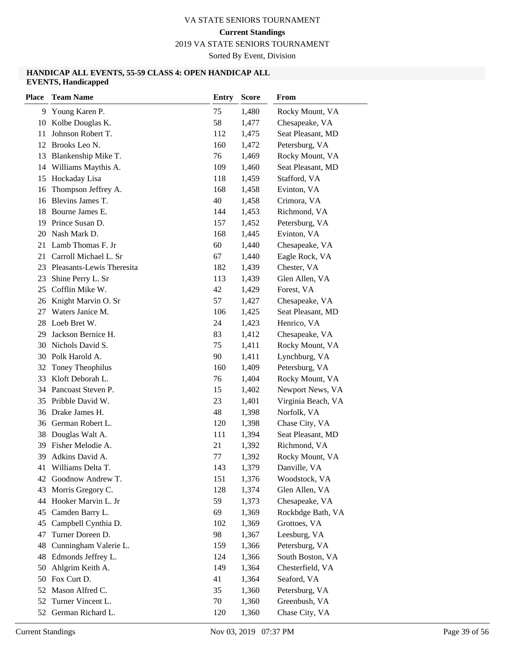2019 VA STATE SENIORS TOURNAMENT

Sorted By Event, Division

#### **HANDICAP ALL EVENTS, 55-59 CLASS 4: OPEN HANDICAP ALL EVENTS, Handicapped**

| <b>Place</b> | <b>Team Name</b>                     | <b>Entry</b> | <b>Score</b>   | From                            |
|--------------|--------------------------------------|--------------|----------------|---------------------------------|
| 9            | Young Karen P.                       | 75           | 1,480          | Rocky Mount, VA                 |
| 10           | Kolbe Douglas K.                     | 58           | 1,477          | Chesapeake, VA                  |
| 11           | Johnson Robert T.                    | 112          | 1,475          | Seat Pleasant, MD               |
| 12           | Brooks Leo N.                        | 160          | 1,472          | Petersburg, VA                  |
| 13           | Blankenship Mike T.                  | 76           | 1,469          | Rocky Mount, VA                 |
| 14           | Williams Maythis A.                  | 109          | 1,460          | Seat Pleasant, MD               |
| 15           | Hockaday Lisa                        | 118          | 1,459          | Stafford, VA                    |
| 16           | Thompson Jeffrey A.                  | 168          | 1,458          | Evinton, VA                     |
| 16           | Blevins James T.                     | 40           | 1,458          | Crimora, VA                     |
| 18           | Bourne James E.                      | 144          | 1,453          | Richmond, VA                    |
| 19           | Prince Susan D.                      | 157          | 1,452          | Petersburg, VA                  |
| 20           | Nash Mark D.                         | 168          | 1,445          | Evinton, VA                     |
| 21           | Lamb Thomas F. Jr                    | 60           | 1,440          | Chesapeake, VA                  |
| 21           | Carroll Michael L. Sr                | 67           | 1,440          | Eagle Rock, VA                  |
|              | 23 Pleasants-Lewis Theresita         | 182          | 1,439          | Chester, VA                     |
| 23           | Shine Perry L. Sr                    | 113          | 1,439          | Glen Allen, VA                  |
| 25           | Cofflin Mike W.                      | 42           | 1,429          | Forest, VA                      |
| 26           | Knight Marvin O. Sr                  | 57           | 1,427          | Chesapeake, VA                  |
| 27           | Waters Janice M.                     | 106          | 1,425          | Seat Pleasant, MD               |
| 28           | Loeb Bret W.                         | 24           | 1,423          | Henrico, VA                     |
| 29           | Jackson Bernice H.                   | 83           | 1,412          | Chesapeake, VA                  |
| 30           | Nichols David S.                     | 75           | 1,411          | Rocky Mount, VA                 |
| 30           | Polk Harold A.                       | 90           | 1,411          | Lynchburg, VA                   |
| 32           | Toney Theophilus                     | 160          | 1,409          | Petersburg, VA                  |
| 33           | Kloft Deborah L.                     | 76           | 1,404          | Rocky Mount, VA                 |
| 34           | Pancoast Steven P.                   | 15           | 1,402          | Newport News, VA                |
| 35           | Pribble David W.                     | 23           | 1,401          | Virginia Beach, VA              |
| 36           | Drake James H.                       | 48           | 1,398          | Norfolk, VA                     |
| 36           | German Robert L.                     | 120          | 1,398          | Chase City, VA                  |
| 38           | Douglas Walt A.                      | 111          | 1,394          | Seat Pleasant, MD               |
| 39           | Fisher Melodie A.                    | 21           | 1,392          | Richmond, VA                    |
| 39           | Adkins David A.                      | 77           | 1,392          | Rocky Mount, VA                 |
| 41           | Williams Delta T.                    | 143          | 1,379          | Danville, VA                    |
| 42           | Goodnow Andrew T.                    | 151          | 1,376          | Woodstock, VA                   |
| 43           | Morris Gregory C.                    | 128          | 1,374          | Glen Allen, VA                  |
| 44           | Hooker Marvin L. Jr                  | 59           | 1,373          | Chesapeake, VA                  |
| 45           | Camden Barry L.                      | 69           | 1,369          | Rockbdge Bath, VA               |
| 45           | Campbell Cynthia D.                  | 102          | 1,369          | Grottoes, VA                    |
| 47           | Turner Doreen D.                     | 98           | 1,367          | Leesburg, VA                    |
| 48           | Cunningham Valerie L.                | 159          | 1,366          | Petersburg, VA                  |
| 48           | Edmonds Jeffrey L.                   | 124          | 1,366          | South Boston, VA                |
| 50           | Ahlgrim Keith A.                     | 149          | 1,364          | Chesterfield, VA                |
| 50           | Fox Curt D.                          | 41           | 1,364          | Seaford, VA                     |
| 52<br>52     | Mason Alfred C.<br>Turner Vincent L. | 35<br>70     | 1,360          | Petersburg, VA<br>Greenbush, VA |
|              | 52 German Richard L.                 | 120          | 1,360<br>1,360 | Chase City, VA                  |
|              |                                      |              |                |                                 |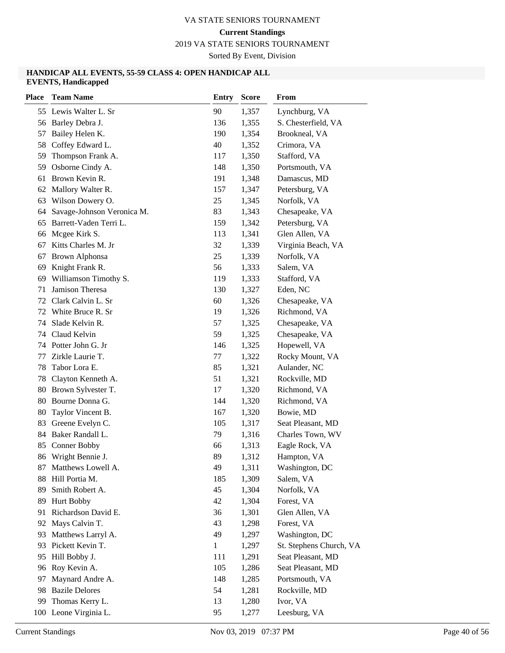2019 VA STATE SENIORS TOURNAMENT

Sorted By Event, Division

#### **HANDICAP ALL EVENTS, 55-59 CLASS 4: OPEN HANDICAP ALL EVENTS, Handicapped**

| <b>Place</b> | <b>Team Name</b>           | <b>Entry</b> | <b>Score</b> | From                    |
|--------------|----------------------------|--------------|--------------|-------------------------|
|              | 55 Lewis Walter L. Sr      | 90           | 1,357        | Lynchburg, VA           |
|              | 56 Barley Debra J.         | 136          | 1,355        | S. Chesterfield, VA     |
| 57           | Bailey Helen K.            | 190          | 1,354        | Brookneal, VA           |
| 58           | Coffey Edward L.           | 40           | 1,352        | Crimora, VA             |
| 59           | Thompson Frank A.          | 117          | 1,350        | Stafford, VA            |
| 59           | Osborne Cindy A.           | 148          | 1,350        | Portsmouth, VA          |
| 61           | Brown Kevin R.             | 191          | 1,348        | Damascus, MD            |
| 62           | Mallory Walter R.          | 157          | 1,347        | Petersburg, VA          |
| 63           | Wilson Dowery O.           | 25           | 1,345        | Norfolk, VA             |
| 64           | Savage-Johnson Veronica M. | 83           | 1,343        | Chesapeake, VA          |
| 65           | Barrett-Vaden Terri L.     | 159          | 1,342        | Petersburg, VA          |
| 66           | Mcgee Kirk S.              | 113          | 1,341        | Glen Allen, VA          |
| 67           | Kitts Charles M. Jr        | 32           | 1,339        | Virginia Beach, VA      |
| 67           | <b>Brown Alphonsa</b>      | 25           | 1,339        | Norfolk, VA             |
| 69           | Knight Frank R.            | 56           | 1,333        | Salem, VA               |
| 69           | Williamson Timothy S.      | 119          | 1,333        | Stafford, VA            |
| 71           | Jamison Theresa            | 130          | 1,327        | Eden, NC                |
| 72           | Clark Calvin L. Sr         | 60           | 1,326        | Chesapeake, VA          |
| 72           | White Bruce R. Sr          | 19           | 1,326        | Richmond, VA            |
| 74           | Slade Kelvin R.            | 57           | 1,325        | Chesapeake, VA          |
| 74           | Claud Kelvin               | 59           | 1,325        | Chesapeake, VA          |
| 74           | Potter John G. Jr          | 146          | 1,325        | Hopewell, VA            |
| 77           | Zirkle Laurie T.           | 77           | 1,322        | Rocky Mount, VA         |
| 78           | Tabor Lora E.              | 85           | 1,321        | Aulander, NC            |
| 78           | Clayton Kenneth A.         | 51           | 1,321        | Rockville, MD           |
| 80           | Brown Sylvester T.         | 17           | 1,320        | Richmond, VA            |
| 80           | Bourne Donna G.            | 144          | 1,320        | Richmond, VA            |
| 80           | Taylor Vincent B.          | 167          | 1,320        | Bowie, MD               |
| 83           | Greene Evelyn C.           | 105          | 1,317        | Seat Pleasant, MD       |
| 84           | Baker Randall L.           | 79           | 1,316        | Charles Town, WV        |
| 85           | Conner Bobby               | 66           | 1,313        | Eagle Rock, VA          |
| 86           | Wright Bennie J.           | 89           | 1,312        | Hampton, VA             |
| 87           | Matthews Lowell A.         | 49           | 1,311        | Washington, DC          |
| 88           | Hill Portia M.             | 185          | 1,309        | Salem, VA               |
| 89           | Smith Robert A.            | 45           | 1,304        | Norfolk, VA             |
| 89           | <b>Hurt Bobby</b>          | 42           | 1,304        | Forest, VA              |
| 91           | Richardson David E.        | 36           | 1,301        | Glen Allen, VA          |
| 92           | Mays Calvin T.             | 43           | 1,298        | Forest, VA              |
| 93           | Matthews Larryl A.         | 49           | 1,297        | Washington, DC          |
| 93           | Pickett Kevin T.           | $\mathbf{1}$ | 1,297        | St. Stephens Church, VA |
| 95           | Hill Bobby J.              | 111          | 1,291        | Seat Pleasant, MD       |
| 96           | Roy Kevin A.               | 105          | 1,286        | Seat Pleasant, MD       |
| 97           | Maynard Andre A.           | 148          | 1,285        | Portsmouth, VA          |
| 98           | <b>Bazile Delores</b>      | 54           | 1,281        | Rockville, MD           |
| 99           | Thomas Kerry L.            | 13           | 1,280        | Ivor, VA                |
|              | 100 Leone Virginia L.      | 95           | 1,277        | Leesburg, VA            |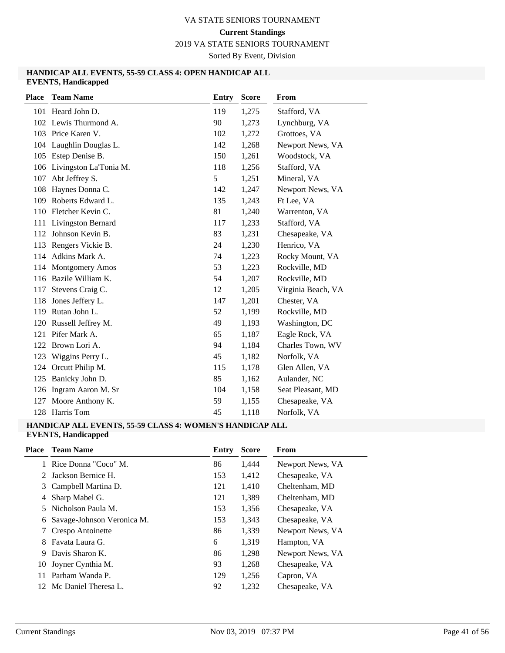2019 VA STATE SENIORS TOURNAMENT

Sorted By Event, Division

#### **HANDICAP ALL EVENTS, 55-59 CLASS 4: OPEN HANDICAP ALL EVENTS, Handicapped**

| <b>Place</b> | <b>Team Name</b>        | <b>Entry</b> | <b>Score</b> | From               |
|--------------|-------------------------|--------------|--------------|--------------------|
|              | 101 Heard John D.       | 119          | 1,275        | Stafford, VA       |
|              | 102 Lewis Thurmond A.   | 90           | 1,273        | Lynchburg, VA      |
|              | 103 Price Karen V.      | 102          | 1,272        | Grottoes, VA       |
|              | 104 Laughlin Douglas L. | 142          | 1,268        | Newport News, VA   |
| 105          | Estep Denise B.         | 150          | 1,261        | Woodstock, VA      |
| 106          | Livingston La'Tonia M.  | 118          | 1,256        | Stafford, VA       |
| 107          | Abt Jeffrey S.          | 5            | 1,251        | Mineral, VA        |
| 108          | Haynes Donna C.         | 142          | 1,247        | Newport News, VA   |
| 109          | Roberts Edward L.       | 135          | 1,243        | Ft Lee, VA         |
| 110          | Fletcher Kevin C.       | 81           | 1,240        | Warrenton, VA      |
|              | 111 Livingston Bernard  | 117          | 1,233        | Stafford, VA       |
|              | 112 Johnson Kevin B.    | 83           | 1,231        | Chesapeake, VA     |
|              | 113 Rengers Vickie B.   | 24           | 1,230        | Henrico, VA        |
|              | 114 Adkins Mark A.      | 74           | 1,223        | Rocky Mount, VA    |
|              | 114 Montgomery Amos     | 53           | 1,223        | Rockville, MD      |
|              | 116 Bazile William K.   | 54           | 1,207        | Rockville, MD      |
| 117          | Stevens Craig C.        | 12           | 1,205        | Virginia Beach, VA |
| 118          | Jones Jeffery L.        | 147          | 1,201        | Chester, VA        |
|              | 119 Rutan John L.       | 52           | 1,199        | Rockville, MD      |
| 120          | Russell Jeffrey M.      | 49           | 1,193        | Washington, DC     |
| 121          | Pifer Mark A.           | 65           | 1,187        | Eagle Rock, VA     |
| 122          | Brown Lori A.           | 94           | 1,184        | Charles Town, WV   |
| 123          | Wiggins Perry L.        | 45           | 1,182        | Norfolk, VA        |
| 124          | Orcutt Philip M.        | 115          | 1,178        | Glen Allen, VA     |
| 125          | Banicky John D.         | 85           | 1,162        | Aulander, NC       |
| 126          | Ingram Aaron M. Sr      | 104          | 1,158        | Seat Pleasant, MD  |
| 127          | Moore Anthony K.        | 59           | 1,155        | Chesapeake, VA     |
|              | 128 Harris Tom          | 45           | 1,118        | Norfolk, VA        |

# **HANDICAP ALL EVENTS, 55-59 CLASS 4: WOMEN'S HANDICAP ALL**

# **Place Team Name Entry Score From EVENTS, Handicapped** Rice Donna "Coco" M. 86 1,444 Newport News, VA Jackson Bernice H. 153 1,412 Chesapeake, VA Campbell Martina D. 121 1,410 Cheltenham, MD Sharp Mabel G. 121 1,389 Cheltenham, MD Nicholson Paula M. 153 1,356 Chesapeake, VA Savage-Johnson Veronica M. 153 1,343 Chesapeake, VA Crespo Antoinette 86 1,339 Newport News, VA 8 Favata Laura G. 6 1,319 Hampton, VA 9 Davis Sharon K. 68 86 1,298 Newport News, VA Joyner Cynthia M. 93 1,268 Chesapeake, VA Parham Wanda P. 129 1,256 Capron, VA Mc Daniel Theresa L. 92 1,232 Chesapeake, VA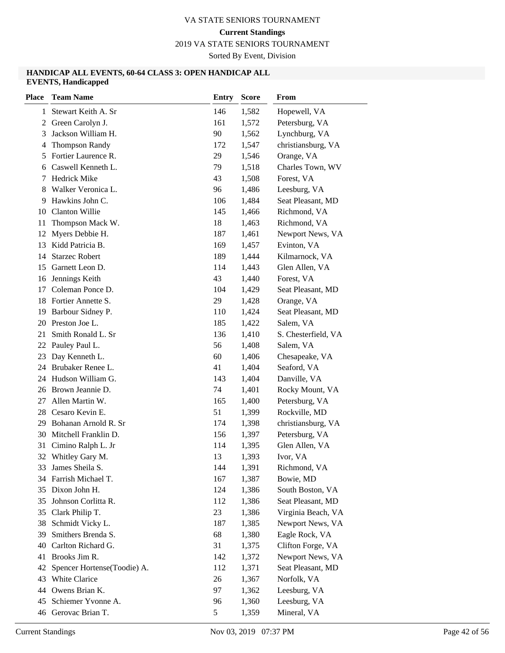2019 VA STATE SENIORS TOURNAMENT

Sorted By Event, Division

#### **HANDICAP ALL EVENTS, 60-64 CLASS 3: OPEN HANDICAP ALL EVENTS, Handicapped**

| <b>Place</b> | <b>Team Name</b>            | <b>Entry</b> | <b>Score</b> | From                |
|--------------|-----------------------------|--------------|--------------|---------------------|
| 1            | Stewart Keith A. Sr         | 146          | 1,582        | Hopewell, VA        |
| 2            | Green Carolyn J.            | 161          | 1,572        | Petersburg, VA      |
| 3            | Jackson William H.          | 90           | 1,562        | Lynchburg, VA       |
| 4            | <b>Thompson Randy</b>       | 172          | 1,547        | christiansburg, VA  |
| 5            | Fortier Laurence R.         | 29           | 1,546        | Orange, VA          |
| 6            | Caswell Kenneth L.          | 79           | 1,518        | Charles Town, WV    |
| 7            | <b>Hedrick Mike</b>         | 43           | 1,508        | Forest, VA          |
| 8            | Walker Veronica L.          | 96           | 1,486        | Leesburg, VA        |
| 9            | Hawkins John C.             | 106          | 1,484        | Seat Pleasant, MD   |
| 10           | Clanton Willie              | 145          | 1,466        | Richmond, VA        |
| 11           | Thompson Mack W.            | 18           | 1,463        | Richmond, VA        |
| 12           | Myers Debbie H.             | 187          | 1,461        | Newport News, VA    |
| 13           | Kidd Patricia B.            | 169          | 1,457        | Evinton, VA         |
| 14           | <b>Starzec Robert</b>       | 189          | 1,444        | Kilmarnock, VA      |
| 15           | Garnett Leon D.             | 114          | 1,443        | Glen Allen, VA      |
| 16           | Jennings Keith              | 43           | 1,440        | Forest, VA          |
| 17           | Coleman Ponce D.            | 104          | 1,429        | Seat Pleasant, MD   |
| 18           | Fortier Annette S.          | 29           | 1,428        | Orange, VA          |
| 19           | Barbour Sidney P.           | 110          | 1,424        | Seat Pleasant, MD   |
| 20           | Preston Joe L.              | 185          | 1,422        | Salem, VA           |
| 21           | Smith Ronald L. Sr          | 136          | 1,410        | S. Chesterfield, VA |
| 22           | Pauley Paul L.              | 56           | 1,408        | Salem, VA           |
| 23           | Day Kenneth L.              | 60           | 1,406        | Chesapeake, VA      |
| 24           | Brubaker Renee L.           | 41           | 1,404        | Seaford, VA         |
| 24           | Hudson William G.           | 143          | 1,404        | Danville, VA        |
| 26           | Brown Jeannie D.            | 74           | 1,401        | Rocky Mount, VA     |
| 27           | Allen Martin W.             | 165          | 1,400        | Petersburg, VA      |
| 28           | Cesaro Kevin E.             | 51           | 1,399        | Rockville, MD       |
| 29           | Bohanan Arnold R. Sr        | 174          | 1,398        | christiansburg, VA  |
| 30           | Mitchell Franklin D.        | 156          | 1,397        | Petersburg, VA      |
| 31           | Cimino Ralph L. Jr          | 114          | 1,395        | Glen Allen, VA      |
| 32           | Whitley Gary M.             | 13           | 1,393        | Ivor, VA            |
|              | 33 James Sheila S.          | 144          | 1,391        | Richmond, VA        |
|              | 34 Farrish Michael T.       | 167          | 1,387        | Bowie, MD           |
| 35           | Dixon John H.               | 124          | 1,386        | South Boston, VA    |
| 35           | Johnson Corlitta R.         | 112          | 1,386        | Seat Pleasant, MD   |
| 35           | Clark Philip T.             | 23           | 1,386        | Virginia Beach, VA  |
| 38           | Schmidt Vicky L.            | 187          | 1,385        | Newport News, VA    |
| 39           | Smithers Brenda S.          | 68           | 1,380        | Eagle Rock, VA      |
| 40           | Carlton Richard G.          | 31           | 1,375        | Clifton Forge, VA   |
| 41           | Brooks Jim R.               | 142          | 1,372        | Newport News, VA    |
| 42           | Spencer Hortense(Toodie) A. | 112          | 1,371        | Seat Pleasant, MD   |
| 43           | White Clarice               | 26           | 1,367        | Norfolk, VA         |
| 44           | Owens Brian K.              | 97           | 1,362        | Leesburg, VA        |
| 45           | Schiemer Yvonne A.          | 96           | 1,360        | Leesburg, VA        |
|              | 46 Gerovac Brian T.         | 5            | 1,359        | Mineral, VA         |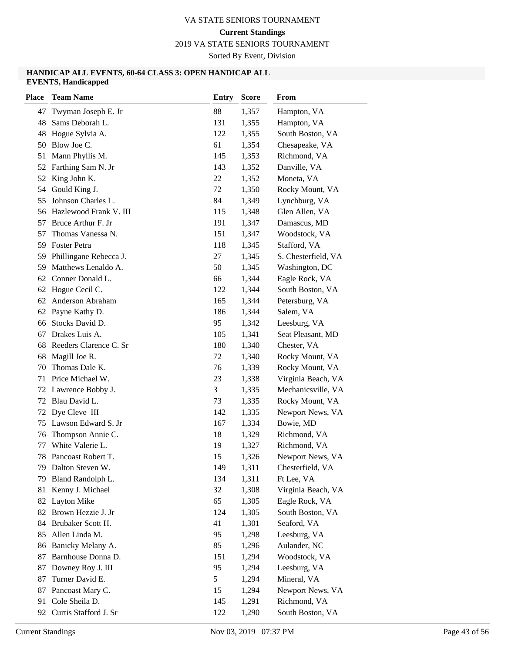2019 VA STATE SENIORS TOURNAMENT

Sorted By Event, Division

#### **HANDICAP ALL EVENTS, 60-64 CLASS 3: OPEN HANDICAP ALL EVENTS, Handicapped**

| <b>Place</b> | <b>Team Name</b>                | <b>Entry</b> | <b>Score</b>   | From                               |
|--------------|---------------------------------|--------------|----------------|------------------------------------|
| 47           | Twyman Joseph E. Jr             | 88           | 1,357          | Hampton, VA                        |
| 48           | Sams Deborah L.                 | 131          | 1,355          | Hampton, VA                        |
| 48           | Hogue Sylvia A.                 | 122          | 1,355          | South Boston, VA                   |
| 50           | Blow Joe C.                     | 61           | 1,354          | Chesapeake, VA                     |
| 51           | Mann Phyllis M.                 | 145          | 1,353          | Richmond, VA                       |
| 52           | Farthing Sam N. Jr              | 143          | 1,352          | Danville, VA                       |
| 52           | King John K.                    | 22           | 1,352          | Moneta, VA                         |
| 54           | Gould King J.                   | 72           | 1,350          | Rocky Mount, VA                    |
| 55           | Johnson Charles L.              | 84           | 1,349          | Lynchburg, VA                      |
| 56           | Hazlewood Frank V. III          | 115          | 1,348          | Glen Allen, VA                     |
| 57           | Bruce Arthur F. Jr              | 191          | 1,347          | Damascus, MD                       |
| 57           | Thomas Vanessa N.               | 151          | 1,347          | Woodstock, VA                      |
| 59           | <b>Foster Petra</b>             | 118          | 1,345          | Stafford, VA                       |
| 59           | Phillingane Rebecca J.          | 27           | 1,345          | S. Chesterfield, VA                |
| 59           | Matthews Lenaldo A.             | 50           | 1,345          | Washington, DC                     |
| 62           | Conner Donald L.                | 66           | 1,344          | Eagle Rock, VA                     |
| 62           | Hogue Cecil C.                  | 122          | 1,344          | South Boston, VA                   |
| 62           | Anderson Abraham                | 165          | 1,344          | Petersburg, VA                     |
| 62           | Payne Kathy D.                  | 186          | 1,344          | Salem, VA                          |
| 66           | Stocks David D.                 | 95           | 1,342          | Leesburg, VA                       |
| 67           | Drakes Luis A.                  | 105          | 1,341          | Seat Pleasant, MD                  |
| 68           | Reeders Clarence C. Sr          | 180          | 1,340          | Chester, VA                        |
| 68           | Magill Joe R.                   | 72           | 1,340          | Rocky Mount, VA                    |
| 70           | Thomas Dale K.                  | 76           | 1,339          | Rocky Mount, VA                    |
| 71           | Price Michael W.                | 23           | 1,338          | Virginia Beach, VA                 |
| 72           | Lawrence Bobby J.               | 3            | 1,335          | Mechanicsville, VA                 |
| 72           | Blau David L.                   | 73           | 1,335          | Rocky Mount, VA                    |
| 72           | Dye Cleve III                   | 142          | 1,335          | Newport News, VA                   |
| 75           | Lawson Edward S. Jr             | 167          | 1,334          | Bowie, MD                          |
| 76           | Thompson Annie C.               | 18           | 1,329          | Richmond, VA                       |
| 77           | White Valerie L.                | 19           | 1,327          | Richmond, VA                       |
| 78           | Pancoast Robert T.              | 15           | 1,326          | Newport News, VA                   |
|              | 79 Dalton Steven W.             | 149          | 1,311          | Chesterfield, VA                   |
| 79           | Bland Randolph L.               | 134<br>32    | 1,311          | Ft Lee, VA                         |
| 81           | Kenny J. Michael<br>Layton Mike |              | 1,308          | Virginia Beach, VA                 |
| 82<br>82     | Brown Hezzie J. Jr              | 65<br>124    | 1,305<br>1,305 | Eagle Rock, VA<br>South Boston, VA |
| 84           | Brubaker Scott H.               | 41           | 1,301          | Seaford, VA                        |
| 85           | Allen Linda M.                  | 95           | 1,298          | Leesburg, VA                       |
| 86           | Banicky Melany A.               | 85           | 1,296          | Aulander, NC                       |
| 87           | Barnhouse Donna D.              | 151          | 1,294          | Woodstock, VA                      |
| 87           | Downey Roy J. III               | 95           | 1,294          | Leesburg, VA                       |
| 87           | Turner David E.                 | 5            | 1,294          | Mineral, VA                        |
| 87           | Pancoast Mary C.                | 15           | 1,294          | Newport News, VA                   |
| 91           | Cole Sheila D.                  | 145          | 1,291          | Richmond, VA                       |
| 92           | Curtis Stafford J. Sr           | 122          | 1,290          | South Boston, VA                   |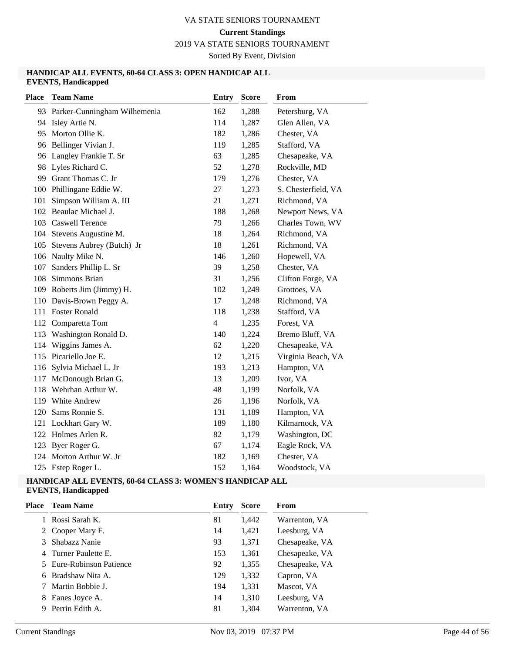2019 VA STATE SENIORS TOURNAMENT

Sorted By Event, Division

#### **HANDICAP ALL EVENTS, 60-64 CLASS 3: OPEN HANDICAP ALL EVENTS, Handicapped**

| <b>Place</b> | <b>Team Name</b>                | <b>Entry</b>   | <b>Score</b> | From                |
|--------------|---------------------------------|----------------|--------------|---------------------|
|              | 93 Parker-Cunningham Wilhemenia | 162            | 1,288        | Petersburg, VA      |
|              | 94 Isley Artie N.               | 114            | 1,287        | Glen Allen, VA      |
|              | 95 Morton Ollie K.              | 182            | 1,286        | Chester, VA         |
|              | 96 Bellinger Vivian J.          | 119            | 1,285        | Stafford, VA        |
|              | 96 Langley Frankie T. Sr        | 63             | 1,285        | Chesapeake, VA      |
| 98           | Lyles Richard C.                | 52             | 1,278        | Rockville, MD       |
| 99           | Grant Thomas C. Jr              | 179            | 1,276        | Chester, VA         |
|              | 100 Phillingane Eddie W.        | 27             | 1,273        | S. Chesterfield, VA |
| 101          | Simpson William A. III          | 21             | 1,271        | Richmond, VA        |
|              | 102 Beaulac Michael J.          | 188            | 1,268        | Newport News, VA    |
|              | 103 Caswell Terence             | 79             | 1,266        | Charles Town, WV    |
| 104          | Stevens Augustine M.            | 18             | 1,264        | Richmond, VA        |
| 105          | Stevens Aubrey (Butch) Jr       | 18             | 1,261        | Richmond, VA        |
|              | 106 Naulty Mike N.              | 146            | 1,260        | Hopewell, VA        |
| 107          | Sanders Phillip L. Sr           | 39             | 1,258        | Chester, VA         |
| 108          | Simmons Brian                   | 31             | 1,256        | Clifton Forge, VA   |
| 109          | Roberts Jim (Jimmy) H.          | 102            | 1,249        | Grottoes, VA        |
| 110          | Davis-Brown Peggy A.            | 17             | 1,248        | Richmond, VA        |
| 111          | <b>Foster Ronald</b>            | 118            | 1,238        | Stafford, VA        |
|              | 112 Comparetta Tom              | $\overline{4}$ | 1,235        | Forest, VA          |
| 113          | Washington Ronald D.            | 140            | 1,224        | Bremo Bluff, VA     |
| 114          | Wiggins James A.                | 62             | 1,220        | Chesapeake, VA      |
| 115          | Picariello Joe E.               | 12             | 1,215        | Virginia Beach, VA  |
| 116          | Sylvia Michael L. Jr            | 193            | 1,213        | Hampton, VA         |
| 117          | McDonough Brian G.              | 13             | 1,209        | Ivor, VA            |
| 118          | Wehrhan Arthur W.               | 48             | 1,199        | Norfolk, VA         |
| 119          | White Andrew                    | 26             | 1,196        | Norfolk, VA         |
| 120          | Sams Ronnie S.                  | 131            | 1,189        | Hampton, VA         |
| 121          | Lockhart Gary W.                | 189            | 1,180        | Kilmarnock, VA      |
| 122          | Holmes Arlen R.                 | 82             | 1,179        | Washington, DC      |
| 123          | Byer Roger G.                   | 67             | 1,174        | Eagle Rock, VA      |
| 124          | Morton Arthur W. Jr             | 182            | 1,169        | Chester, VA         |
| 125          | Estep Roger L.                  | 152            | 1,164        | Woodstock, VA       |

# **HANDICAP ALL EVENTS, 60-64 CLASS 3: WOMEN'S HANDICAP ALL**

# **EVENTS, Handicapped**

| Place | <b>Team Name</b>         | Entry | <b>Score</b> | From           |
|-------|--------------------------|-------|--------------|----------------|
|       | Rossi Sarah K.           | 81    | 1,442        | Warrenton, VA  |
|       | 2 Cooper Mary F.         | 14    | 1,421        | Leesburg, VA   |
|       | Shabazz Nanie            | 93    | 1,371        | Chesapeake, VA |
|       | 4 Turner Paulette E.     | 153   | 1,361        | Chesapeake, VA |
|       | 5 Eure-Robinson Patience | 92    | 1,355        | Chesapeake, VA |
|       | 6 Bradshaw Nita A.       | 129   | 1,332        | Capron, VA     |
|       | Martin Bobbie J.         | 194   | 1,331        | Mascot, VA     |
| 8     | Eanes Joyce A.           | 14    | 1,310        | Leesburg, VA   |
| 9     | Perrin Edith A.          | 81    | 1,304        | Warrenton, VA  |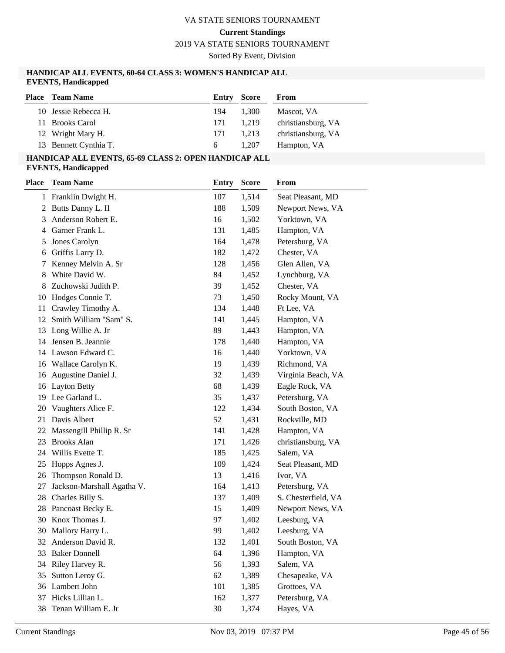#### **Current Standings**

2019 VA STATE SENIORS TOURNAMENT

Sorted By Event, Division

#### **HANDICAP ALL EVENTS, 60-64 CLASS 3: WOMEN'S HANDICAP ALL EVENTS, Handicapped**

| <b>Place</b> Team Name | <b>Entry Score</b> |       | From               |
|------------------------|--------------------|-------|--------------------|
| 10 Jessie Rebecca H.   | 194                | 1.300 | Mascot, VA         |
| 11 Brooks Carol        | 171                | 1.219 | christiansburg, VA |
| 12 Wright Mary H.      | 171                | 1.213 | christiansburg, VA |
| 13 Bennett Cynthia T.  | 6.                 | 1.207 | Hampton, VA        |

# **HANDICAP ALL EVENTS, 65-69 CLASS 2: OPEN HANDICAP ALL**

**EVENTS, Handicapped**

| Place | <b>Team Name</b>           | <b>Entry</b> | <b>Score</b> | From                |
|-------|----------------------------|--------------|--------------|---------------------|
|       | 1 Franklin Dwight H.       | 107          | 1,514        | Seat Pleasant, MD   |
| 2     | Butts Danny L. II          | 188          | 1,509        | Newport News, VA    |
| 3     | Anderson Robert E.         | 16           | 1,502        | Yorktown, VA        |
| 4     | Garner Frank L.            | 131          | 1,485        | Hampton, VA         |
| 5     | Jones Carolyn              | 164          | 1,478        | Petersburg, VA      |
| 6     | Griffis Larry D.           | 182          | 1,472        | Chester, VA         |
| 7     | Kenney Melvin A. Sr        | 128          | 1,456        | Glen Allen, VA      |
| 8     | White David W.             | 84           | 1,452        | Lynchburg, VA       |
| 8     | Zuchowski Judith P.        | 39           | 1,452        | Chester, VA         |
| 10    | Hodges Connie T.           | 73           | 1,450        | Rocky Mount, VA     |
| 11    | Crawley Timothy A.         | 134          | 1,448        | Ft Lee, VA          |
| 12    | Smith William "Sam" S.     | 141          | 1,445        | Hampton, VA         |
| 13    | Long Willie A. Jr          | 89           | 1,443        | Hampton, VA         |
| 14    | Jensen B. Jeannie          | 178          | 1,440        | Hampton, VA         |
| 14    | Lawson Edward C.           | 16           | 1,440        | Yorktown, VA        |
|       | 16 Wallace Carolyn K.      | 19           | 1,439        | Richmond, VA        |
| 16    | Augustine Daniel J.        | 32           | 1,439        | Virginia Beach, VA  |
| 16    | <b>Layton Betty</b>        | 68           | 1,439        | Eagle Rock, VA      |
| 19    | Lee Garland L.             | 35           | 1,437        | Petersburg, VA      |
| 20    | Vaughters Alice F.         | 122          | 1,434        | South Boston, VA    |
| 21    | Davis Albert               | 52           | 1,431        | Rockville, MD       |
| 22    | Massengill Phillip R. Sr   | 141          | 1,428        | Hampton, VA         |
| 23    | <b>Brooks Alan</b>         | 171          | 1,426        | christiansburg, VA  |
| 24    | Willis Evette T.           | 185          | 1,425        | Salem, VA           |
| 25    | Hopps Agnes J.             | 109          | 1,424        | Seat Pleasant, MD   |
| 26    | Thompson Ronald D.         | 13           | 1,416        | Ivor, VA            |
| 27    | Jackson-Marshall Agatha V. | 164          | 1,413        | Petersburg, VA      |
| 28    | Charles Billy S.           | 137          | 1,409        | S. Chesterfield, VA |
| 28    | Pancoast Becky E.          | 15           | 1,409        | Newport News, VA    |
| 30    | Knox Thomas J.             | 97           | 1,402        | Leesburg, VA        |
| 30    | Mallory Harry L.           | 99           | 1,402        | Leesburg, VA        |
| 32    | Anderson David R.          | 132          | 1,401        | South Boston, VA    |
| 33    | <b>Baker Donnell</b>       | 64           | 1,396        | Hampton, VA         |
| 34    | Riley Harvey R.            | 56           | 1,393        | Salem, VA           |
| 35    | Sutton Leroy G.            | 62           | 1,389        | Chesapeake, VA      |
| 36    | Lambert John               | 101          | 1,385        | Grottoes, VA        |
| 37    | Hicks Lillian L.           | 162          | 1,377        | Petersburg, VA      |
| 38    | Tenan William E. Jr        | 30           | 1,374        | Hayes, VA           |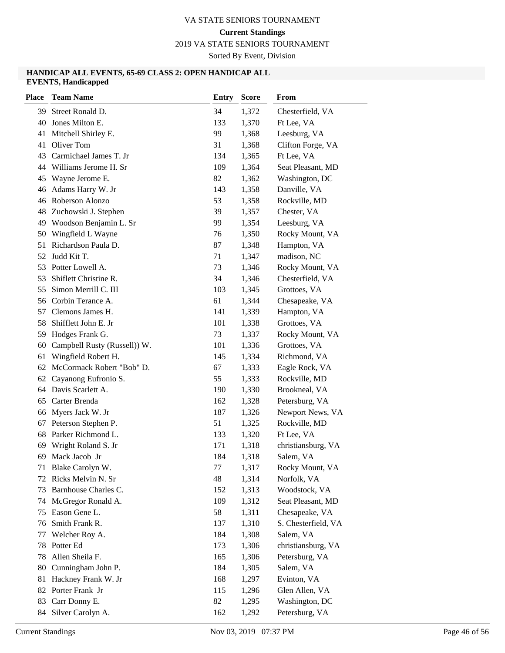2019 VA STATE SENIORS TOURNAMENT

Sorted By Event, Division

#### **HANDICAP ALL EVENTS, 65-69 CLASS 2: OPEN HANDICAP ALL EVENTS, Handicapped**

| <b>Place</b> | <b>Team Name</b>                       | <b>Entry</b> | <b>Score</b>   | From                             |
|--------------|----------------------------------------|--------------|----------------|----------------------------------|
| 39           | Street Ronald D.                       | 34           | 1,372          | Chesterfield, VA                 |
| 40           | Jones Milton E.                        | 133          | 1,370          | Ft Lee, VA                       |
| 41           | Mitchell Shirley E.                    | 99           | 1,368          | Leesburg, VA                     |
| 41           | Oliver Tom                             | 31           | 1,368          | Clifton Forge, VA                |
| 43           | Carmichael James T. Jr                 | 134          | 1,365          | Ft Lee, VA                       |
| 44           | Williams Jerome H. Sr                  | 109          | 1,364          | Seat Pleasant, MD                |
| 45           | Wayne Jerome E.                        | 82           | 1,362          | Washington, DC                   |
| 46           | Adams Harry W. Jr                      | 143          | 1,358          | Danville, VA                     |
| 46           | Roberson Alonzo                        | 53           | 1,358          | Rockville, MD                    |
| 48           | Zuchowski J. Stephen                   | 39           | 1,357          | Chester, VA                      |
| 49           | Woodson Benjamin L. Sr                 | 99           | 1,354          | Leesburg, VA                     |
| 50           | Wingfield L Wayne                      | 76           | 1,350          | Rocky Mount, VA                  |
| 51           | Richardson Paula D.                    | 87           | 1,348          | Hampton, VA                      |
| 52           | Judd Kit T.                            | 71           | 1,347          | madison, NC                      |
| 53           | Potter Lowell A.                       | 73           | 1,346          | Rocky Mount, VA                  |
| 53           | Shiflett Christine R.                  | 34           | 1,346          | Chesterfield, VA                 |
| 55           | Simon Merrill C. III                   | 103          | 1,345          | Grottoes, VA                     |
| 56           | Corbin Terance A.                      | 61           | 1,344          | Chesapeake, VA                   |
| 57           | Clemons James H.                       | 141          | 1,339          | Hampton, VA                      |
| 58           | Shifflett John E. Jr                   | 101          | 1,338          | Grottoes, VA                     |
| 59           | Hodges Frank G.                        | 73           | 1,337          | Rocky Mount, VA                  |
| 60           | Campbell Rusty (Russell)) W.           | 101          | 1,336          | Grottoes, VA                     |
| 61           | Wingfield Robert H.                    | 145          | 1,334          | Richmond, VA                     |
| 62           | McCormack Robert "Bob" D.              | 67           | 1,333          | Eagle Rock, VA                   |
| 62           | Cayanong Eufronio S.                   | 55           | 1,333          | Rockville, MD                    |
|              | 64 Davis Scarlett A.                   | 190          | 1,330          | Brookneal, VA                    |
| 65           | Carter Brenda                          | 162          | 1,328          | Petersburg, VA                   |
| 66           | Myers Jack W. Jr                       | 187          | 1,326          | Newport News, VA                 |
| 67           | Peterson Stephen P.                    | 51           | 1,325          | Rockville, MD                    |
| 68           | Parker Richmond L.                     | 133          | 1,320          | Ft Lee, VA                       |
| 69           | Wright Roland S. Jr                    | 171          | 1,318          | christiansburg, VA               |
| 69           | Mack Jacob Jr                          | 184          | 1,318          | Salem, VA                        |
|              | 71 Blake Carolyn W.                    | 77           | 1,317          | Rocky Mount, VA                  |
| 72           | Ricks Melvin N. Sr                     | 48           | 1,314          | Norfolk, VA                      |
| 73           | Barnhouse Charles C.                   | 152          | 1,313          | Woodstock, VA                    |
| 74           | McGregor Ronald A.                     | 109          | 1,312          | Seat Pleasant, MD                |
| 75           | Eason Gene L.                          | 58           | 1,311          | Chesapeake, VA                   |
| 76           | Smith Frank R.                         | 137          | 1,310          | S. Chesterfield, VA              |
| 77           | Welcher Roy A.                         | 184          | 1,308          | Salem, VA                        |
| 78           | Potter Ed                              | 173          | 1,306          | christiansburg, VA               |
| 78           | Allen Sheila F.                        | 165          | 1,306          | Petersburg, VA                   |
| 80           | Cunningham John P.                     | 184          | 1,305          | Salem, VA                        |
| 81           | Hackney Frank W. Jr<br>Porter Frank Jr | 168          | 1,297          | Evinton, VA                      |
| 82<br>83     |                                        | 115<br>82    | 1,296          | Glen Allen, VA                   |
|              | Carr Donny E.<br>84 Silver Carolyn A.  | 162          | 1,295<br>1,292 | Washington, DC<br>Petersburg, VA |
|              |                                        |              |                |                                  |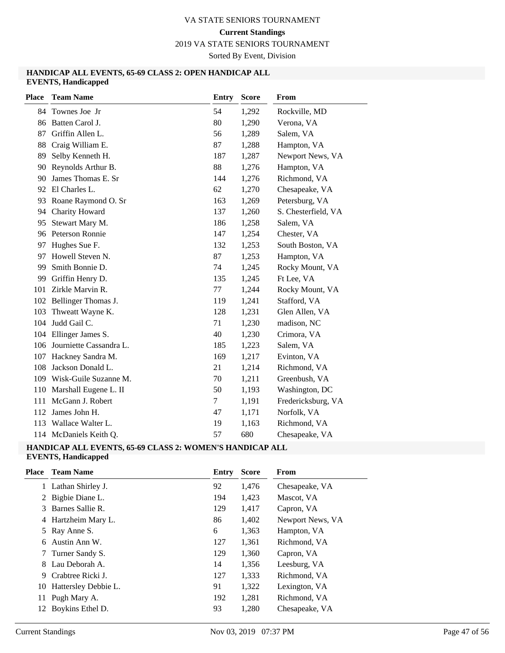2019 VA STATE SENIORS TOURNAMENT

Sorted By Event, Division

#### **HANDICAP ALL EVENTS, 65-69 CLASS 2: OPEN HANDICAP ALL EVENTS, Handicapped**

| <b>Place</b> | <b>Team Name</b>        | <b>Entry</b> | <b>Score</b> | <b>From</b>         |
|--------------|-------------------------|--------------|--------------|---------------------|
|              | 84 Townes Joe Jr        | 54           | 1,292        | Rockville, MD       |
| 86           | Batten Carol J.         | 80           | 1,290        | Verona, VA          |
| 87           | Griffin Allen L.        | 56           | 1,289        | Salem, VA           |
| 88           | Craig William E.        | 87           | 1,288        | Hampton, VA         |
| 89           | Selby Kenneth H.        | 187          | 1,287        | Newport News, VA    |
| 90           | Reynolds Arthur B.      | 88           | 1,276        | Hampton, VA         |
| 90           | James Thomas E. Sr      | 144          | 1,276        | Richmond, VA        |
| 92           | El Charles L.           | 62           | 1,270        | Chesapeake, VA      |
| 93           | Roane Raymond O. Sr     | 163          | 1,269        | Petersburg, VA      |
| 94           | Charity Howard          | 137          | 1,260        | S. Chesterfield, VA |
| 95           | Stewart Mary M.         | 186          | 1,258        | Salem, VA           |
| 96           | Peterson Ronnie         | 147          | 1,254        | Chester, VA         |
| 97           | Hughes Sue F.           | 132          | 1,253        | South Boston, VA    |
| 97           | Howell Steven N.        | 87           | 1,253        | Hampton, VA         |
| 99           | Smith Bonnie D.         | 74           | 1,245        | Rocky Mount, VA     |
| 99           | Griffin Henry D.        | 135          | 1,245        | Ft Lee, VA          |
| 101          | Zirkle Marvin R.        | 77           | 1,244        | Rocky Mount, VA     |
|              | 102 Bellinger Thomas J. | 119          | 1,241        | Stafford, VA        |
| 103          | Thweatt Wayne K.        | 128          | 1,231        | Glen Allen, VA      |
| 104          | Judd Gail C.            | 71           | 1,230        | madison, NC         |
| 104          | Ellinger James S.       | 40           | 1,230        | Crimora, VA         |
| 106          | Journiette Cassandra L. | 185          | 1,223        | Salem, VA           |
| 107          | Hackney Sandra M.       | 169          | 1,217        | Evinton, VA         |
| 108          | Jackson Donald L.       | 21           | 1,214        | Richmond, VA        |
| 109          | Wisk-Guile Suzanne M.   | 70           | 1,211        | Greenbush, VA       |
| 110          | Marshall Eugene L. II   | 50           | 1,193        | Washington, DC      |
| 111          | McGann J. Robert        | 7            | 1,191        | Fredericksburg, VA  |
| 112          | James John H.           | 47           | 1,171        | Norfolk, VA         |
| 113          | Wallace Walter L.       | 19           | 1,163        | Richmond, VA        |
|              | 114 McDaniels Keith Q.  | 57           | 680          | Chesapeake, VA      |

#### **HANDICAP ALL EVENTS, 65-69 CLASS 2: WOMEN'S HANDICAP ALL EVENTS, Handicapped**

| Place | <b>Team Name</b>     | Entry | <b>Score</b> | From             |
|-------|----------------------|-------|--------------|------------------|
|       | 1 Lathan Shirley J.  | 92    | 1,476        | Chesapeake, VA   |
|       | 2 Bigbie Diane L.    | 194   | 1,423        | Mascot, VA       |
| 3     | Barnes Sallie R.     | 129   | 1,417        | Capron, VA       |
|       | 4 Hartzheim Mary L.  | 86    | 1,402        | Newport News, VA |
| 5     | Ray Anne S.          | 6     | 1,363        | Hampton, VA      |
| 6     | Austin Ann W.        | 127   | 1,361        | Richmond, VA     |
|       | 7 Turner Sandy S.    | 129   | 1,360        | Capron, VA       |
| 8     | Lau Deborah A.       | 14    | 1,356        | Leesburg, VA     |
| 9     | Crabtree Ricki J.    | 127   | 1,333        | Richmond, VA     |
| 10    | Hattersley Debbie L. | 91    | 1,322        | Lexington, VA    |
| 11    | Pugh Mary A.         | 192   | 1,281        | Richmond, VA     |
| 12    | Boykins Ethel D.     | 93    | 1,280        | Chesapeake, VA   |
|       |                      |       |              |                  |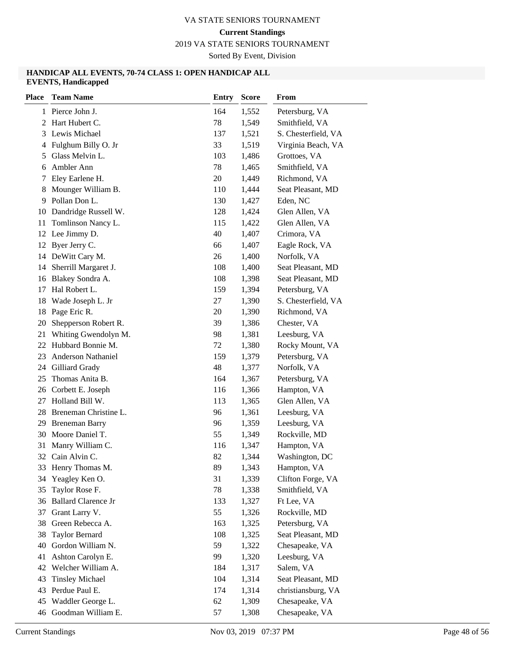2019 VA STATE SENIORS TOURNAMENT

Sorted By Event, Division

#### **HANDICAP ALL EVENTS, 70-74 CLASS 1: OPEN HANDICAP ALL EVENTS, Handicapped**

| <b>Place</b> | <b>Team Name</b>           | <b>Entry</b> | <b>Score</b> | From                |
|--------------|----------------------------|--------------|--------------|---------------------|
|              | 1 Pierce John J.           | 164          | 1,552        | Petersburg, VA      |
| 2            | Hart Hubert C.             | 78           | 1,549        | Smithfield, VA      |
| 3            | Lewis Michael              | 137          | 1,521        | S. Chesterfield, VA |
| 4            | Fulghum Billy O. Jr        | 33           | 1,519        | Virginia Beach, VA  |
| 5            | Glass Melvin L.            | 103          | 1,486        | Grottoes, VA        |
| 6            | Ambler Ann                 | 78           | 1,465        | Smithfield, VA      |
| 7            | Eley Earlene H.            | 20           | 1,449        | Richmond, VA        |
| 8            | Mounger William B.         | 110          | 1,444        | Seat Pleasant, MD   |
| 9            | Pollan Don L.              | 130          | 1,427        | Eden, NC            |
| 10           | Dandridge Russell W.       | 128          | 1,424        | Glen Allen, VA      |
| 11           | Tomlinson Nancy L.         | 115          | 1,422        | Glen Allen, VA      |
| 12           | Lee Jimmy D.               | 40           | 1,407        | Crimora, VA         |
| 12           | Byer Jerry C.              | 66           | 1,407        | Eagle Rock, VA      |
| 14           | DeWitt Cary M.             | 26           | 1,400        | Norfolk, VA         |
| 14           | Sherrill Margaret J.       | 108          | 1,400        | Seat Pleasant, MD   |
| 16           | Blakey Sondra A.           | 108          | 1,398        | Seat Pleasant, MD   |
| 17           | Hal Robert L.              | 159          | 1,394        | Petersburg, VA      |
| 18           | Wade Joseph L. Jr          | 27           | 1,390        | S. Chesterfield, VA |
| 18           | Page Eric R.               | 20           | 1,390        | Richmond, VA        |
| 20           | Shepperson Robert R.       | 39           | 1,386        | Chester, VA         |
| 21           | Whiting Gwendolyn M.       | 98           | 1,381        | Leesburg, VA        |
| 22           | Hubbard Bonnie M.          | 72           | 1,380        | Rocky Mount, VA     |
| 23           | Anderson Nathaniel         | 159          | 1,379        | Petersburg, VA      |
| 24           | Gilliard Grady             | 48           | 1,377        | Norfolk, VA         |
| 25           | Thomas Anita B.            | 164          | 1,367        | Petersburg, VA      |
| 26           | Corbett E. Joseph          | 116          | 1,366        | Hampton, VA         |
| 27           | Holland Bill W.            | 113          | 1,365        | Glen Allen, VA      |
| 28           | Breneman Christine L.      | 96           | 1,361        | Leesburg, VA        |
| 29           | <b>Breneman Barry</b>      | 96           | 1,359        | Leesburg, VA        |
| 30           | Moore Daniel T.            | 55           | 1,349        | Rockville, MD       |
| 31           | Manry William C.           | 116          | 1,347        | Hampton, VA         |
| 32           | Cain Alvin C.              | 82           | 1,344        | Washington, DC      |
| 33           | Henry Thomas M.            | 89           | 1,343        | Hampton, VA         |
| 34           | Yeagley Ken O.             | 31           | 1,339        | Clifton Forge, VA   |
| 35           | Taylor Rose F.             | 78           | 1,338        | Smithfield, VA      |
| 36           | <b>Ballard Clarence Jr</b> | 133          | 1,327        | Ft Lee, VA          |
| 37           | Grant Larry V.             | 55           | 1,326        | Rockville, MD       |
| 38           | Green Rebecca A.           | 163          | 1,325        | Petersburg, VA      |
| 38           | <b>Taylor Bernard</b>      | 108          | 1,325        | Seat Pleasant, MD   |
| 40           | Gordon William N.          | 59           | 1,322        | Chesapeake, VA      |
| 41           | Ashton Carolyn E.          | 99           | 1,320        | Leesburg, VA        |
| 42           | Welcher William A.         | 184          | 1,317        | Salem, VA           |
| 43           | <b>Tinsley Michael</b>     | 104          | 1,314        | Seat Pleasant, MD   |
| 43           | Perdue Paul E.             | 174          | 1,314        | christiansburg, VA  |
| 45           | Waddler George L.          | 62           | 1,309        | Chesapeake, VA      |
| 46           | Goodman William E.         | 57           | 1,308        | Chesapeake, VA      |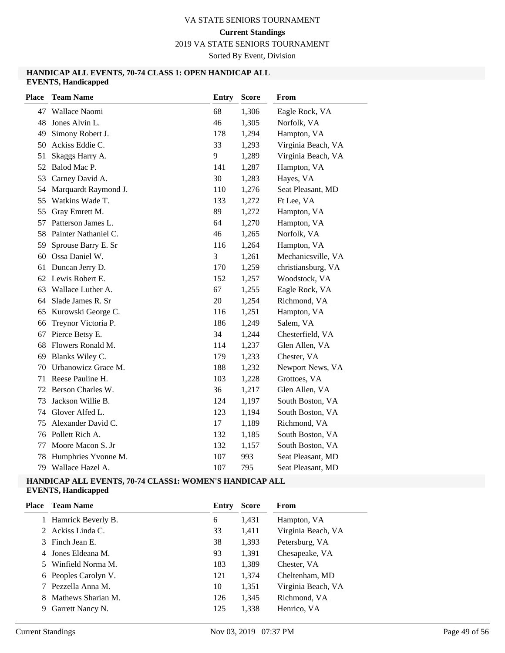2019 VA STATE SENIORS TOURNAMENT

Sorted By Event, Division

#### **HANDICAP ALL EVENTS, 70-74 CLASS 1: OPEN HANDICAP ALL EVENTS, Handicapped**

| <b>Place</b> | <b>Team Name</b>     | <b>Entry</b> | <b>Score</b> | From               |
|--------------|----------------------|--------------|--------------|--------------------|
| 47           | Wallace Naomi        | 68           | 1,306        | Eagle Rock, VA     |
| 48           | Jones Alvin L.       | 46           | 1,305        | Norfolk, VA        |
| 49           | Simony Robert J.     | 178          | 1,294        | Hampton, VA        |
| 50           | Ackiss Eddie C.      | 33           | 1,293        | Virginia Beach, VA |
| 51           | Skaggs Harry A.      | 9            | 1,289        | Virginia Beach, VA |
| 52           | Balod Mac P.         | 141          | 1,287        | Hampton, VA        |
| 53           | Carney David A.      | 30           | 1,283        | Hayes, VA          |
| 54           | Marquardt Raymond J. | 110          | 1,276        | Seat Pleasant, MD  |
| 55           | Watkins Wade T.      | 133          | 1,272        | Ft Lee, VA         |
| 55           | Gray Emrett M.       | 89           | 1,272        | Hampton, VA        |
| 57           | Patterson James L.   | 64           | 1,270        | Hampton, VA        |
| 58           | Painter Nathaniel C. | 46           | 1,265        | Norfolk, VA        |
| 59           | Sprouse Barry E. Sr  | 116          | 1,264        | Hampton, VA        |
| 60           | Ossa Daniel W.       | 3            | 1,261        | Mechanicsville, VA |
| 61           | Duncan Jerry D.      | 170          | 1,259        | christiansburg, VA |
| 62           | Lewis Robert E.      | 152          | 1,257        | Woodstock, VA      |
| 63           | Wallace Luther A.    | 67           | 1,255        | Eagle Rock, VA     |
| 64           | Slade James R. Sr    | 20           | 1,254        | Richmond, VA       |
| 65           | Kurowski George C.   | 116          | 1,251        | Hampton, VA        |
| 66           | Treynor Victoria P.  | 186          | 1,249        | Salem, VA          |
| 67           | Pierce Betsy E.      | 34           | 1,244        | Chesterfield, VA   |
| 68           | Flowers Ronald M.    | 114          | 1,237        | Glen Allen, VA     |
| 69           | Blanks Wiley C.      | 179          | 1,233        | Chester, VA        |
| 70           | Urbanowicz Grace M.  | 188          | 1,232        | Newport News, VA   |
| 71           | Reese Pauline H.     | 103          | 1,228        | Grottoes, VA       |
| 72           | Berson Charles W.    | 36           | 1,217        | Glen Allen, VA     |
| 73           | Jackson Willie B.    | 124          | 1,197        | South Boston, VA   |
| 74           | Glover Alfed L.      | 123          | 1,194        | South Boston, VA   |
| 75           | Alexander David C.   | 17           | 1,189        | Richmond, VA       |
| 76           | Pollett Rich A.      | 132          | 1,185        | South Boston, VA   |
| 77           | Moore Macon S. Jr    | 132          | 1,157        | South Boston, VA   |
| 78           | Humphries Yvonne M.  | 107          | 993          | Seat Pleasant, MD  |
| 79           | Wallace Hazel A.     | 107          | 795          | Seat Pleasant, MD  |

# **HANDICAP ALL EVENTS, 70-74 CLASS1: WOMEN'S HANDICAP ALL**

| <b>Place</b> | <b>Team Name</b>     | Entry | <b>Score</b> | <b>From</b>        |
|--------------|----------------------|-------|--------------|--------------------|
|              | Hamrick Beverly B.   | 6     | 1,431        | Hampton, VA        |
|              | 2 Ackiss Linda C.    | 33    | 1,411        | Virginia Beach, VA |
|              | 3 Finch Jean E.      | 38    | 1,393        | Petersburg, VA     |
|              | 4 Jones Eldeana M.   | 93    | 1,391        | Chesapeake, VA     |
|              | 5 Winfield Norma M.  | 183   | 1,389        | Chester, VA        |
|              | 6 Peoples Carolyn V. | 121   | 1.374        | Cheltenham, MD     |
|              | Pezzella Anna M.     | 10    | 1,351        | Virginia Beach, VA |
|              | Mathews Sharian M.   | 126   | 1,345        | Richmond, VA       |
| 9            | Garrett Nancy N.     | 125   | 1,338        | Henrico, VA        |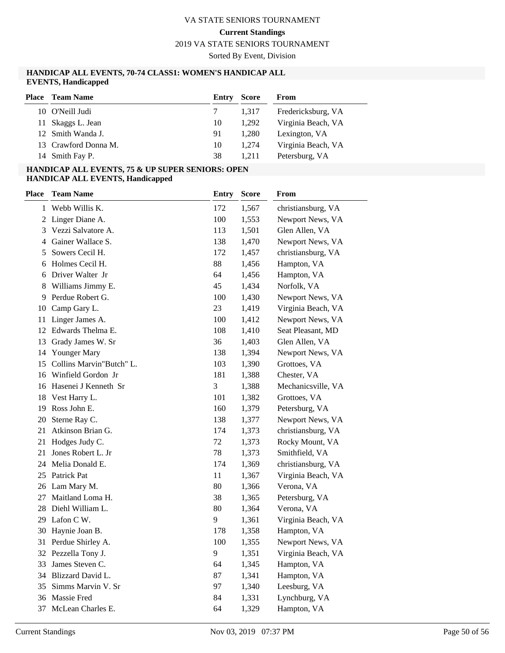**Current Standings**

2019 VA STATE SENIORS TOURNAMENT

Sorted By Event, Division

#### **HANDICAP ALL EVENTS, 70-74 CLASS1: WOMEN'S HANDICAP ALL EVENTS, Handicapped**

| <b>Place</b> Team Name | Entry | Score | From               |
|------------------------|-------|-------|--------------------|
| 10 O'Neill Judi        |       | 1.317 | Fredericksburg, VA |
| 11 Skaggs L. Jean      | 10    | 1.292 | Virginia Beach, VA |
| 12 Smith Wanda J.      | 91    | 1.280 | Lexington, VA      |
| 13 Crawford Donna M.   | 10    | 1.274 | Virginia Beach, VA |
| 14 Smith Fay P.        | 38    | 1.211 | Petersburg, VA     |

#### **HANDICAP ALL EVENTS, 75 & UP SUPER SENIORS: OPEN HANDICAP ALL EVENTS, Handicapped**

| <b>Place</b> | <b>Team Name</b>         | <b>Entry</b> | Score | From               |
|--------------|--------------------------|--------------|-------|--------------------|
| 1            | Webb Willis K.           | 172          | 1,567 | christiansburg, VA |
|              | 2 Linger Diane A.        | 100          | 1,553 | Newport News, VA   |
| 3            | Vezzi Salvatore A.       | 113          | 1,501 | Glen Allen, VA     |
| 4            | Gainer Wallace S.        | 138          | 1,470 | Newport News, VA   |
| 5            | Sowers Cecil H.          | 172          | 1,457 | christiansburg, VA |
| 6            | Holmes Cecil H.          | 88           | 1,456 | Hampton, VA        |
| 6            | Driver Walter Jr         | 64           | 1,456 | Hampton, VA        |
| 8            | Williams Jimmy E.        | 45           | 1,434 | Norfolk, VA        |
| 9            | Perdue Robert G.         | 100          | 1,430 | Newport News, VA   |
|              | 10 Camp Gary L.          | 23           | 1,419 | Virginia Beach, VA |
| 11           | Linger James A.          | 100          | 1,412 | Newport News, VA   |
|              | 12 Edwards Thelma E.     | 108          | 1,410 | Seat Pleasant, MD  |
|              | 13 Grady James W. Sr     | 36           | 1,403 | Glen Allen, VA     |
| 14           | Younger Mary             | 138          | 1,394 | Newport News, VA   |
| 15           | Collins Marvin"Butch" L. | 103          | 1,390 | Grottoes, VA       |
|              | 16 Winfield Gordon Jr    | 181          | 1,388 | Chester, VA        |
|              | 16 Hasenei J Kenneth Sr  | 3            | 1,388 | Mechanicsville, VA |
| 18           | Vest Harry L.            | 101          | 1,382 | Grottoes, VA       |
| 19           | Ross John E.             | 160          | 1,379 | Petersburg, VA     |
| 20           | Sterne Ray C.            | 138          | 1,377 | Newport News, VA   |
| 21           | Atkinson Brian G.        | 174          | 1,373 | christiansburg, VA |
| 21           | Hodges Judy C.           | 72           | 1,373 | Rocky Mount, VA    |
| 21           | Jones Robert L. Jr       | 78           | 1,373 | Smithfield, VA     |
|              | 24 Melia Donald E.       | 174          | 1,369 | christiansburg, VA |
| 25           | Patrick Pat              | 11           | 1,367 | Virginia Beach, VA |
|              | 26 Lam Mary M.           | 80           | 1,366 | Verona, VA         |
| 27           | Maitland Loma H.         | 38           | 1,365 | Petersburg, VA     |
| 28           | Diehl William L.         | 80           | 1,364 | Verona, VA         |
|              | 29 Lafon C W.            | 9            | 1,361 | Virginia Beach, VA |
|              | 30 Haynie Joan B.        | 178          | 1,358 | Hampton, VA        |
| 31           | Perdue Shirley A.        | 100          | 1,355 | Newport News, VA   |
|              | 32 Pezzella Tony J.      | 9            | 1,351 | Virginia Beach, VA |
| 33           | James Steven C.          | 64           | 1,345 | Hampton, VA        |
|              | 34 Blizzard David L.     | 87           | 1,341 | Hampton, VA        |
| 35           | Simms Marvin V. Sr       | 97           | 1,340 | Leesburg, VA       |
| 36           | Massie Fred              | 84           | 1,331 | Lynchburg, VA      |
| 37           | McLean Charles E.        | 64           | 1,329 | Hampton, VA        |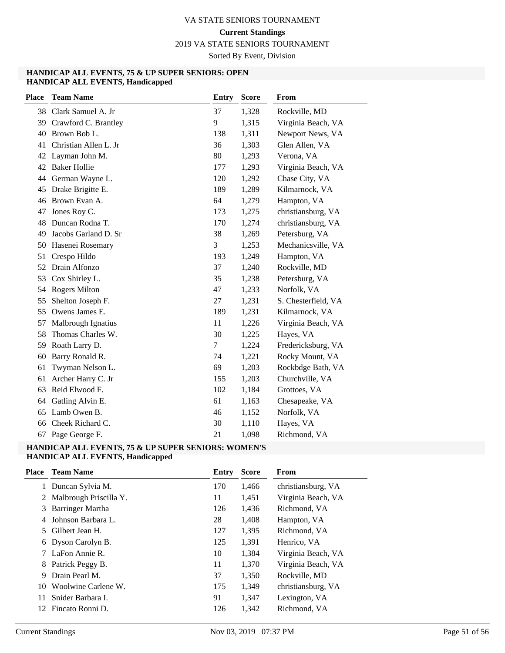2019 VA STATE SENIORS TOURNAMENT

Sorted By Event, Division

#### **HANDICAP ALL EVENTS, 75 & UP SUPER SENIORS: OPEN HANDICAP ALL EVENTS, Handicapped**

| <b>Place</b> | <b>Team Name</b>      | Entry  | <b>Score</b> | From                |
|--------------|-----------------------|--------|--------------|---------------------|
|              | 38 Clark Samuel A. Jr | 37     | 1,328        | Rockville, MD       |
| 39           | Crawford C. Brantley  | 9      | 1,315        | Virginia Beach, VA  |
| 40           | Brown Bob L.          | 138    | 1,311        | Newport News, VA    |
| 41           | Christian Allen L. Jr | 36     | 1,303        | Glen Allen, VA      |
| 42           | Layman John M.        | 80     | 1,293        | Verona, VA          |
| 42           | <b>Baker Hollie</b>   | 177    | 1,293        | Virginia Beach, VA  |
| 44           | German Wayne L.       | 120    | 1,292        | Chase City, VA      |
| 45           | Drake Brigitte E.     | 189    | 1,289        | Kilmarnock, VA      |
| 46           | Brown Evan A.         | 64     | 1,279        | Hampton, VA         |
| 47           | Jones Roy C.          | 173    | 1,275        | christiansburg, VA  |
| 48           | Duncan Rodna T.       | 170    | 1,274        | christiansburg, VA  |
| 49           | Jacobs Garland D. Sr  | 38     | 1,269        | Petersburg, VA      |
| 50           | Hasenei Rosemary      | 3      | 1,253        | Mechanicsville, VA  |
| 51           | Crespo Hildo          | 193    | 1,249        | Hampton, VA         |
| 52           | Drain Alfonzo         | 37     | 1,240        | Rockville, MD       |
| 53           | Cox Shirley L.        | 35     | 1,238        | Petersburg, VA      |
| 54           | <b>Rogers Milton</b>  | 47     | 1,233        | Norfolk, VA         |
| 55           | Shelton Joseph F.     | 27     | 1,231        | S. Chesterfield, VA |
| 55           | Owens James E.        | 189    | 1,231        | Kilmarnock, VA      |
| 57           | Malbrough Ignatius    | 11     | 1,226        | Virginia Beach, VA  |
| 58           | Thomas Charles W.     | 30     | 1,225        | Hayes, VA           |
| 59           | Roath Larry D.        | $\tau$ | 1,224        | Fredericksburg, VA  |
| 60           | Barry Ronald R.       | 74     | 1,221        | Rocky Mount, VA     |
| 61           | Twyman Nelson L.      | 69     | 1,203        | Rockbdge Bath, VA   |
| 61           | Archer Harry C. Jr    | 155    | 1,203        | Churchville, VA     |
| 63           | Reid Elwood F.        | 102    | 1,184        | Grottoes, VA        |
| 64           | Gatling Alvin E.      | 61     | 1,163        | Chesapeake, VA      |
| 65           | Lamb Owen B.          | 46     | 1,152        | Norfolk, VA         |
| 66           | Cheek Richard C.      | 30     | 1,110        | Hayes, VA           |
| 67           | Page George F.        | 21     | 1,098        | Richmond, VA        |

#### **HANDICAP ALL EVENTS, 75 & UP SUPER SENIORS: WOMEN'S HANDICAP ALL EVENTS, Handicapped**

| Place | <b>Team Name</b>         | Entry | <b>Score</b> | From               |
|-------|--------------------------|-------|--------------|--------------------|
|       | Duncan Sylvia M.         | 170   | 1,466        | christiansburg, VA |
|       | 2 Malbrough Priscilla Y. | 11    | 1,451        | Virginia Beach, VA |
| 3     | Barringer Martha         | 126   | 1,436        | Richmond, VA       |
| 4     | Johnson Barbara L.       | 28    | 1,408        | Hampton, VA        |
| 5.    | Gilbert Jean H.          | 127   | 1,395        | Richmond, VA       |
|       | 6 Dyson Carolyn B.       | 125   | 1,391        | Henrico, VA        |
|       | 7 LaFon Annie R.         | 10    | 1,384        | Virginia Beach, VA |
|       | 8 Patrick Peggy B.       | 11    | 1,370        | Virginia Beach, VA |
| 9     | Drain Pearl M.           | 37    | 1,350        | Rockville, MD      |
| 10    | Woolwine Carlene W.      | 175   | 1,349        | christiansburg, VA |
| 11    | Snider Barbara I.        | 91    | 1,347        | Lexington, VA      |
| 12    | Fincato Ronni D.         | 126   | 1,342        | Richmond, VA       |
|       |                          |       |              |                    |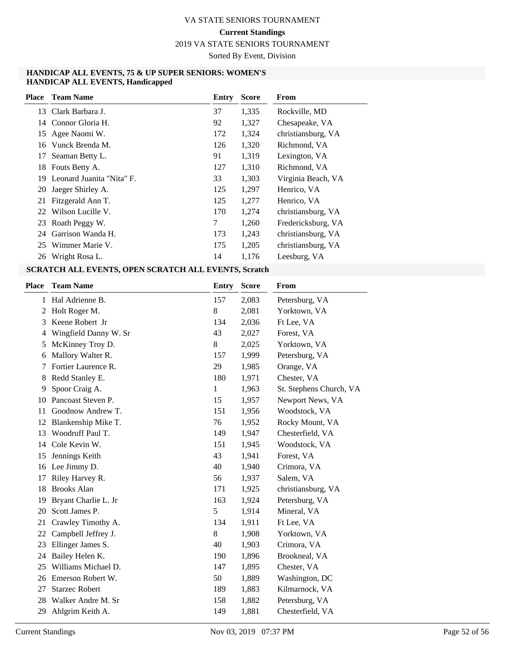2019 VA STATE SENIORS TOURNAMENT

Sorted By Event, Division

#### **HANDICAP ALL EVENTS, 75 & UP SUPER SENIORS: WOMEN'S HANDICAP ALL EVENTS, Handicapped**

| Place | <b>Team Name</b>          | Entry | <b>Score</b> | From               |
|-------|---------------------------|-------|--------------|--------------------|
|       | 13 Clark Barbara J.       | 37    | 1,335        | Rockville, MD      |
|       | 14 Connor Gloria H.       | 92    | 1,327        | Chesapeake, VA     |
|       | 15 Agee Naomi W.          | 172   | 1,324        | christiansburg, VA |
| 16    | Vunck Brenda M.           | 126   | 1,320        | Richmond, VA       |
| 17    | Seaman Betty L.           | 91    | 1,319        | Lexington, VA      |
| 18    | Fouts Betty A.            | 127   | 1,310        | Richmond, VA       |
| 19.   | Leonard Juanita "Nita" F. | 33    | 1,303        | Virginia Beach, VA |
| 20    | Jaeger Shirley A.         | 125   | 1,297        | Henrico, VA        |
| 21    | Fitzgerald Ann T.         | 125   | 1,277        | Henrico, VA        |
|       | 22 Wilson Lucille V.      | 170   | 1,274        | christiansburg, VA |
| 23    | Roath Peggy W.            | 7     | 1,260        | Fredericksburg, VA |
| 24    | Garrison Wanda H.         | 173   | 1,243        | christiansburg, VA |
|       | 25 Wimmer Marie V.        | 175   | 1,205        | christiansburg, VA |
| 26    | Wright Rosa L.            | 14    | 1,176        | Leesburg, VA       |

| <b>Place</b> | <b>Team Name</b>      | <b>Entry</b> | <b>Score</b> | From                    |
|--------------|-----------------------|--------------|--------------|-------------------------|
| 1            | Hal Adrienne B.       | 157          | 2,083        | Petersburg, VA          |
| 2            | Holt Roger M.         | 8            | 2,081        | Yorktown, VA            |
| 3            | Keene Robert Jr       | 134          | 2,036        | Ft Lee, VA              |
| 4            | Wingfield Danny W. Sr | 43           | 2,027        | Forest, VA              |
| 5            | McKinney Troy D.      | 8            | 2,025        | Yorktown, VA            |
| 6            | Mallory Walter R.     | 157          | 1,999        | Petersburg, VA          |
|              | Fortier Laurence R.   | 29           | 1,985        | Orange, VA              |
| 8            | Redd Stanley E.       | 180          | 1,971        | Chester, VA             |
| 9            | Spoor Craig A.        | 1            | 1,963        | St. Stephens Church, VA |
| 10           | Pancoast Steven P.    | 15           | 1,957        | Newport News, VA        |
| 11           | Goodnow Andrew T.     | 151          | 1,956        | Woodstock, VA           |
| 12           | Blankenship Mike T.   | 76           | 1,952        | Rocky Mount, VA         |
| 13           | Woodruff Paul T.      | 149          | 1,947        | Chesterfield, VA        |
| 14           | Cole Kevin W.         | 151          | 1,945        | Woodstock, VA           |
| 15           | Jennings Keith        | 43           | 1,941        | Forest, VA              |
| 16           | Lee Jimmy D.          | 40           | 1,940        | Crimora, VA             |
| 17           | Riley Harvey R.       | 56           | 1,937        | Salem, VA               |
| 18           | <b>Brooks Alan</b>    | 171          | 1,925        | christiansburg, VA      |
| 19           | Bryant Charlie L. Jr  | 163          | 1,924        | Petersburg, VA          |
| 20           | Scott James P.        | 5            | 1,914        | Mineral, VA             |
| 21           | Crawley Timothy A.    | 134          | 1,911        | Ft Lee, VA              |
| 22           | Campbell Jeffrey J.   | 8            | 1,908        | Yorktown, VA            |
| 23           | Ellinger James S.     | 40           | 1,903        | Crimora, VA             |
| 24           | Bailey Helen K.       | 190          | 1,896        | Brookneal, VA           |
| 25           | Williams Michael D.   | 147          | 1,895        | Chester, VA             |
| 26           | Emerson Robert W.     | 50           | 1,889        | Washington, DC          |
| 27           | <b>Starzec Robert</b> | 189          | 1,883        | Kilmarnock, VA          |
| 28           | Walker Andre M. Sr    | 158          | 1,882        | Petersburg, VA          |
| 29           | Ahlgrim Keith A.      | 149          | 1,881        | Chesterfield, VA        |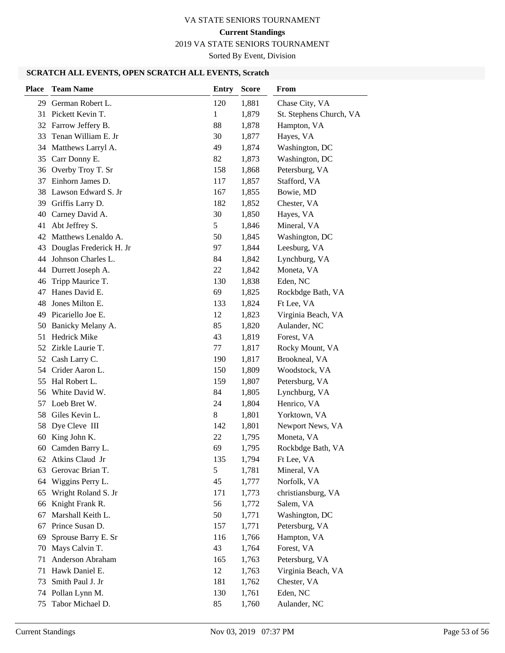2019 VA STATE SENIORS TOURNAMENT

Sorted By Event, Division

| <b>Place</b> | <b>Team Name</b>        | <b>Entry</b> | <b>Score</b> | From                    |
|--------------|-------------------------|--------------|--------------|-------------------------|
| 29           | German Robert L.        | 120          | 1,881        | Chase City, VA          |
|              | 31 Pickett Kevin T.     | $\mathbf{1}$ | 1,879        | St. Stephens Church, VA |
|              | 32 Farrow Jeffery B.    | 88           | 1,878        | Hampton, VA             |
| 33           | Tenan William E. Jr     | 30           | 1,877        | Hayes, VA               |
|              | 34 Matthews Larryl A.   | 49           | 1,874        | Washington, DC          |
| 35           | Carr Donny E.           | 82           | 1,873        | Washington, DC          |
|              | 36 Overby Troy T. Sr    | 158          | 1,868        | Petersburg, VA          |
| 37           | Einhorn James D.        | 117          | 1,857        | Stafford, VA            |
| 38           | Lawson Edward S. Jr     | 167          | 1,855        | Bowie, MD               |
|              | 39 Griffis Larry D.     | 182          | 1,852        | Chester, VA             |
| 40           | Carney David A.         | 30           | 1,850        | Hayes, VA               |
| 41           | Abt Jeffrey S.          | 5            | 1,846        | Mineral, VA             |
| 42           | Matthews Lenaldo A.     | 50           | 1,845        | Washington, DC          |
| 43           | Douglas Frederick H. Jr | 97           | 1,844        | Leesburg, VA            |
| 44           | Johnson Charles L.      | 84           | 1,842        | Lynchburg, VA           |
| 44           | Durrett Joseph A.       | 22           | 1,842        | Moneta, VA              |
| 46           | Tripp Maurice T.        | 130          | 1,838        | Eden, NC                |
| 47           | Hanes David E.          | 69           | 1,825        | Rockbdge Bath, VA       |
| 48           | Jones Milton E.         | 133          | 1,824        | Ft Lee, VA              |
| 49           | Picariello Joe E.       | 12           | 1,823        | Virginia Beach, VA      |
| 50           | Banicky Melany A.       | 85           | 1,820        | Aulander, NC            |
| 51           | <b>Hedrick Mike</b>     | 43           | 1,819        | Forest, VA              |
|              | 52 Zirkle Laurie T.     | 77           | 1,817        | Rocky Mount, VA         |
|              | 52 Cash Larry C.        | 190          | 1,817        | Brookneal, VA           |
|              | 54 Crider Aaron L.      | 150          | 1,809        | Woodstock, VA           |
| 55           | Hal Robert L.           | 159          | 1,807        | Petersburg, VA          |
| 56           | White David W.          | 84           | 1,805        | Lynchburg, VA           |
| 57           | Loeb Bret W.            | 24           | 1,804        | Henrico, VA             |
| 58           | Giles Kevin L.          | 8            | 1,801        | Yorktown, VA            |
| 58           | Dye Cleve III           | 142          | 1,801        | Newport News, VA        |
| 60           | King John K.            | 22           | 1,795        | Moneta, VA              |
| 60           | Camden Barry L.         | 69           | 1,795        | Rockbdge Bath, VA       |
| 62           | Atkins Claud Jr         | 135          | 1,794        | Ft Lee, VA              |
| 63           | Gerovac Brian T.        | 5            | 1,781        | Mineral, VA             |
| 64           | Wiggins Perry L.        | 45           | 1,777        | Norfolk, VA             |
| 65           | Wright Roland S. Jr     | 171          | 1,773        | christiansburg, VA      |
| 66           | Knight Frank R.         | 56           | 1,772        | Salem, VA               |
| 67           | Marshall Keith L.       | 50           | 1,771        | Washington, DC          |
| 67           | Prince Susan D.         | 157          | 1,771        | Petersburg, VA          |
| 69           | Sprouse Barry E. Sr     | 116          | 1,766        | Hampton, VA             |
| 70           | Mays Calvin T.          | 43           | 1,764        | Forest, VA              |
| 71           | Anderson Abraham        | 165          | 1,763        | Petersburg, VA          |
| 71           | Hawk Daniel E.          | 12           | 1,763        | Virginia Beach, VA      |
| 73           | Smith Paul J. Jr        | 181          | 1,762        | Chester, VA             |
| 74           | Pollan Lynn M.          | 130          | 1,761        | Eden, NC                |
| 75           | Tabor Michael D.        | 85           | 1,760        | Aulander, NC            |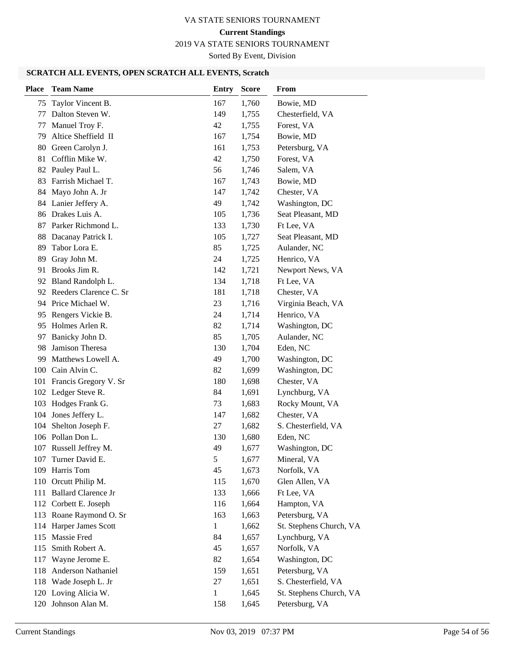# 2019 VA STATE SENIORS TOURNAMENT

Sorted By Event, Division

| Taylor Vincent B.<br>167<br>1,760<br>Bowie, MD<br>75<br>Dalton Steven W.<br>149<br>1,755<br>Chesterfield, VA<br>77<br>Manuel Troy F.<br>Forest, VA<br>42<br>1,755<br>77<br>Altice Sheffield II<br>Bowie, MD<br>79<br>167<br>1,754<br>Green Carolyn J.<br>161<br>Petersburg, VA<br>80<br>1,753<br>Cofflin Mike W.<br>42<br>Forest, VA<br>1,750<br>81<br>Pauley Paul L.<br>56<br>1,746<br>Salem, VA<br>82<br>Farrish Michael T.<br>Bowie, MD<br>83<br>167<br>1,743<br>Mayo John A. Jr<br>147<br>1,742<br>Chester, VA<br>84<br>84 Lanier Jeffery A.<br>49<br>1,742<br>Washington, DC<br>86 Drakes Luis A.<br>Seat Pleasant, MD<br>105<br>1,736<br>Parker Richmond L.<br>Ft Lee, VA<br>87<br>133<br>1,730<br>88<br>Dacanay Patrick I.<br>105<br>1,727<br>Seat Pleasant, MD<br>Tabor Lora E.<br>Aulander, NC<br>89<br>85<br>1,725<br>Gray John M.<br>89<br>24<br>1,725<br>Henrico, VA<br>Brooks Jim R.<br>Newport News, VA<br>142<br>1,721<br>91<br>Bland Randolph L.<br>134<br>1,718<br>Ft Lee, VA<br>92<br>92 Reeders Clarence C. Sr<br>181<br>1,718<br>Chester, VA<br>94 Price Michael W.<br>23<br>1,716<br>Virginia Beach, VA<br>Rengers Vickie B.<br>Henrico, VA<br>95<br>24<br>1,714<br>Holmes Arlen R.<br>Washington, DC<br>95<br>82<br>1,714<br>Banicky John D.<br>85<br>Aulander, NC<br>1,705<br>97<br>Jamison Theresa<br>98<br>130<br>1,704<br>Eden, NC<br>Washington, DC<br>Matthews Lowell A.<br>49<br>1,700<br>99<br>Cain Alvin C.<br>Washington, DC<br>82<br>100<br>1,699<br>Francis Gregory V. Sr<br>Chester, VA<br>180<br>1,698<br>101<br>102 Ledger Steve R.<br>84<br>Lynchburg, VA<br>1,691<br>Hodges Frank G.<br>Rocky Mount, VA<br>103<br>1,683<br>73<br>Jones Jeffery L.<br>Chester, VA<br>104<br>147<br>1,682<br>Shelton Joseph F.<br>27<br>S. Chesterfield, VA<br>104<br>1,682<br>106 Pollan Don L.<br>130<br>1,680<br>Eden, NC<br>49<br>107 Russell Jeffrey M.<br>1,677<br>Washington, DC<br>Turner David E.<br>5<br>1,677<br>Mineral, VA<br>107<br>45<br>109 Harris Tom<br>Norfolk, VA<br>1,673<br>110 Orcutt Philip M.<br>115<br>1,670<br>Glen Allen, VA<br><b>Ballard Clarence Jr</b><br>133<br>1,666<br>Ft Lee, VA<br>111<br>112 Corbett E. Joseph<br>116<br>1,664<br>Hampton, VA<br>113 Roane Raymond O. Sr<br>163<br>1,663<br>Petersburg, VA<br>114 Harper James Scott<br>St. Stephens Church, VA<br>$\mathbf{1}$<br>1,662<br>Massie Fred<br>Lynchburg, VA<br>115<br>84<br>1,657 | <b>Place</b> | <b>Team Name</b> | <b>Entry</b> | <b>Score</b> | From        |
|-----------------------------------------------------------------------------------------------------------------------------------------------------------------------------------------------------------------------------------------------------------------------------------------------------------------------------------------------------------------------------------------------------------------------------------------------------------------------------------------------------------------------------------------------------------------------------------------------------------------------------------------------------------------------------------------------------------------------------------------------------------------------------------------------------------------------------------------------------------------------------------------------------------------------------------------------------------------------------------------------------------------------------------------------------------------------------------------------------------------------------------------------------------------------------------------------------------------------------------------------------------------------------------------------------------------------------------------------------------------------------------------------------------------------------------------------------------------------------------------------------------------------------------------------------------------------------------------------------------------------------------------------------------------------------------------------------------------------------------------------------------------------------------------------------------------------------------------------------------------------------------------------------------------------------------------------------------------------------------------------------------------------------------------------------------------------------------------------------------------------------------------------------------------------------------------------------------------------------------------------------------------------------------------------------------------------------------------------------------------------------------------------------------|--------------|------------------|--------------|--------------|-------------|
|                                                                                                                                                                                                                                                                                                                                                                                                                                                                                                                                                                                                                                                                                                                                                                                                                                                                                                                                                                                                                                                                                                                                                                                                                                                                                                                                                                                                                                                                                                                                                                                                                                                                                                                                                                                                                                                                                                                                                                                                                                                                                                                                                                                                                                                                                                                                                                                                           |              |                  |              |              |             |
|                                                                                                                                                                                                                                                                                                                                                                                                                                                                                                                                                                                                                                                                                                                                                                                                                                                                                                                                                                                                                                                                                                                                                                                                                                                                                                                                                                                                                                                                                                                                                                                                                                                                                                                                                                                                                                                                                                                                                                                                                                                                                                                                                                                                                                                                                                                                                                                                           |              |                  |              |              |             |
|                                                                                                                                                                                                                                                                                                                                                                                                                                                                                                                                                                                                                                                                                                                                                                                                                                                                                                                                                                                                                                                                                                                                                                                                                                                                                                                                                                                                                                                                                                                                                                                                                                                                                                                                                                                                                                                                                                                                                                                                                                                                                                                                                                                                                                                                                                                                                                                                           |              |                  |              |              |             |
|                                                                                                                                                                                                                                                                                                                                                                                                                                                                                                                                                                                                                                                                                                                                                                                                                                                                                                                                                                                                                                                                                                                                                                                                                                                                                                                                                                                                                                                                                                                                                                                                                                                                                                                                                                                                                                                                                                                                                                                                                                                                                                                                                                                                                                                                                                                                                                                                           |              |                  |              |              |             |
|                                                                                                                                                                                                                                                                                                                                                                                                                                                                                                                                                                                                                                                                                                                                                                                                                                                                                                                                                                                                                                                                                                                                                                                                                                                                                                                                                                                                                                                                                                                                                                                                                                                                                                                                                                                                                                                                                                                                                                                                                                                                                                                                                                                                                                                                                                                                                                                                           |              |                  |              |              |             |
|                                                                                                                                                                                                                                                                                                                                                                                                                                                                                                                                                                                                                                                                                                                                                                                                                                                                                                                                                                                                                                                                                                                                                                                                                                                                                                                                                                                                                                                                                                                                                                                                                                                                                                                                                                                                                                                                                                                                                                                                                                                                                                                                                                                                                                                                                                                                                                                                           |              |                  |              |              |             |
|                                                                                                                                                                                                                                                                                                                                                                                                                                                                                                                                                                                                                                                                                                                                                                                                                                                                                                                                                                                                                                                                                                                                                                                                                                                                                                                                                                                                                                                                                                                                                                                                                                                                                                                                                                                                                                                                                                                                                                                                                                                                                                                                                                                                                                                                                                                                                                                                           |              |                  |              |              |             |
|                                                                                                                                                                                                                                                                                                                                                                                                                                                                                                                                                                                                                                                                                                                                                                                                                                                                                                                                                                                                                                                                                                                                                                                                                                                                                                                                                                                                                                                                                                                                                                                                                                                                                                                                                                                                                                                                                                                                                                                                                                                                                                                                                                                                                                                                                                                                                                                                           |              |                  |              |              |             |
|                                                                                                                                                                                                                                                                                                                                                                                                                                                                                                                                                                                                                                                                                                                                                                                                                                                                                                                                                                                                                                                                                                                                                                                                                                                                                                                                                                                                                                                                                                                                                                                                                                                                                                                                                                                                                                                                                                                                                                                                                                                                                                                                                                                                                                                                                                                                                                                                           |              |                  |              |              |             |
|                                                                                                                                                                                                                                                                                                                                                                                                                                                                                                                                                                                                                                                                                                                                                                                                                                                                                                                                                                                                                                                                                                                                                                                                                                                                                                                                                                                                                                                                                                                                                                                                                                                                                                                                                                                                                                                                                                                                                                                                                                                                                                                                                                                                                                                                                                                                                                                                           |              |                  |              |              |             |
|                                                                                                                                                                                                                                                                                                                                                                                                                                                                                                                                                                                                                                                                                                                                                                                                                                                                                                                                                                                                                                                                                                                                                                                                                                                                                                                                                                                                                                                                                                                                                                                                                                                                                                                                                                                                                                                                                                                                                                                                                                                                                                                                                                                                                                                                                                                                                                                                           |              |                  |              |              |             |
|                                                                                                                                                                                                                                                                                                                                                                                                                                                                                                                                                                                                                                                                                                                                                                                                                                                                                                                                                                                                                                                                                                                                                                                                                                                                                                                                                                                                                                                                                                                                                                                                                                                                                                                                                                                                                                                                                                                                                                                                                                                                                                                                                                                                                                                                                                                                                                                                           |              |                  |              |              |             |
|                                                                                                                                                                                                                                                                                                                                                                                                                                                                                                                                                                                                                                                                                                                                                                                                                                                                                                                                                                                                                                                                                                                                                                                                                                                                                                                                                                                                                                                                                                                                                                                                                                                                                                                                                                                                                                                                                                                                                                                                                                                                                                                                                                                                                                                                                                                                                                                                           |              |                  |              |              |             |
|                                                                                                                                                                                                                                                                                                                                                                                                                                                                                                                                                                                                                                                                                                                                                                                                                                                                                                                                                                                                                                                                                                                                                                                                                                                                                                                                                                                                                                                                                                                                                                                                                                                                                                                                                                                                                                                                                                                                                                                                                                                                                                                                                                                                                                                                                                                                                                                                           |              |                  |              |              |             |
|                                                                                                                                                                                                                                                                                                                                                                                                                                                                                                                                                                                                                                                                                                                                                                                                                                                                                                                                                                                                                                                                                                                                                                                                                                                                                                                                                                                                                                                                                                                                                                                                                                                                                                                                                                                                                                                                                                                                                                                                                                                                                                                                                                                                                                                                                                                                                                                                           |              |                  |              |              |             |
|                                                                                                                                                                                                                                                                                                                                                                                                                                                                                                                                                                                                                                                                                                                                                                                                                                                                                                                                                                                                                                                                                                                                                                                                                                                                                                                                                                                                                                                                                                                                                                                                                                                                                                                                                                                                                                                                                                                                                                                                                                                                                                                                                                                                                                                                                                                                                                                                           |              |                  |              |              |             |
|                                                                                                                                                                                                                                                                                                                                                                                                                                                                                                                                                                                                                                                                                                                                                                                                                                                                                                                                                                                                                                                                                                                                                                                                                                                                                                                                                                                                                                                                                                                                                                                                                                                                                                                                                                                                                                                                                                                                                                                                                                                                                                                                                                                                                                                                                                                                                                                                           |              |                  |              |              |             |
|                                                                                                                                                                                                                                                                                                                                                                                                                                                                                                                                                                                                                                                                                                                                                                                                                                                                                                                                                                                                                                                                                                                                                                                                                                                                                                                                                                                                                                                                                                                                                                                                                                                                                                                                                                                                                                                                                                                                                                                                                                                                                                                                                                                                                                                                                                                                                                                                           |              |                  |              |              |             |
|                                                                                                                                                                                                                                                                                                                                                                                                                                                                                                                                                                                                                                                                                                                                                                                                                                                                                                                                                                                                                                                                                                                                                                                                                                                                                                                                                                                                                                                                                                                                                                                                                                                                                                                                                                                                                                                                                                                                                                                                                                                                                                                                                                                                                                                                                                                                                                                                           |              |                  |              |              |             |
|                                                                                                                                                                                                                                                                                                                                                                                                                                                                                                                                                                                                                                                                                                                                                                                                                                                                                                                                                                                                                                                                                                                                                                                                                                                                                                                                                                                                                                                                                                                                                                                                                                                                                                                                                                                                                                                                                                                                                                                                                                                                                                                                                                                                                                                                                                                                                                                                           |              |                  |              |              |             |
|                                                                                                                                                                                                                                                                                                                                                                                                                                                                                                                                                                                                                                                                                                                                                                                                                                                                                                                                                                                                                                                                                                                                                                                                                                                                                                                                                                                                                                                                                                                                                                                                                                                                                                                                                                                                                                                                                                                                                                                                                                                                                                                                                                                                                                                                                                                                                                                                           |              |                  |              |              |             |
|                                                                                                                                                                                                                                                                                                                                                                                                                                                                                                                                                                                                                                                                                                                                                                                                                                                                                                                                                                                                                                                                                                                                                                                                                                                                                                                                                                                                                                                                                                                                                                                                                                                                                                                                                                                                                                                                                                                                                                                                                                                                                                                                                                                                                                                                                                                                                                                                           |              |                  |              |              |             |
|                                                                                                                                                                                                                                                                                                                                                                                                                                                                                                                                                                                                                                                                                                                                                                                                                                                                                                                                                                                                                                                                                                                                                                                                                                                                                                                                                                                                                                                                                                                                                                                                                                                                                                                                                                                                                                                                                                                                                                                                                                                                                                                                                                                                                                                                                                                                                                                                           |              |                  |              |              |             |
|                                                                                                                                                                                                                                                                                                                                                                                                                                                                                                                                                                                                                                                                                                                                                                                                                                                                                                                                                                                                                                                                                                                                                                                                                                                                                                                                                                                                                                                                                                                                                                                                                                                                                                                                                                                                                                                                                                                                                                                                                                                                                                                                                                                                                                                                                                                                                                                                           |              |                  |              |              |             |
|                                                                                                                                                                                                                                                                                                                                                                                                                                                                                                                                                                                                                                                                                                                                                                                                                                                                                                                                                                                                                                                                                                                                                                                                                                                                                                                                                                                                                                                                                                                                                                                                                                                                                                                                                                                                                                                                                                                                                                                                                                                                                                                                                                                                                                                                                                                                                                                                           |              |                  |              |              |             |
|                                                                                                                                                                                                                                                                                                                                                                                                                                                                                                                                                                                                                                                                                                                                                                                                                                                                                                                                                                                                                                                                                                                                                                                                                                                                                                                                                                                                                                                                                                                                                                                                                                                                                                                                                                                                                                                                                                                                                                                                                                                                                                                                                                                                                                                                                                                                                                                                           |              |                  |              |              |             |
|                                                                                                                                                                                                                                                                                                                                                                                                                                                                                                                                                                                                                                                                                                                                                                                                                                                                                                                                                                                                                                                                                                                                                                                                                                                                                                                                                                                                                                                                                                                                                                                                                                                                                                                                                                                                                                                                                                                                                                                                                                                                                                                                                                                                                                                                                                                                                                                                           |              |                  |              |              |             |
|                                                                                                                                                                                                                                                                                                                                                                                                                                                                                                                                                                                                                                                                                                                                                                                                                                                                                                                                                                                                                                                                                                                                                                                                                                                                                                                                                                                                                                                                                                                                                                                                                                                                                                                                                                                                                                                                                                                                                                                                                                                                                                                                                                                                                                                                                                                                                                                                           |              |                  |              |              |             |
|                                                                                                                                                                                                                                                                                                                                                                                                                                                                                                                                                                                                                                                                                                                                                                                                                                                                                                                                                                                                                                                                                                                                                                                                                                                                                                                                                                                                                                                                                                                                                                                                                                                                                                                                                                                                                                                                                                                                                                                                                                                                                                                                                                                                                                                                                                                                                                                                           |              |                  |              |              |             |
|                                                                                                                                                                                                                                                                                                                                                                                                                                                                                                                                                                                                                                                                                                                                                                                                                                                                                                                                                                                                                                                                                                                                                                                                                                                                                                                                                                                                                                                                                                                                                                                                                                                                                                                                                                                                                                                                                                                                                                                                                                                                                                                                                                                                                                                                                                                                                                                                           |              |                  |              |              |             |
|                                                                                                                                                                                                                                                                                                                                                                                                                                                                                                                                                                                                                                                                                                                                                                                                                                                                                                                                                                                                                                                                                                                                                                                                                                                                                                                                                                                                                                                                                                                                                                                                                                                                                                                                                                                                                                                                                                                                                                                                                                                                                                                                                                                                                                                                                                                                                                                                           |              |                  |              |              |             |
|                                                                                                                                                                                                                                                                                                                                                                                                                                                                                                                                                                                                                                                                                                                                                                                                                                                                                                                                                                                                                                                                                                                                                                                                                                                                                                                                                                                                                                                                                                                                                                                                                                                                                                                                                                                                                                                                                                                                                                                                                                                                                                                                                                                                                                                                                                                                                                                                           |              |                  |              |              |             |
|                                                                                                                                                                                                                                                                                                                                                                                                                                                                                                                                                                                                                                                                                                                                                                                                                                                                                                                                                                                                                                                                                                                                                                                                                                                                                                                                                                                                                                                                                                                                                                                                                                                                                                                                                                                                                                                                                                                                                                                                                                                                                                                                                                                                                                                                                                                                                                                                           |              |                  |              |              |             |
|                                                                                                                                                                                                                                                                                                                                                                                                                                                                                                                                                                                                                                                                                                                                                                                                                                                                                                                                                                                                                                                                                                                                                                                                                                                                                                                                                                                                                                                                                                                                                                                                                                                                                                                                                                                                                                                                                                                                                                                                                                                                                                                                                                                                                                                                                                                                                                                                           |              |                  |              |              |             |
|                                                                                                                                                                                                                                                                                                                                                                                                                                                                                                                                                                                                                                                                                                                                                                                                                                                                                                                                                                                                                                                                                                                                                                                                                                                                                                                                                                                                                                                                                                                                                                                                                                                                                                                                                                                                                                                                                                                                                                                                                                                                                                                                                                                                                                                                                                                                                                                                           |              |                  |              |              |             |
|                                                                                                                                                                                                                                                                                                                                                                                                                                                                                                                                                                                                                                                                                                                                                                                                                                                                                                                                                                                                                                                                                                                                                                                                                                                                                                                                                                                                                                                                                                                                                                                                                                                                                                                                                                                                                                                                                                                                                                                                                                                                                                                                                                                                                                                                                                                                                                                                           |              |                  |              |              |             |
|                                                                                                                                                                                                                                                                                                                                                                                                                                                                                                                                                                                                                                                                                                                                                                                                                                                                                                                                                                                                                                                                                                                                                                                                                                                                                                                                                                                                                                                                                                                                                                                                                                                                                                                                                                                                                                                                                                                                                                                                                                                                                                                                                                                                                                                                                                                                                                                                           |              |                  |              |              |             |
|                                                                                                                                                                                                                                                                                                                                                                                                                                                                                                                                                                                                                                                                                                                                                                                                                                                                                                                                                                                                                                                                                                                                                                                                                                                                                                                                                                                                                                                                                                                                                                                                                                                                                                                                                                                                                                                                                                                                                                                                                                                                                                                                                                                                                                                                                                                                                                                                           |              |                  |              |              |             |
|                                                                                                                                                                                                                                                                                                                                                                                                                                                                                                                                                                                                                                                                                                                                                                                                                                                                                                                                                                                                                                                                                                                                                                                                                                                                                                                                                                                                                                                                                                                                                                                                                                                                                                                                                                                                                                                                                                                                                                                                                                                                                                                                                                                                                                                                                                                                                                                                           |              |                  |              |              |             |
|                                                                                                                                                                                                                                                                                                                                                                                                                                                                                                                                                                                                                                                                                                                                                                                                                                                                                                                                                                                                                                                                                                                                                                                                                                                                                                                                                                                                                                                                                                                                                                                                                                                                                                                                                                                                                                                                                                                                                                                                                                                                                                                                                                                                                                                                                                                                                                                                           | 115          | Smith Robert A.  | 45           | 1,657        | Norfolk, VA |
| Wayne Jerome E.<br>82<br>Washington, DC<br>117<br>1,654                                                                                                                                                                                                                                                                                                                                                                                                                                                                                                                                                                                                                                                                                                                                                                                                                                                                                                                                                                                                                                                                                                                                                                                                                                                                                                                                                                                                                                                                                                                                                                                                                                                                                                                                                                                                                                                                                                                                                                                                                                                                                                                                                                                                                                                                                                                                                   |              |                  |              |              |             |
| <b>Anderson Nathaniel</b><br>Petersburg, VA<br>159<br>118<br>1,651                                                                                                                                                                                                                                                                                                                                                                                                                                                                                                                                                                                                                                                                                                                                                                                                                                                                                                                                                                                                                                                                                                                                                                                                                                                                                                                                                                                                                                                                                                                                                                                                                                                                                                                                                                                                                                                                                                                                                                                                                                                                                                                                                                                                                                                                                                                                        |              |                  |              |              |             |
| S. Chesterfield, VA<br>118 Wade Joseph L. Jr<br>27<br>1,651                                                                                                                                                                                                                                                                                                                                                                                                                                                                                                                                                                                                                                                                                                                                                                                                                                                                                                                                                                                                                                                                                                                                                                                                                                                                                                                                                                                                                                                                                                                                                                                                                                                                                                                                                                                                                                                                                                                                                                                                                                                                                                                                                                                                                                                                                                                                               |              |                  |              |              |             |
| 120 Loving Alicia W.<br>$\mathbf{1}$<br>1,645<br>St. Stephens Church, VA                                                                                                                                                                                                                                                                                                                                                                                                                                                                                                                                                                                                                                                                                                                                                                                                                                                                                                                                                                                                                                                                                                                                                                                                                                                                                                                                                                                                                                                                                                                                                                                                                                                                                                                                                                                                                                                                                                                                                                                                                                                                                                                                                                                                                                                                                                                                  |              |                  |              |              |             |
| 120 Johnson Alan M.<br>Petersburg, VA<br>158<br>1,645                                                                                                                                                                                                                                                                                                                                                                                                                                                                                                                                                                                                                                                                                                                                                                                                                                                                                                                                                                                                                                                                                                                                                                                                                                                                                                                                                                                                                                                                                                                                                                                                                                                                                                                                                                                                                                                                                                                                                                                                                                                                                                                                                                                                                                                                                                                                                     |              |                  |              |              |             |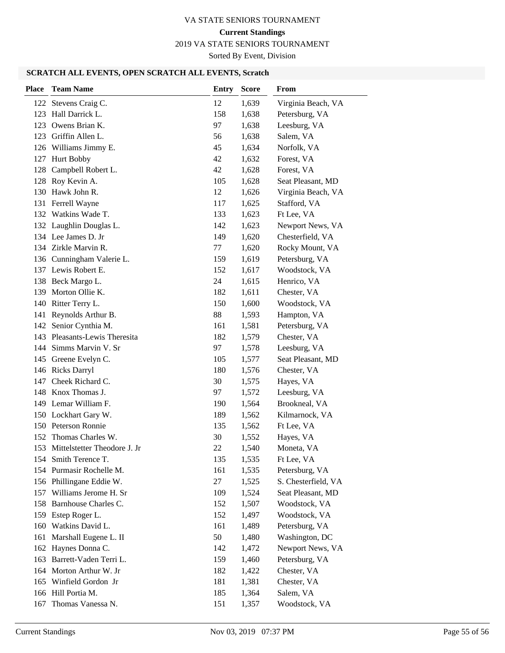2019 VA STATE SENIORS TOURNAMENT

Sorted By Event, Division

| <b>Place</b> | <b>Team Name</b>              | <b>Entry</b> | <b>Score</b> | From                |
|--------------|-------------------------------|--------------|--------------|---------------------|
|              | 122 Stevens Craig C.          | 12           | 1,639        | Virginia Beach, VA  |
| 123          | Hall Darrick L.               | 158          | 1,638        | Petersburg, VA      |
| 123          | Owens Brian K.                | 97           | 1,638        | Leesburg, VA        |
| 123          | Griffin Allen L.              | 56           | 1,638        | Salem, VA           |
|              | 126 Williams Jimmy E.         | 45           | 1,634        | Norfolk, VA         |
| 127          | <b>Hurt Bobby</b>             | 42           | 1,632        | Forest, VA          |
| 128          | Campbell Robert L.            | 42           | 1,628        | Forest, VA          |
| 128          | Roy Kevin A.                  | 105          | 1,628        | Seat Pleasant, MD   |
|              | 130 Hawk John R.              | 12           | 1,626        | Virginia Beach, VA  |
| 131          | Ferrell Wayne                 | 117          | 1,625        | Stafford, VA        |
|              | 132 Watkins Wade T.           | 133          | 1,623        | Ft Lee, VA          |
|              | 132 Laughlin Douglas L.       | 142          | 1,623        | Newport News, VA    |
|              | 134 Lee James D. Jr           | 149          | 1,620        | Chesterfield, VA    |
|              | 134 Zirkle Marvin R.          | 77           | 1,620        | Rocky Mount, VA     |
|              | 136 Cunningham Valerie L.     | 159          | 1,619        | Petersburg, VA      |
|              | 137 Lewis Robert E.           | 152          | 1,617        | Woodstock, VA       |
|              | 138 Beck Margo L.             | 24           | 1,615        | Henrico, VA         |
| 139          | Morton Ollie K.               | 182          | 1,611        | Chester, VA         |
|              | 140 Ritter Terry L.           | 150          | 1,600        | Woodstock, VA       |
| 141          | Reynolds Arthur B.            | 88           | 1,593        | Hampton, VA         |
| 142          | Senior Cynthia M.             | 161          | 1,581        | Petersburg, VA      |
|              | 143 Pleasants-Lewis Theresita | 182          | 1,579        | Chester, VA         |
|              | 144 Simms Marvin V. Sr        | 97           | 1,578        | Leesburg, VA        |
| 145          | Greene Evelyn C.              | 105          | 1,577        | Seat Pleasant, MD   |
|              | 146 Ricks Darryl              | 180          | 1,576        | Chester, VA         |
| 147          | Cheek Richard C.              | 30           | 1,575        | Hayes, VA           |
|              | 148 Knox Thomas J.            | 97           | 1,572        | Leesburg, VA        |
| 149          | Lemar William F.              | 190          | 1,564        | Brookneal, VA       |
|              | 150 Lockhart Gary W.          | 189          | 1,562        | Kilmarnock, VA      |
|              | 150 Peterson Ronnie           | 135          | 1,562        | Ft Lee, VA          |
|              | 152 Thomas Charles W.         | 30           | 1,552        | Hayes, VA           |
| 153          | Mittelstetter Theodore J. Jr  | 22           | 1,540        | Moneta, VA          |
|              | 154 Smith Terence T.          | 135          | 1,535        | Ft Lee, VA          |
|              | 154 Purmasir Rochelle M.      | 161          | 1,535        | Petersburg, VA      |
|              | 156 Phillingane Eddie W.      | 27           | 1,525        | S. Chesterfield, VA |
| 157          | Williams Jerome H. Sr         | 109          | 1,524        | Seat Pleasant, MD   |
| 158          | Barnhouse Charles C.          | 152          | 1,507        | Woodstock, VA       |
| 159          | Estep Roger L.                | 152          | 1,497        | Woodstock, VA       |
| 160          | Watkins David L.              | 161          | 1,489        | Petersburg, VA      |
| 161          | Marshall Eugene L. II         | 50           | 1,480        | Washington, DC      |
| 162          | Haynes Donna C.               | 142          | 1,472        | Newport News, VA    |
| 163          | Barrett-Vaden Terri L.        | 159          | 1,460        | Petersburg, VA      |
|              | 164 Morton Arthur W. Jr       | 182          | 1,422        | Chester, VA         |
| 165          | Winfield Gordon Jr            | 181          | 1,381        | Chester, VA         |
|              | 166 Hill Portia M.            | 185          | 1,364        | Salem, VA           |
| 167          | Thomas Vanessa N.             | 151          | 1,357        | Woodstock, VA       |